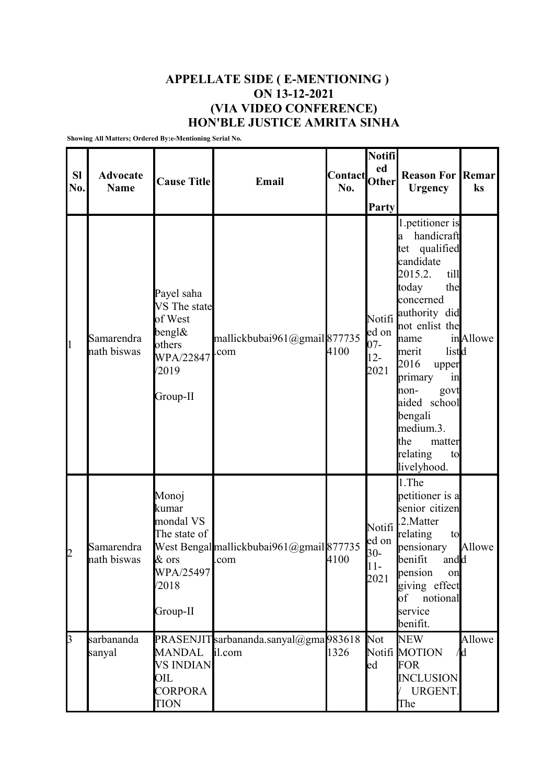## **APPELLATE SIDE ( E-MENTIONING ) ON 13-12-2021 (VIA VIDEO CONFERENCE) HON'BLE JUSTICE AMRITA SINHA**

**Showing All Matters; Ordered By:e-Mentioning Serial No.**

| <b>SI</b><br>No. | <b>Advocate</b><br><b>Name</b> | <b>Cause Title</b>                                                                                 | Email                                            | Contact<br>No. | Notifi<br>ed<br>Other<br><b>Party</b>       | <b>Reason For</b><br><b>Urgency</b>                                                                                                                                                                                                                                                                                          | Remar<br>ks   |
|------------------|--------------------------------|----------------------------------------------------------------------------------------------------|--------------------------------------------------|----------------|---------------------------------------------|------------------------------------------------------------------------------------------------------------------------------------------------------------------------------------------------------------------------------------------------------------------------------------------------------------------------------|---------------|
| $\mathbf{1}$     | Samarendra<br>nath biswas      | Payel saha<br>VS The state<br>of West<br>$b$ engl $\&$<br>others<br>WPA/22847<br>/2019<br>Group-II | mallickbubai961@gmail877735<br>com               | 4100           | Notifi<br>ed on<br>$07 -$<br>$12 -$<br>2021 | 1.petitioner is<br>handicraft<br>a<br>qualified<br>tet<br>candidate<br>2015.2.<br>till<br>today<br>the<br>concerned<br>authority did<br>not enlist the<br>name<br>listd<br>merit<br>2016<br>upper<br>primary<br>1n<br>non-<br>govt<br>aided school<br>bengali<br>medium.3.<br>the<br>matter<br>relating<br>to<br>livelyhood. | inAllowe      |
| 2                | Samarendra<br>nath biswas      | Monoj<br>kumar<br>mondal VS<br>The state of<br>$&$ ors<br>WPA/25497<br>/2018<br>Group-II           | West Bengal mallickbubai961@gmail 877735<br>.com | 4100           | Notifi<br>ed on<br>$30 -$<br>$11-$<br>2021  | 1.The<br>petitioner is a<br>senior citizen<br>2. Matter<br>relating<br>to<br>pensionary<br>andd<br>benifit<br>pension<br>on<br>giving effect<br>of<br>notional<br>service<br>benifit.                                                                                                                                        | Allowe        |
| 3                | sarbananda<br>sanyal           | <b>MANDAL</b><br><b>VS INDIAN</b><br>OIL<br><b>CORPORA</b><br><b>TION</b>                          | PRASENJITsarbananda.sanyal@gma983618<br>il.com   | 1326           | Not<br>$_{\text{ed}}$                       | <b>NEW</b><br>Notifi MOTION<br>FOR<br><b>INCLUSION</b><br>URGENT.<br>The                                                                                                                                                                                                                                                     | Allowe<br>/Id |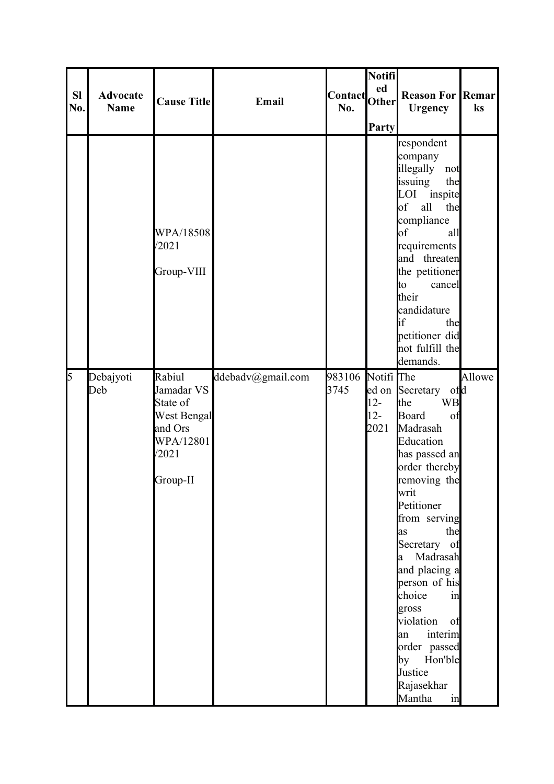| <b>SI</b><br>No. | <b>Advocate</b><br>Name | <b>Cause Title</b>                                                                                  | Email             | Contact Other<br>No. | <b>Notifi</b><br>ed<br><b>Party</b>    | <b>Reason For Remar</b><br><b>Urgency</b>                                                                                                                                                                                                                                                                                                                                                 | ks     |
|------------------|-------------------------|-----------------------------------------------------------------------------------------------------|-------------------|----------------------|----------------------------------------|-------------------------------------------------------------------------------------------------------------------------------------------------------------------------------------------------------------------------------------------------------------------------------------------------------------------------------------------------------------------------------------------|--------|
|                  |                         | WPA/18508<br>/2021<br>Group-VIII                                                                    |                   |                      |                                        | respondent<br>company<br>illegally<br>not<br>issuing<br>the<br>LOI inspite<br>the<br>$\bf{b}$<br>all<br>compliance<br>$\bf{b}$ f<br>all<br>requirements<br>and threaten<br>the petitioner<br>cancel<br>to<br>their<br>candidature<br><b>l</b> if<br>the<br>petitioner did<br>not fulfill the<br>demands.                                                                                  |        |
| 5                | Debajyoti<br>Deb        | Rabiul<br>Jamadar VS<br>State of<br><b>West Bengal</b><br>and Ors<br>WPA/12801<br>/2021<br>Group-II | ddebadv@gmail.com | 983106<br>3745       | Notifi The<br>$12 -$<br>$12 -$<br>2021 | ed on Secretary of d<br><b>WB</b><br>the<br>Board<br>of<br>Madrasah<br>Education<br>has passed an<br>order thereby<br>removing the<br>writ<br>Petitioner<br>from serving<br>the<br>as<br>Secretary of<br>a Madrasah<br>and placing a<br>person of his<br>choice<br>in<br>gross<br>violation<br>of<br>interim<br>an<br>order passed<br>by Hon'ble<br>Justice<br>Rajasekhar<br>Mantha<br>in | Allowe |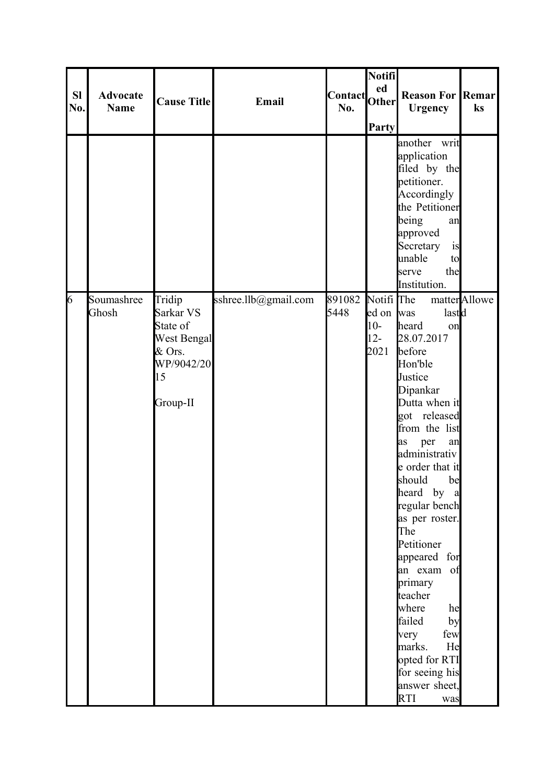| SI<br>No. | <b>Advocate</b><br><b>Name</b> | <b>Cause Title</b>                                                                              | Email                | Contact Other<br>No. | <b>Notifi</b><br>Party                             | <b>Reason For Remar</b><br><b>Urgency</b>                                                                                                                                                                                                                                                                                                                                                                                                                         | ks            |
|-----------|--------------------------------|-------------------------------------------------------------------------------------------------|----------------------|----------------------|----------------------------------------------------|-------------------------------------------------------------------------------------------------------------------------------------------------------------------------------------------------------------------------------------------------------------------------------------------------------------------------------------------------------------------------------------------------------------------------------------------------------------------|---------------|
|           |                                |                                                                                                 |                      |                      |                                                    | another writ<br>application<br>filed by the<br>petitioner.<br>Accordingly<br>the Petitioner<br>being<br>an<br>approved<br>Secretary<br>is<br>unable<br>to<br>the<br>serve<br>Institution.                                                                                                                                                                                                                                                                         |               |
| 6         | Soumashree<br>Ghosh            | Tridip<br>Sarkar VS<br>State of<br><b>West Bengal</b><br>& Ors.<br>WP/9042/20<br>15<br>Group-II | sshree.llb@gmail.com | 891082<br>5448       | Notifi The<br>ed on was<br>$10-$<br>$12 -$<br>2021 | lastd<br>heard<br>on<br>28.07.2017<br>before<br>Hon'ble<br>Justice<br>Dipankar<br>Dutta when it<br>got released<br>from the list<br>per<br>as<br>an<br>administrativ<br>e order that it<br>be<br>should<br>heard by a<br>regular bench<br>as per roster.<br>The<br>Petitioner<br>appeared for<br>an exam of<br>primary<br>teacher<br>where<br>he<br>failed<br>by<br>few<br>very<br>marks.<br>He<br>opted for RTI<br>for seeing his<br>answer sheet,<br>RTI<br>was | matter Allowe |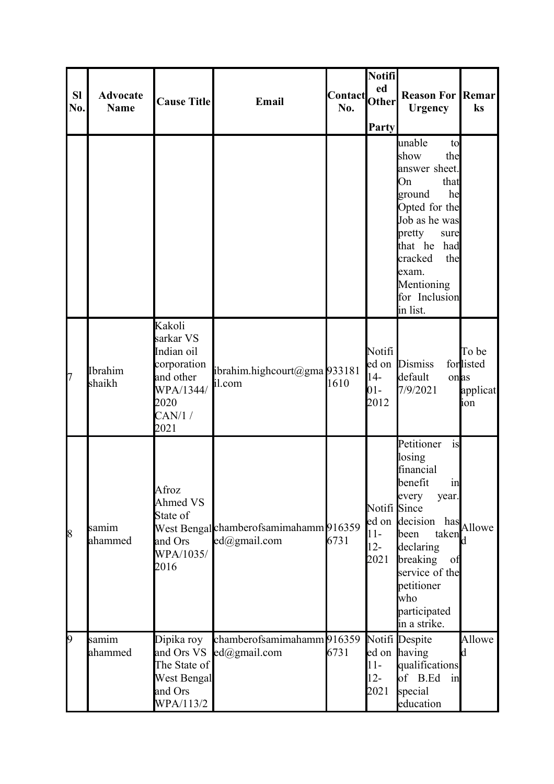| <b>SI</b><br>No. | <b>Advocate</b><br><b>Name</b> | <b>Cause Title</b>                                                                                   | Email                                                  | Contact Other<br>No. | Notifi<br>ed<br>Party                   | <b>Reason For Remar</b><br><b>Urgency</b>                                                                                                                                                                                  | ks                                    |
|------------------|--------------------------------|------------------------------------------------------------------------------------------------------|--------------------------------------------------------|----------------------|-----------------------------------------|----------------------------------------------------------------------------------------------------------------------------------------------------------------------------------------------------------------------------|---------------------------------------|
|                  |                                |                                                                                                      |                                                        |                      |                                         | unable<br>to<br>show<br>the<br>answer sheet.<br>On<br>that<br>he<br>ground<br>Opted for the<br>Job as he was<br>pretty<br>sure<br>that he<br>had<br>cracked<br>the<br>exam.<br>Mentioning<br>for Inclusion<br>in list.     |                                       |
| 7                | Ibrahim<br>shaikh              | Kakoli<br>sarkar VS<br>Indian oil<br>corporation<br>and other<br>WPA/1344/<br>2020<br>CAN/1/<br>2021 | ibrahim.highcourt@gma933181<br>il.com                  | 1610                 | Notifi<br>$14-$<br>$01 -$<br>2012       | ed on Dismiss<br>default<br>onas<br>7/9/2021                                                                                                                                                                               | To be<br>forlisted<br>applicat<br>ion |
| 8                | samim<br>ahammed               | Afroz<br>Ahmed VS<br>State of<br>and Ors<br>WPA/1035/<br>2016                                        | West Bengal chamberofsamimahamm 916359<br>ed@gmail.com | 6731                 | Notifi Since<br>$11-$<br>$12 -$<br>2021 | is<br>Petitioner<br>losing<br>financial<br>benefit<br>in<br>every<br>year.<br>ed on decision<br>has<br>taken<br>been<br>declaring<br>breaking<br>of<br>service of the<br>petitioner<br>who<br>participated<br>in a strike. | Allowe<br>d                           |
| 9                | samim<br>ahammed               | Dipika roy<br>and Ors VS<br>The State of<br><b>West Bengal</b><br>and Ors<br>WPA/113/2               | chamberofsamimahamm 916359<br>$ed(\partial)$ gmail.com | 6731                 | $11-$<br>$12 -$<br>2021                 | Notifi Despite<br>ed on having<br>qualifications<br>of B.Ed<br>in<br>special<br>education                                                                                                                                  | Allowe<br><b>l</b> d                  |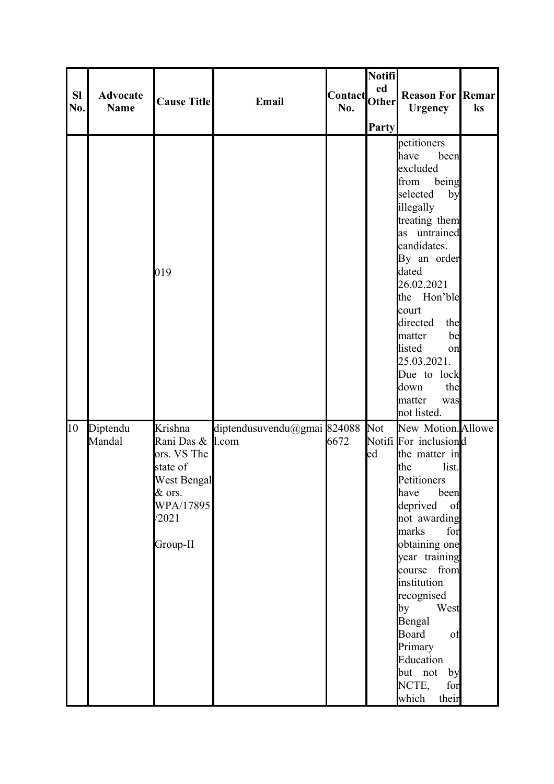| <b>SI</b><br>No. | <b>Advocate</b><br><b>Name</b> | <b>Cause Title</b>                                                                                                | Email                       | Contact Other<br>No. | Notifi<br>ed<br><b>Party</b> | <b>Reason For Remar</b><br><b>Urgency</b>                                                                                                                                                                                                                                                                                                                  | ks |
|------------------|--------------------------------|-------------------------------------------------------------------------------------------------------------------|-----------------------------|----------------------|------------------------------|------------------------------------------------------------------------------------------------------------------------------------------------------------------------------------------------------------------------------------------------------------------------------------------------------------------------------------------------------------|----|
|                  |                                | 019                                                                                                               |                             |                      |                              | petitioners<br>been<br>have<br>excluded<br>from<br>being<br>selected<br>by<br>illegally<br>treating them<br>as untrained<br>candidates.<br>By an order<br>dated<br>26.02.2021<br>the Hon'ble<br>court<br>directed<br>the<br>be<br>matter<br>listed<br>on<br>25.03.2021.<br>Due to lock<br>the<br>down<br>matter<br>was<br>not listed.                      |    |
| 10               | Diptendu<br>Mandal             | Krishna<br>Rani Das & I.com<br>ors. VS The<br>state of<br>West Bengal<br>& ors.<br>WPA/17895<br>/2021<br>Group-II | diptendusuvendu@gmai 824088 | 6672                 | <b>Not</b><br>ed             | New Motion. Allowe<br>Notifi For inclusiond<br>the matter in<br>the<br>list.<br>Petitioners<br>have<br>been<br>deprived of<br>not awarding<br>marks<br>for<br>obtaining one<br>year training<br>course from<br>institution<br>recognised<br>West<br>by<br>Bengal<br>Board<br>of<br>Primary<br>Education<br>but not<br>by<br>NCTE,<br>for<br>which<br>their |    |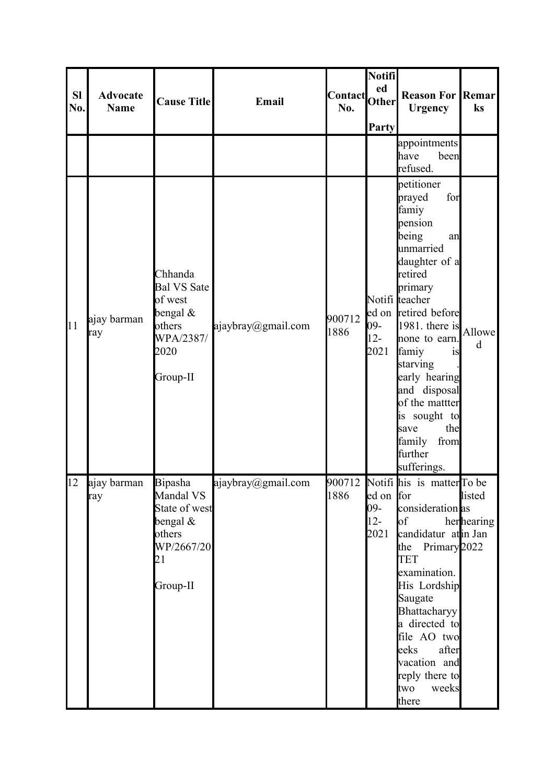| <b>SI</b><br>No. | <b>Advocate</b><br><b>Name</b> | <b>Cause Title</b>                                                                                 | Email              | Contact <br> Other <br>No. | Notifi<br>ed<br>Party              | <b>Reason For Remar</b><br><b>Urgency</b>                                                                                                                                                                                                                                                                                                                   | $\mathbf{k}$ s       |
|------------------|--------------------------------|----------------------------------------------------------------------------------------------------|--------------------|----------------------------|------------------------------------|-------------------------------------------------------------------------------------------------------------------------------------------------------------------------------------------------------------------------------------------------------------------------------------------------------------------------------------------------------------|----------------------|
|                  |                                |                                                                                                    |                    |                            |                                    | appointments<br>been<br>have<br>refused.                                                                                                                                                                                                                                                                                                                    |                      |
| 11               | ajay barman<br>ray             | Chhanda<br><b>Bal VS Sate</b><br>of west<br>bengal $\&$<br>others<br>WPA/2387/<br>2020<br>Group-II | ajaybray@gmail.com | 900712<br>1886             | 09-<br>$12 -$<br>2021              | petitioner<br>for<br>prayed<br>famiy<br>pension<br>being<br>an<br>unmarried<br>daughter of a<br>retired<br>primary<br>Notifi teacher<br>ed on retired before<br>$1981$ . there is<br>none to earn.<br>famiy<br>1S<br>starving<br>early hearing<br>and disposal<br>of the mattter<br>is sought to<br>the<br>save<br>family<br>from<br>further<br>sufferings. | Allowe<br>d          |
| 12               | ajay barman<br>ray             | Bipasha<br>Mandal VS<br>State of west<br>bengal $\&$<br>others<br>WP/2667/20<br>21<br>Group-II     | ajaybray@gmail.com | 1886                       | ed on for<br>09-<br>$12 -$<br>2021 | 900712 Notifi his is matter To be<br>consideration as<br>$\circ$ f<br>candidatur atin Jan<br>the Primary $2022$<br><b>TET</b><br>examination.<br>His Lordship<br>Saugate<br>Bhattacharyy<br>a directed to<br>file AO two<br>eeks<br>after<br>vacation and<br>reply there to<br>two<br>weeks<br>there                                                        | listed<br>herhearing |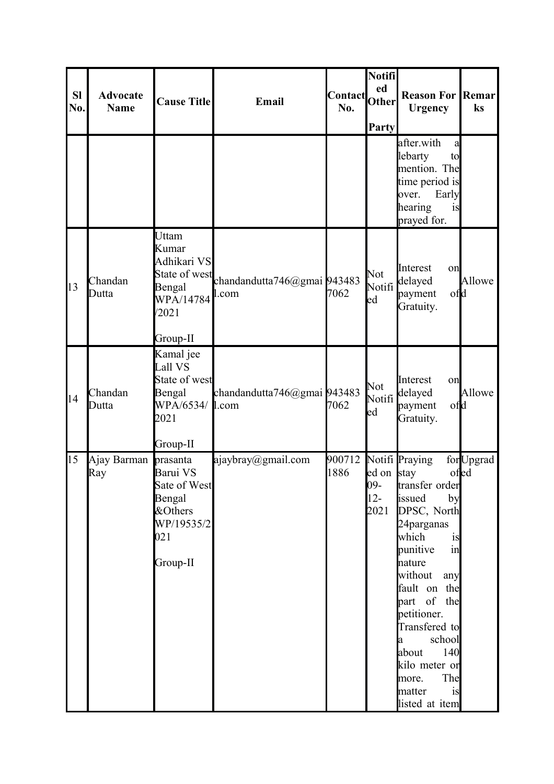| <b>SI</b><br>No. | <b>Advocate</b><br><b>Name</b> | <b>Cause Title</b>                                                                         | Email                                                 | Contact <br> Other <br>No. | Notifi<br>ed<br>Party               | <b>Reason For Remar</b><br><b>Urgency</b>                                                                                                                                                                                                                                                                             | ks                |
|------------------|--------------------------------|--------------------------------------------------------------------------------------------|-------------------------------------------------------|----------------------------|-------------------------------------|-----------------------------------------------------------------------------------------------------------------------------------------------------------------------------------------------------------------------------------------------------------------------------------------------------------------------|-------------------|
|                  |                                |                                                                                            |                                                       |                            |                                     | after.with<br>a<br>lebarty<br>to<br>mention. The<br>time period is<br>Early<br>over.<br>hearing<br>is<br>prayed for.                                                                                                                                                                                                  |                   |
| 13               | Chandan<br>Dutta               | Uttam<br>Kumar<br>Adhikari VS<br>Bengal<br>WPA/14784<br>/2021<br>Group-II                  | State of west<br>chandandutta746@gmai 943483<br>l.com | 7062                       | Not<br>Notifi<br>ed                 | Interest<br>on<br>delayed<br>ofd<br>payment<br>Gratuity.                                                                                                                                                                                                                                                              | Allowe            |
| 14               | Chandan<br>Dutta               | Kamal jee<br>Lall VS<br>State of west<br>Bengal<br>WPA/6534/ 1.com<br>2021<br>Group-II     | chandandutta746@gmai 943483                           | 7062                       | <b>Not</b><br>Notifi<br>ed          | Interest<br>on<br>delayed<br>ofd<br>payment<br>Gratuity.                                                                                                                                                                                                                                                              | Allowe            |
| 15               | Ajay Barman<br>Ray             | prasanta<br>Barui VS<br>Sate of West<br>Bengal<br>&Others<br>WP/19535/2<br>021<br>Group-II | ajaybray@gmail.com                                    | 900712<br>1886             | ed on stay<br>09-<br>$12 -$<br>2021 | Notifi Praying<br>transfer order<br>issued<br>by<br>DPSC, North<br>24 parganas<br>which<br>is<br>punitive<br>in<br>nature<br>without<br>any<br>fault on the<br>part of the<br>petitioner.<br>Transfered to<br>school<br><b>l</b> a<br>140<br>about<br>kilo meter or<br>The<br>more.<br>matter<br>is<br>listed at item | forUpgrad<br>ofed |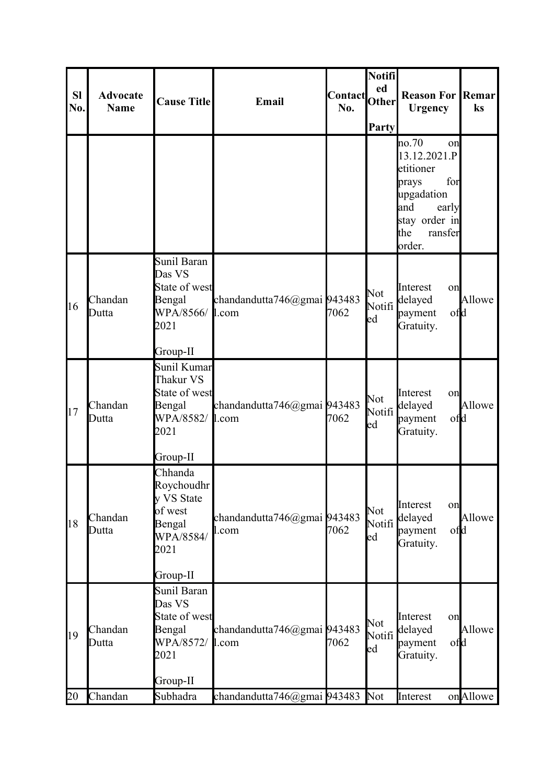| <b>SI</b><br>No. | <b>Advocate</b><br><b>Name</b> | <b>Cause Title</b>                                                                        | Email                                | Contact<br>No. | Notifi<br>ed<br>Other<br>Party   | <b>Reason For Remar</b><br><b>Urgency</b>                                                                                           | ks       |
|------------------|--------------------------------|-------------------------------------------------------------------------------------------|--------------------------------------|----------------|----------------------------------|-------------------------------------------------------------------------------------------------------------------------------------|----------|
|                  |                                |                                                                                           |                                      |                |                                  | no.70<br>on<br>13.12.2021.P<br>etitioner<br>for<br>prays<br>upgadation<br>and<br>early<br>stay order in<br>the<br>ransfer<br>order. |          |
| 16               | Chandan<br>Dutta               | Sunil Baran<br>Das VS<br>State of west<br>Bengal<br>WPA/8566/<br>2021<br>Group-II         | chandandutta746@gmai 943483<br>1.com | 7062           | Not<br>Notifi<br>ed              | Interest<br>on<br>delayed<br>ofd<br>payment<br>Gratuity.                                                                            | Allowe   |
| 17               | Chandan<br>Dutta               | Sunil Kumar<br>Thakur VS<br>State of west<br>Bengal<br>WPA/8582/<br>2021<br>Group-II      | chandandutta746@gmai 943483<br>1.com | 7062           | Not<br>Notifi<br>$_{\text{led}}$ | Interest<br>on<br>delayed<br>ofd<br>payment<br>Gratuity.                                                                            | Allowe   |
| 18               | Chandan<br>Dutta               | Chhanda<br>Roychoudhr<br>y VS State<br>of west<br>Bengal<br>WPA/8584/<br>2021<br>Group-II | chandandutta746@gmai 943483<br>l.com | 7062           | Not<br>Notifi<br>ed              | Interest<br>on<br>delayed<br>ofd<br>payment<br>Gratuity.                                                                            | Allowe   |
| 19               | Chandan<br>Dutta               | Sunil Baran<br>Das VS<br>State of west<br>Bengal<br>WPA/8572/<br>2021<br>Group-II         | chandandutta746@gmai 943483<br>l.com | 7062           | Not<br>Notifi<br>ed              | Interest<br>on<br>delayed<br>payment<br>ofd<br>Gratuity.                                                                            | Allowe   |
| 20               | Chandan                        | Subhadra                                                                                  | chandandutta746@gmai 943483          |                | Not                              | Interest                                                                                                                            | onAllowe |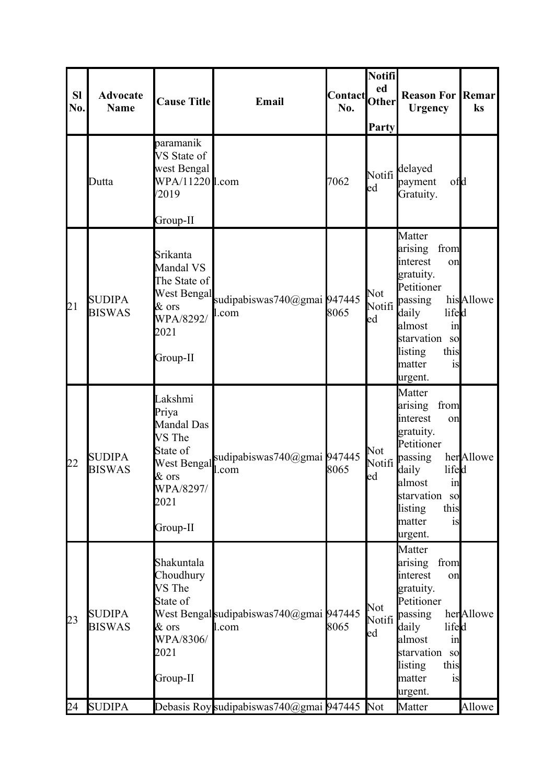| <b>SI</b><br>No. | <b>Advocate</b><br><b>Name</b> | <b>Cause Title</b>                                                                                               | Email                                            | <b>Contact</b><br>No. | Notifi<br>ed<br><b>Other</b><br>Party | <b>Reason For Remar</b><br><b>Urgency</b>                                                                                                                                                        | ks        |
|------------------|--------------------------------|------------------------------------------------------------------------------------------------------------------|--------------------------------------------------|-----------------------|---------------------------------------|--------------------------------------------------------------------------------------------------------------------------------------------------------------------------------------------------|-----------|
|                  | Dutta                          | paramanik<br>VS State of<br>west Bengal<br>WPA/11220 l.com<br>/2019                                              |                                                  | 7062                  | ed                                    | Notifi <sup>delayed</sup><br>ofd<br>payment<br>Gratuity.                                                                                                                                         |           |
| 21               | <b>SUDIPA</b><br><b>BISWAS</b> | Group-II<br>Srikanta<br>Mandal VS<br>The State of<br>West Bengal<br>$&$ ors<br>WPA/8292/<br>2021<br>Group-II     | sudipabiswas740@gmai 947445<br>l.com             | 8065                  | Not<br>Notifi<br>ed                   | Matter<br>arising<br>from<br>interest<br>on<br>gratuity.<br>Petitioner<br>passing<br>lifed<br>daily<br>almost<br>in<br>starvation<br><sub>SO</sub><br>listing<br>this<br>matter<br>is<br>urgent. | hisAllowe |
| 22               | <b>SUDIPA</b><br><b>BISWAS</b> | Lakshmi<br>Priya<br>Mandal Das<br>VS The<br>State of<br>West Bengal<br>$\&$ ors<br>WPA/8297/<br>2021<br>Group-II | sudipabiswas740@gmai 947445<br>l.com             | 8065                  | Not<br>Notifi<br>ed                   | Matter<br>arising<br>from<br>interest<br>on<br>gratuity.<br>Petitioner<br>passing<br>lifed<br>daily<br>almost<br>1n<br>starvation so<br>this<br>listing<br>matter<br>is<br>urgent.               | herAllowe |
| 23               | <b>SUDIPA</b><br><b>BISWAS</b> | Shakuntala<br>Choudhury<br>VS The<br>State of<br>& ors<br>WPA/8306/<br>2021<br>Group-II                          | West Bengal sudipabiswas740@gmai 947445<br>l.com | 8065                  | Not<br>Notifi<br>ed                   | Matter<br>arising<br>from<br>interest<br>on<br>gratuity.<br>Petitioner<br>passing<br>daily<br>lifed<br>almost<br>in<br>starvation<br><sub>SO</sub><br>listing<br>this<br>matter<br>is<br>urgent. | herAllowe |
| 24               | <b>SUDIPA</b>                  |                                                                                                                  | Debasis Roy sudipabiswas740@gmai 947445          |                       | Not                                   | Matter                                                                                                                                                                                           | Allowe    |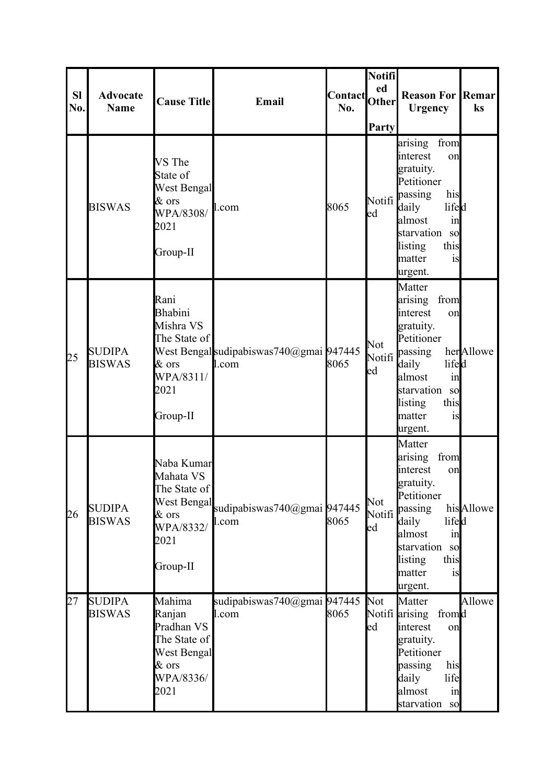| <b>SI</b><br>No. | <b>Advocate</b><br><b>Name</b> | <b>Cause Title</b>                                                                                  | Email                                            | Contact<br>No. | Notifi<br>ed<br><b>Other</b><br>Party | <b>Reason For Remar</b><br><b>Urgency</b>                                                                                                                                                        | ks        |
|------------------|--------------------------------|-----------------------------------------------------------------------------------------------------|--------------------------------------------------|----------------|---------------------------------------|--------------------------------------------------------------------------------------------------------------------------------------------------------------------------------------------------|-----------|
|                  | <b>BISWAS</b>                  | VS The<br>State of<br>West Bengal<br>$&$ ors<br>WPA/8308/<br>2021<br>Group-II                       | l.com                                            | 8065           | Notifi<br>ed                          | arising<br>from<br>interest<br>on<br>gratuity.<br>Petitioner<br>his<br>passing<br>daily<br>lifed<br>almost<br>in<br>starvation<br><sub>SO</sub><br>this<br>listing<br>matter<br>is<br>urgent.    |           |
| 25               | <b>SUDIPA</b><br><b>BISWAS</b> | Rani<br>Bhabini<br>Mishra VS<br>The State of<br>& ors<br>WPA/8311/<br>2021<br>Group-II              | West Bengal sudipabiswas740@gmai 947445<br>l.com | 8065           | Not<br>Notifi<br>ed                   | Matter<br>arising<br>from<br>interest<br>on<br>gratuity.<br>Petitioner<br>passing<br>daily<br>lifed<br>almost<br>in<br>starvation<br><sub>SO</sub><br>listing<br>this<br>matter<br>is<br>urgent. | herAllowe |
| 26               | <b>SUDIPA</b><br><b>BISWAS</b> | Naba Kumar<br>Mahata VS<br>The State of<br>West Bengal<br>$\&$ ors<br>WPA/8332/<br>2021<br>Group-II | sudipabiswas740@gmai 947445<br>l.com             | 8065           | Not<br>Notifi<br>ed                   | Matter<br>arising<br>from<br>interest<br>on<br>gratuity.<br>Petitioner<br>passing<br>daily<br>lifed<br>almost<br>in<br>starvation<br>so<br>this<br>listing<br>matter<br>is<br>urgent.            | hisAllowe |
| 27               | <b>SUDIPA</b><br><b>BISWAS</b> | Mahima<br>Ranjan<br>Pradhan VS<br>The State of<br>West Bengal<br>$&$ ors<br>WPA/8336/<br>2021       | sudipabiswas740@gmai 947445<br>l.com             | 8065           | Not<br>ed                             | Matter<br>Notifi arising<br>fromd<br>interest<br>on<br>gratuity.<br>Petitioner<br>passing<br>his<br>daily<br>life<br>almost<br>in<br>starvation<br><sub>SO</sub>                                 | Allowe    |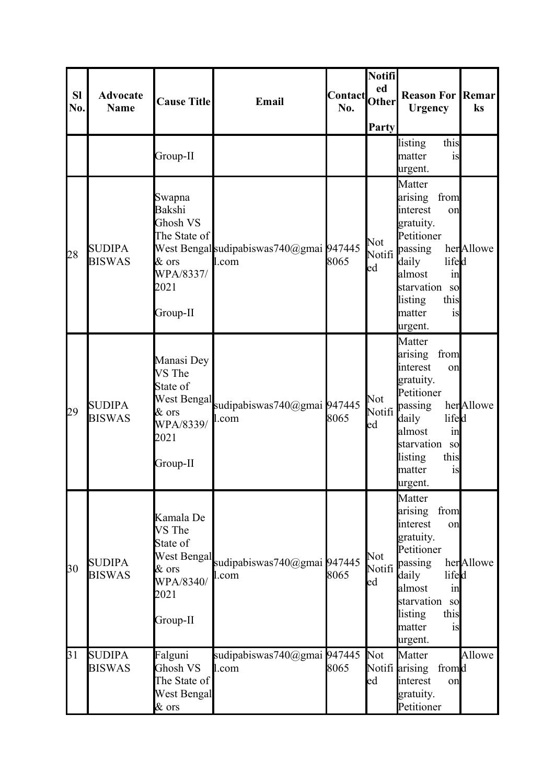| <b>Sl</b><br>No. | <b>Advocate</b><br><b>Name</b> | <b>Cause Title</b>                                                                               | Email                                            | <b>Contact</b><br>No. | Notifi<br>ed<br><b>Other</b><br>Party | <b>Reason For Remar</b><br><b>Urgency</b>                                                                                                                                                                | ks        |
|------------------|--------------------------------|--------------------------------------------------------------------------------------------------|--------------------------------------------------|-----------------------|---------------------------------------|----------------------------------------------------------------------------------------------------------------------------------------------------------------------------------------------------------|-----------|
|                  |                                | Group-II                                                                                         |                                                  |                       |                                       | this<br>listing<br>matter<br>is<br>urgent.                                                                                                                                                               |           |
| 28               | <b>SUDIPA</b><br><b>BISWAS</b> | Swapna<br>Bakshi<br>Ghosh VS<br>The State of<br>& ors<br>WPA/8337/<br>2021<br>Group-II           | West Bengal sudipabiswas740@gmai 947445<br>1.com | 8065                  | Not<br>Notifi<br>ed                   | Matter<br>from<br>arising<br>interest<br>on<br>gratuity.<br>Petitioner<br>passing<br>daily<br>lifed<br>almost<br>$\sin$<br>starvation so<br>this<br>listing<br>matter<br>1S<br>urgent.                   | herAllowe |
| 29               | <b>SUDIPA</b><br><b>BISWAS</b> | Manasi Dey<br>VS The<br>State of<br><b>West Bengal</b><br>& ors<br>WPA/8339/<br>2021<br>Group-II | sudipabiswas740@gmai 947445<br>l.com             | 8065                  | Not<br>ed                             | Matter<br>from<br>arising<br>interest<br>on<br>gratuity.<br>Petitioner<br>Notifi <sup>passing</sup><br>lifed<br>daily<br>almost<br>$\sin$<br>starvation so<br>listing<br>this<br>matter<br>1S<br>urgent. | herAllowe |
| 30               | <b>SUDIPA</b><br><b>BISWAS</b> | Kamala De<br>VS The<br>State of<br>West Bengal<br>& ors<br>WPA/8340/<br>2021<br>Group-II         | sudipabiswas740@gmai 947445<br>l.com             | 8065                  | Not<br>Notifi <sup> </sup><br>ed      | Matter<br>from<br>arising<br>interest<br>on<br>gratuity.<br>Petitioner<br>passing<br>daily<br>lifed<br>almost<br>$\sin$<br>starvation so<br>listing<br>this<br>matter<br>is<br>urgent.                   | herAllowe |
| 31               | <b>SUDIPA</b><br><b>BISWAS</b> | Falguni<br>Ghosh VS<br>The State of<br><b>West Bengal</b><br>& ors                               | sudipabiswas740@gmai 947445<br>l.com             | 8065                  | <b>Not</b><br>ed                      | Matter<br>Notifi arising<br>fromd<br>interest<br>on<br>gratuity.<br>Petitioner                                                                                                                           | Allowe    |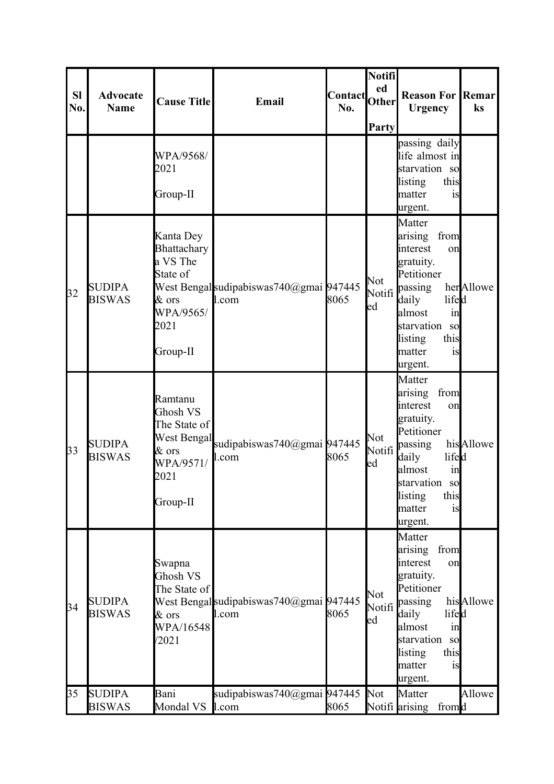| <b>SI</b><br>No. | <b>Advocate</b><br><b>Name</b> | <b>Cause Title</b>                                                                           | Email                                            | <b>Contact</b><br>No. | Notifi<br>ed<br><b>Other</b><br>Party | <b>Reason For Remar</b><br><b>Urgency</b>                                                                                                                                                                          | ks        |
|------------------|--------------------------------|----------------------------------------------------------------------------------------------|--------------------------------------------------|-----------------------|---------------------------------------|--------------------------------------------------------------------------------------------------------------------------------------------------------------------------------------------------------------------|-----------|
|                  |                                | WPA/9568/<br>2021<br>Group-II                                                                |                                                  |                       |                                       | passing daily<br>life almost in<br>starvation so<br>listing<br>this<br>matter<br>is<br>urgent.                                                                                                                     |           |
| 32               | <b>SUDIPA</b><br><b>BISWAS</b> | Kanta Dey<br>Bhattachary<br>a VS The<br>State of<br>$&$ ors<br>WPA/9565/<br>2021<br>Group-II | West Bengal sudipabiswas740@gmai 947445<br>1.com | 8065                  | Not<br>ed                             | Matter<br>from<br>arising<br>interest<br>on<br>gratuity.<br>Petitioner<br>Notifi <sup>passing</sup><br>daily<br>lifed<br>almost<br>in<br>starvation<br><sub>so</sub><br>listing<br>this<br>matter<br>1S<br>urgent. | herAllowe |
| 33               | <b>SUDIPA</b><br><b>BISWAS</b> | Ramtanu<br>Ghosh VS<br>The State of<br>$\&$ ors<br>WPA/9571/<br>2021<br>Group-II             | West Bengal sudipabiswas740@gmai 947445<br>l.com | 8065                  | Not<br>Notifi<br>ed                   | Matter<br>arising<br>from<br>interest<br>on<br>gratuity.<br>Petitioner<br>passing<br>lifed<br>daily<br>almost<br>in<br><b>starvation</b><br>sol<br>listing<br>this<br>matter<br>1S<br>urgent.                      | hisAllowe |
| 34               | <b>SUDIPA</b><br><b>BISWAS</b> | Swapna<br>Ghosh VS<br>The State of<br>& ors<br>WPA/16548<br>/2021                            | West Bengal sudipabiswas740@gmai 947445<br>l.com | 8065                  | Not<br>Notifi<br>ed                   | Matter<br>from<br>arising<br>interest<br>on<br>gratuity.<br>Petitioner<br>passing<br>lifed<br>daily<br>almost<br>$\sin$<br>starvation<br><sub>SO</sub><br>this<br>listing<br>matter<br>is<br>urgent.               | hisAllowe |
| 35               | <b>SUDIPA</b><br><b>BISWAS</b> | Bani<br>Mondal VS                                                                            | sudipabiswas740@gmai 947445<br>1.com             | 8065                  | Not                                   | Matter<br>Notifi arising<br>fromd                                                                                                                                                                                  | Allowe    |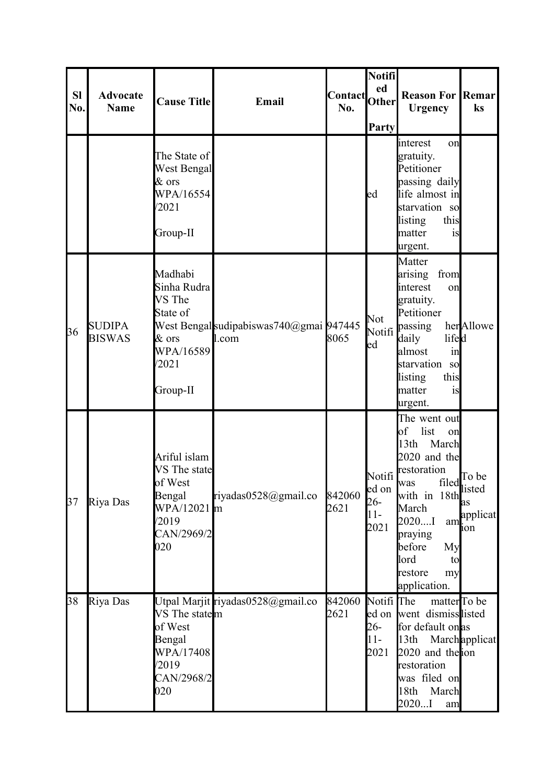| <b>SI</b><br>No. | <b>Advocate</b><br><b>Name</b> | <b>Cause Title</b>                                                                             | Email                                            | Contact<br>No. | Notifi<br>ed<br>Other<br>Party             | <b>Reason For Remar</b><br><b>Urgency</b>                                                                                                                                                                             | ks                                                      |
|------------------|--------------------------------|------------------------------------------------------------------------------------------------|--------------------------------------------------|----------------|--------------------------------------------|-----------------------------------------------------------------------------------------------------------------------------------------------------------------------------------------------------------------------|---------------------------------------------------------|
|                  |                                | The State of<br>West Bengal<br>& ors<br>WPA/16554<br>/2021<br>Group-II                         |                                                  |                | ed                                         | interest<br>on<br>gratuity.<br>Petitioner<br>passing daily<br>life almost in<br>starvation so<br>listing<br>this<br>matter<br>is<br>urgent.                                                                           |                                                         |
| 36               | <b>SUDIPA</b><br><b>BISWAS</b> | Madhabi<br>Sinha Rudra<br>VS The<br>State of<br>$\&$ ors<br>WPA/16589<br>/2021<br>Group-II     | West Bengal sudipabiswas740@gmai 947445<br>1.com | 8065           | Not<br>Notifi<br>ed                        | Matter<br>from<br>arising<br>interest<br>on<br>gratuity.<br>Petitioner<br>passing<br>lifed<br>daily<br>almost<br>in<br>starvation so<br>listing<br>this<br>matter<br>1S<br>urgent.                                    | herAllowe                                               |
| 37               | Riya Das                       | Ariful islam<br>VS The state<br>of West<br>Bengal<br>WPA/12021 m<br>/2019<br>CAN/2969/2<br>020 | riyadas0528@gmail.co                             | 842060<br>2621 | Notifi<br>ed on<br>$26 -$<br>$11-$<br>2021 | The went out<br>list<br>of<br>on<br>13th<br>March<br>2020 and the<br>restoration<br>was<br>with in 18th<br>M <sub>1</sub><br>March<br>2020I<br>praying<br>before<br>My<br>lord<br>tο<br>restore<br>my<br>application. | filed <sup>To be</sup><br>am <sup>applicat</sup><br>ion |
| 38               | Riya Das                       | VS The state <sub>m</sub><br>of West<br>Bengal<br>WPA/17408<br>/2019<br>CAN/2968/2<br>020      | Utpal Marjit riyadas0528@gmail.co                | 842060<br>2621 | Notifi The<br>26-<br>$11-$<br>2021         | matter <sup>To</sup> be<br>ed on went dismisslisted<br>for default on as<br>13th<br>2020 and the ion<br>restoration<br>was filed on<br>March<br>18th<br>2020I<br>am                                                   | Marchapplicat                                           |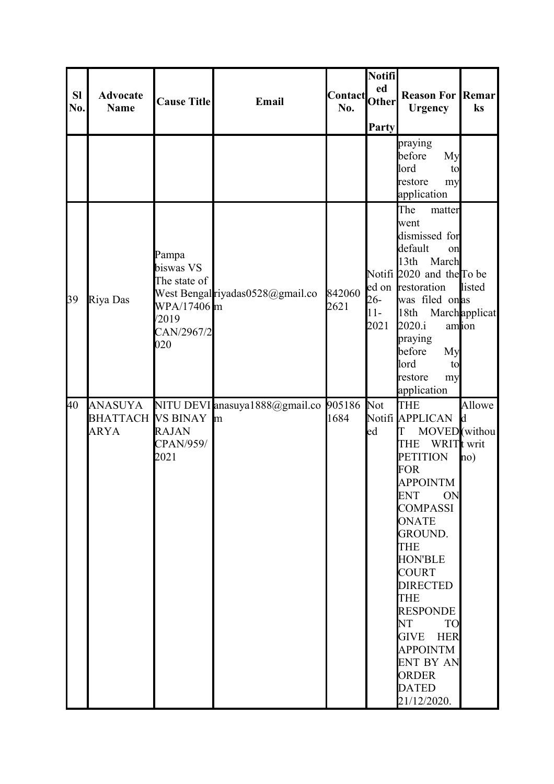| <b>SI</b><br>No. | <b>Advocate</b><br><b>Name</b>                     | <b>Cause Title</b>                                                              | Email                                      | Contact Other<br>No. | Notifi<br>ed<br>Party   | <b>Reason For Remar</b><br><b>Urgency</b>                                                                                                                                                                                                                                                                                                                                                                                                     | ks                                |
|------------------|----------------------------------------------------|---------------------------------------------------------------------------------|--------------------------------------------|----------------------|-------------------------|-----------------------------------------------------------------------------------------------------------------------------------------------------------------------------------------------------------------------------------------------------------------------------------------------------------------------------------------------------------------------------------------------------------------------------------------------|-----------------------------------|
|                  |                                                    |                                                                                 |                                            |                      |                         | praying<br>My<br>before<br>lord<br>to<br>restore<br>my<br>application                                                                                                                                                                                                                                                                                                                                                                         |                                   |
| 39               | Riya Das                                           | Pampa<br>biswas VS<br>The state of<br>WPA/17406 m<br>/2019<br>CAN/2967/2<br>020 | West Bengal riyadas0528@gmail.co           | 842060<br>2621       | $26 -$<br>$11-$<br>2021 | The<br>matter<br>went<br>dismissed for<br>default<br>on<br>March<br>13th<br>Notifi 2020 and the To be<br>ed on restoration<br>was filed onas<br>18th<br>2020.i<br>praying<br>before<br>My<br>lord<br>to<br>restore<br>my<br>application                                                                                                                                                                                                       | listed<br>Marchapplicat<br>amion  |
| 40               | ANASUYA<br><b>BHATTACH VS BINAY</b><br><b>ARYA</b> | <b>RAJAN</b><br>CPAN/959/<br>2021                                               | NITU DEVI anasuya1888@gmail.co 905186<br>m | 1684                 | <b>Not</b><br>ed        | <b>THE</b><br>Notifi APPLICAN<br>MOVED (withou<br>Τ<br>WRIT <sub>t</sub> writ<br><b>THE</b><br><b>PETITION</b><br><b>FOR</b><br><b>APPOINTM</b><br><b>ENT</b><br>ON<br><b>COMPASSI</b><br><b>ONATE</b><br><b>GROUND.</b><br><b>THE</b><br><b>HON'BLE</b><br><b>COURT</b><br><b>DIRECTED</b><br><b>THE</b><br><b>RESPONDE</b><br>NT NT<br><b>TO</b><br>GIVE HER<br><b>APPOINTM</b><br>ENT BY AN<br><b>ORDER</b><br><b>DATED</b><br>21/12/2020. | Allowe<br>$\mathbf{d}$<br>$\ln 0$ |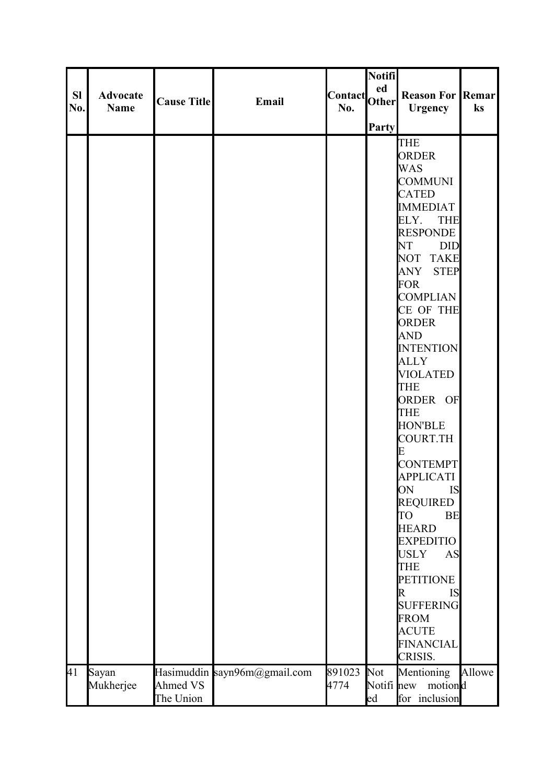|           |                 |                    |                              |               | <b>Notifi</b> |                                           |        |
|-----------|-----------------|--------------------|------------------------------|---------------|---------------|-------------------------------------------|--------|
|           |                 |                    |                              |               | ed            |                                           |        |
| <b>SI</b> | <b>Advocate</b> | <b>Cause Title</b> | Email                        | Contact Other |               | <b>Reason For Remarl</b>                  |        |
| No.       | <b>Name</b>     |                    |                              | No.           |               | <b>Urgency</b>                            | ks     |
|           |                 |                    |                              |               | <b>Party</b>  |                                           |        |
|           |                 |                    |                              |               |               | <b>THE</b>                                |        |
|           |                 |                    |                              |               |               | <b>ORDER</b>                              |        |
|           |                 |                    |                              |               |               | <b>WAS</b>                                |        |
|           |                 |                    |                              |               |               | <b>COMMUNI</b>                            |        |
|           |                 |                    |                              |               |               | <b>CATED</b>                              |        |
|           |                 |                    |                              |               |               | <b>IMMEDIAT</b>                           |        |
|           |                 |                    |                              |               |               | ELY.<br><b>THE</b>                        |        |
|           |                 |                    |                              |               |               | <b>RESPONDE</b>                           |        |
|           |                 |                    |                              |               |               | NT<br><b>DID</b>                          |        |
|           |                 |                    |                              |               |               | NOT TAKE                                  |        |
|           |                 |                    |                              |               |               | ANY STEP                                  |        |
|           |                 |                    |                              |               |               | <b>FOR</b>                                |        |
|           |                 |                    |                              |               |               | <b>COMPLIAN</b>                           |        |
|           |                 |                    |                              |               |               | CE OF THE                                 |        |
|           |                 |                    |                              |               |               | <b>ORDER</b>                              |        |
|           |                 |                    |                              |               |               | <b>AND</b>                                |        |
|           |                 |                    |                              |               |               | <b>INTENTION</b>                          |        |
|           |                 |                    |                              |               |               | <b>ALLY</b>                               |        |
|           |                 |                    |                              |               |               | <b>VIOLATED</b>                           |        |
|           |                 |                    |                              |               |               | <b>THE</b>                                |        |
|           |                 |                    |                              |               |               | ORDER OF                                  |        |
|           |                 |                    |                              |               |               | <b>THE</b>                                |        |
|           |                 |                    |                              |               |               | <b>HON'BLE</b>                            |        |
|           |                 |                    |                              |               |               | <b>COURT.TH</b>                           |        |
|           |                 |                    |                              |               |               | E                                         |        |
|           |                 |                    |                              |               |               | <b>CONTEMPT</b>                           |        |
|           |                 |                    |                              |               |               | <b>APPLICATI</b>                          |        |
|           |                 |                    |                              |               |               | ON<br><b>IS</b>                           |        |
|           |                 |                    |                              |               |               | <b>REQUIRED</b><br><b>BE</b><br><b>TO</b> |        |
|           |                 |                    |                              |               |               | <b>HEARD</b>                              |        |
|           |                 |                    |                              |               |               | <b>EXPEDITIO</b>                          |        |
|           |                 |                    |                              |               |               | <b>USLY</b><br><b>AS</b>                  |        |
|           |                 |                    |                              |               |               | <b>THE</b>                                |        |
|           |                 |                    |                              |               |               | <b>PETITIONE</b>                          |        |
|           |                 |                    |                              |               |               | <b>IS</b><br>R                            |        |
|           |                 |                    |                              |               |               | <b>SUFFERING</b>                          |        |
|           |                 |                    |                              |               |               | <b>FROM</b>                               |        |
|           |                 |                    |                              |               |               | <b>ACUTE</b>                              |        |
|           |                 |                    |                              |               |               | <b>FINANCIAL</b>                          |        |
|           |                 |                    |                              |               |               | CRISIS.                                   |        |
| 41        | Sayan           |                    | Hasimuddin sayn96m@gmail.com | 891023        | Not           | Mentioning                                | Allowe |
|           | Mukherjee       | Ahmed VS           |                              | 4774          | Notifi new    | motiond                                   |        |
|           |                 | The Union          |                              |               | ed            | for inclusion                             |        |
|           |                 |                    |                              |               |               |                                           |        |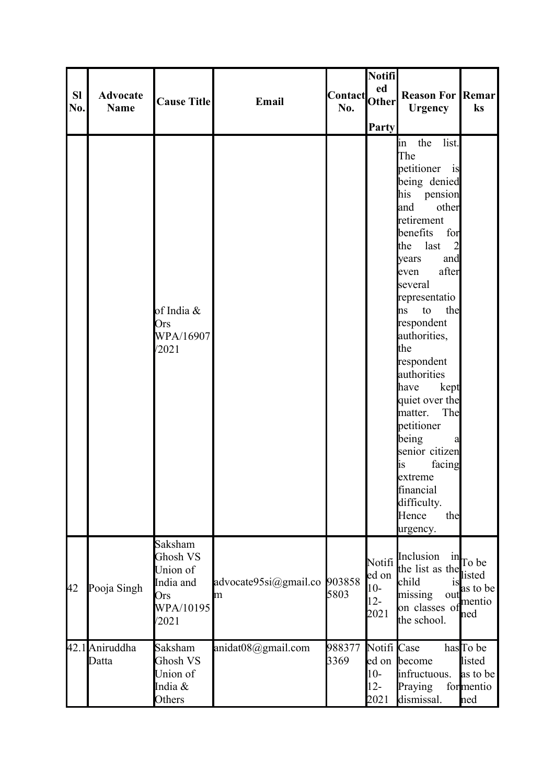| <b>SI</b><br>No. | <b>Advocate</b><br><b>Name</b> | <b>Cause Title</b>                                                        | Email                      | Contact Other<br>No. | <b>Notifi</b><br>ed<br><b>Party</b>        | <b>Reason For Remar</b><br><b>Urgency</b>                                                                                                                                                                                                                                                                                                                                                                                                                                                             | ks                                                                 |
|------------------|--------------------------------|---------------------------------------------------------------------------|----------------------------|----------------------|--------------------------------------------|-------------------------------------------------------------------------------------------------------------------------------------------------------------------------------------------------------------------------------------------------------------------------------------------------------------------------------------------------------------------------------------------------------------------------------------------------------------------------------------------------------|--------------------------------------------------------------------|
|                  |                                | of India &<br>Ors<br>WPA/16907<br>/2021                                   |                            |                      |                                            | in the list.<br>The<br>petitioner is<br>being denied<br>his pension<br>other<br>land<br>retirement<br>benefits<br>for<br>last<br>$\overline{2}$<br>the<br>and<br>years<br>after<br>even<br>several<br>representatio<br>to<br>the<br>hs<br>respondent<br>authorities,<br>the<br>respondent<br>authorities<br>have<br>kept<br>quiet over the<br>The<br>matter.<br>petitioner<br>being<br>a<br>senior citizen<br>facing<br><b>lis</b><br>extreme<br>financial<br>difficulty.<br>Hence<br>the<br>urgency. |                                                                    |
| 42               | Pooja Singh                    | Saksham<br>Ghosh VS<br>Union of<br>India and<br>Ors<br>WPA/10195<br>/2021 | advocate95si@gmail.co<br>m | 903858<br>5803       | Notifi<br>ed on<br>$10-$<br>$12 -$<br>2021 | Inclusion<br>the list as the<br>child<br><b>1S</b><br>missing<br>ou<br>on classes of<br>the school.                                                                                                                                                                                                                                                                                                                                                                                                   | $\lim_{t \to \infty}$ To be<br>listed<br>as to be<br>mentio<br>hed |
|                  | 42.1 Aniruddha<br>Datta        | Saksham<br>Ghosh VS<br>Union of<br>India &<br>Others                      | anidat08@gmail.com         | 988377<br>3369       | Notifi Case<br>$10-$<br>$12 -$<br>2021     | ed on become<br>infructuous.<br>Praying<br>dismissal.                                                                                                                                                                                                                                                                                                                                                                                                                                                 | has To be<br>listed<br>as to be<br>formentio<br>hed                |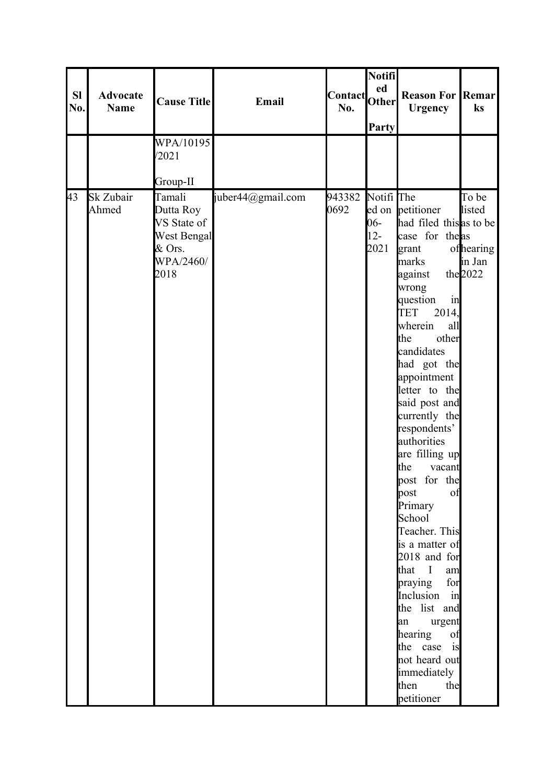| <b>SI</b><br><b>Reason For Remar</b><br><b>Advocate</b><br>Contact Other<br><b>Cause Title</b><br>Email<br>No.<br><b>Name</b><br>No.<br><b>Urgency</b><br><b>Party</b><br>WPA/10195<br>/2021<br>Group-II<br>943382<br>Notifi The<br>43<br>Sk Zubair<br>Tamali<br>juber44@gmail.com                                                                                                                                                                                                                                                                                                                                                                                                                                                                                         | ks                                     |
|----------------------------------------------------------------------------------------------------------------------------------------------------------------------------------------------------------------------------------------------------------------------------------------------------------------------------------------------------------------------------------------------------------------------------------------------------------------------------------------------------------------------------------------------------------------------------------------------------------------------------------------------------------------------------------------------------------------------------------------------------------------------------|----------------------------------------|
|                                                                                                                                                                                                                                                                                                                                                                                                                                                                                                                                                                                                                                                                                                                                                                            |                                        |
|                                                                                                                                                                                                                                                                                                                                                                                                                                                                                                                                                                                                                                                                                                                                                                            |                                        |
|                                                                                                                                                                                                                                                                                                                                                                                                                                                                                                                                                                                                                                                                                                                                                                            |                                        |
|                                                                                                                                                                                                                                                                                                                                                                                                                                                                                                                                                                                                                                                                                                                                                                            |                                        |
|                                                                                                                                                                                                                                                                                                                                                                                                                                                                                                                                                                                                                                                                                                                                                                            |                                        |
| 0692<br>Ahmed<br>Dutta Roy<br>ed on petitioner<br>had filed this as to be<br>$06 -$<br>VS State of<br>$12 -$<br>case for the as<br>West Bengal<br>& Ors.<br>2021<br>grant<br>WPA/2460/<br>marks<br>the $2022$<br>2018<br>against<br>wrong<br>question<br>in<br><b>TET</b><br>2014,<br>wherein<br>all<br>other<br>the<br>candidates<br>had got the<br>appointment<br>letter to the<br>said post and<br>currently the<br>respondents'<br>authorities<br>are filling up<br>the<br>vacant<br>post for the<br>post<br>of<br>Primary<br>School<br>Teacher. This<br>is a matter of<br>2018 and for<br>that I<br>am<br>for<br>praying<br>Inclusion in<br>the list and<br>urgent<br>an<br>hearing<br>of<br>the case is<br>not heard out<br>immediately<br>then<br>the<br>petitioner | To be<br>listed<br>ofhearing<br>in Jan |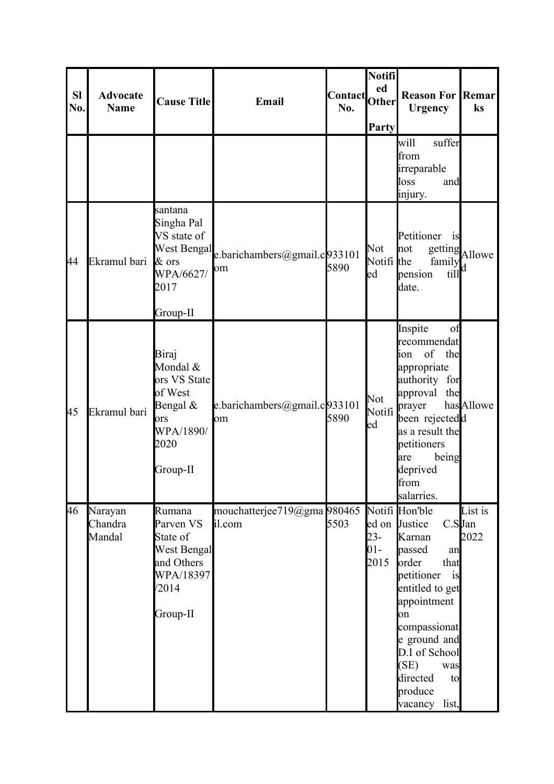| <b>SI</b><br>No. | <b>Advocate</b><br><b>Name</b> | <b>Cause Title</b>                                                                               | Email                                          | Contact<br>No. | Notifi<br>ed<br><b>Other</b><br>Party | <b>Reason For Remar</b><br><b>Urgency</b>                                                                                                                                                                                                                            | ks              |
|------------------|--------------------------------|--------------------------------------------------------------------------------------------------|------------------------------------------------|----------------|---------------------------------------|----------------------------------------------------------------------------------------------------------------------------------------------------------------------------------------------------------------------------------------------------------------------|-----------------|
|                  |                                |                                                                                                  |                                                |                |                                       | suffer<br>will<br>from<br>irreparable<br>loss<br>and<br>injury.                                                                                                                                                                                                      |                 |
| 44               | Ekramul bari                   | santana<br>Singha Pal<br>VS state of<br>& ors<br>WPA/6627/<br>2017<br>Group-II                   | West Bengal e.barichambers@gmail.c033101<br>om | 5890           | Not<br>Notifi the<br>ed               | Petitioner<br>is<br>not<br>family<br>till<br>pension<br>date.                                                                                                                                                                                                        | getting Allowe  |
| 45               | Ekramul bari                   | Biraj<br>Mondal &<br>ors VS State<br>of West<br>Bengal &<br>ors<br>WPA/1890/<br>2020<br>Group-II | e.barichambers@gmail.c933101<br>om             | 5890           | Not<br>Notifi<br>ed                   | Inspite<br>of<br>recommendat<br>of<br>the<br>lion<br>appropriate<br>authority for<br>approval<br>the<br>prayer<br>been rejectedd<br>as a result the<br>petitioners<br>being<br>are<br>deprived<br>from<br>salarries.                                                 | has Allowe      |
| 46               | Narayan<br>Chandra<br>Mandal   | Rumana<br>Parven VS<br>State of<br>West Bengal<br>and Others<br>WPA/18397<br>/2014<br>Group-II   | mouchatterjee719@gma 980465<br>il.com          | 5503           | $23 -$<br>$01 -$<br>2015              | Notifi Hon'ble<br>$C.S$ Jan<br>ed on Justice<br>Karnan<br>passed<br>an<br>order<br>that<br>petitioner<br>is<br>entitled to get<br>appointment<br>on<br>compassionat<br>e ground and<br>D.I of School<br>(SE)<br>was<br>directed<br>to<br>produce<br>list,<br>vacancy | List is<br>2022 |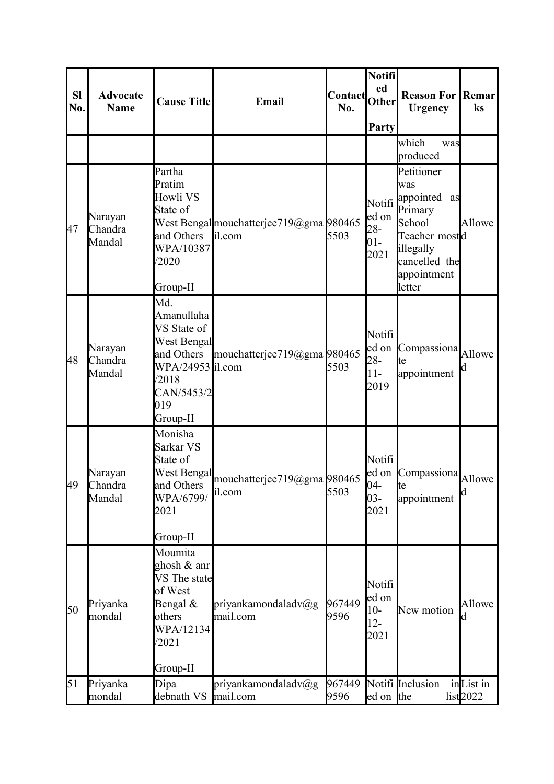| <b>Sl</b><br>No. | <b>Advocate</b><br><b>Name</b>  | <b>Cause Title</b>                                                                                                                 | Email                                             | <b>Contact</b><br>No. | Notifi<br>ed<br><b>Other</b><br>Party       | <b>Reason For</b><br><b>Urgency</b>                                                                                                      | Remar<br>ks            |
|------------------|---------------------------------|------------------------------------------------------------------------------------------------------------------------------------|---------------------------------------------------|-----------------------|---------------------------------------------|------------------------------------------------------------------------------------------------------------------------------------------|------------------------|
|                  |                                 |                                                                                                                                    |                                                   |                       |                                             | which<br>was<br>produced                                                                                                                 |                        |
| 47               | Narayan<br>Chandra<br>Mandal    | Partha<br>Pratim<br>Howli VS<br>State of<br>and Others<br>WPA/10387<br>/2020<br>Group-II                                           | West Bengal mouchatterjee719@gma 980465<br>il.com | 5503                  | ed on<br>$28 -$<br>$01 -$<br>2021           | Petitioner<br>was<br>Notifi appointed<br>as<br>Primary<br>School<br>Teacher mostd<br>illegally<br>cancelled the<br>appointment<br>letter | Allowe                 |
| 48               | Narayan<br>Chandra<br>Mandal    | Md.<br>Amanullaha<br>VS State of<br><b>West Bengal</b><br>and Others<br>WPA/24953 il.com<br>/2018<br>CAN/5453/2<br>019<br>Group-II | mouchatterjee719@gma 980465                       | 5503                  | Notifi<br>led on<br>$28 -$<br>$11-$<br>2019 | Compassiona<br>te<br>appointment                                                                                                         | Allowe                 |
|                  | Narayan<br>49 Chandra<br>Mandal | Monisha<br>Sarkar VS<br>State of<br>West Bengal<br>and Others<br>WPA/6799/<br>2021<br>Group-II                                     | mouchatterjee719@gma 980465<br>il.com             | 5503                  | Notifi<br>$04 -$<br>$03 -$<br>2021          | ed on Compassiona<br>ιe<br>appointment                                                                                                   | Allowe<br>$\mathsf{d}$ |
| 50               | Priyanka<br>mondal              | Moumita<br>ghosh & anr<br>VS The state<br>of West<br>Bengal $\&$<br>others<br>WPA/12134<br>/2021<br>Group-II                       | priyankamondaladv $(\partial g)$<br>mail.com      | 967449<br>9596        | Notifi<br>ed on<br>$10-$<br>$12-$<br>2021   | New motion                                                                                                                               | Allowe                 |
| 51               | Priyanka<br>mondal              | Dipa<br>debnath VS                                                                                                                 | priyankamondaladv $(\partial g)$<br>mail.com      | 967449<br>9596        | ed on the                                   | Notifi Inclusion                                                                                                                         | inList in<br>list2022  |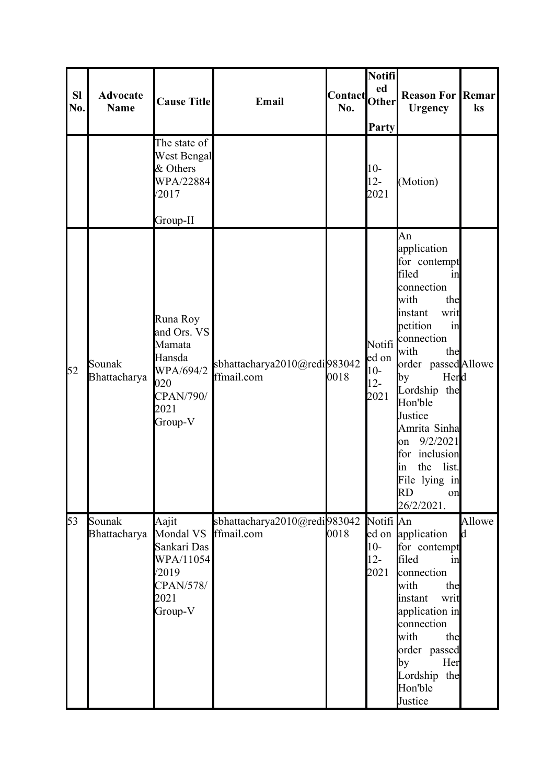| <b>SI</b><br>No. | <b>Advocate</b><br><b>Name</b>   | <b>Cause Title</b>                                                                              | Email                                      | Contact<br>No. | Notifi<br>ed<br><b>Other</b><br>Party      | <b>Reason For Remar</b><br><b>Urgency</b>                                                                                                                                                                                                                                                                                                             | ks           |
|------------------|----------------------------------|-------------------------------------------------------------------------------------------------|--------------------------------------------|----------------|--------------------------------------------|-------------------------------------------------------------------------------------------------------------------------------------------------------------------------------------------------------------------------------------------------------------------------------------------------------------------------------------------------------|--------------|
|                  |                                  | The state of<br><b>West Bengal</b><br>& Others<br>WPA/22884<br>/2017                            |                                            |                | $10-$<br>$12-$<br>2021                     | (Motion)                                                                                                                                                                                                                                                                                                                                              |              |
|                  |                                  | Group-II                                                                                        |                                            |                |                                            |                                                                                                                                                                                                                                                                                                                                                       |              |
| 52               | Sounak<br>Bhattacharya           | Runa Roy<br>and Ors. VS<br>Mamata<br>Hansda<br>WPA/694/2<br>020<br>CPAN/790/<br>2021<br>Group-V | sbhattacharya2010@redi983042<br>ffmail.com | 0018           | Notifi<br>ed on<br>$10-$<br>$12 -$<br>2021 | An<br>application<br>for contempt<br>filed<br>in<br>connection<br>with<br>the<br>writ<br>instant<br>petition<br>in<br>connection<br>with<br>the<br>order passedAllowe<br>Herd<br>by<br>Lordship the<br>Hon'ble<br>Justice<br>Amrita Sinha<br>9/2/2021<br>on<br>for inclusion<br>the<br>list.<br>lin<br>File lying in<br><b>RD</b><br>on<br>26/2/2021. |              |
| 53               | Sounak<br>Bhattacharya Mondal VS | Aajit<br>Sankari Das<br>WPA/11054<br>/2019<br><b>CPAN/578/</b><br>2021<br>Group-V               | sbhattacharya2010@redi983042<br>ffmail.com | 0018           | Notifi An<br>$10-$<br>$12 -$<br>2021       | ed on application<br>for contempt<br>filed<br>in<br>connection<br>with<br>the<br>instant<br>writ<br>application in<br>connection<br>with<br>the<br>order passed<br>by<br>Her<br>Lordship the<br>Hon'ble<br>Justice                                                                                                                                    | Allowe<br>Id |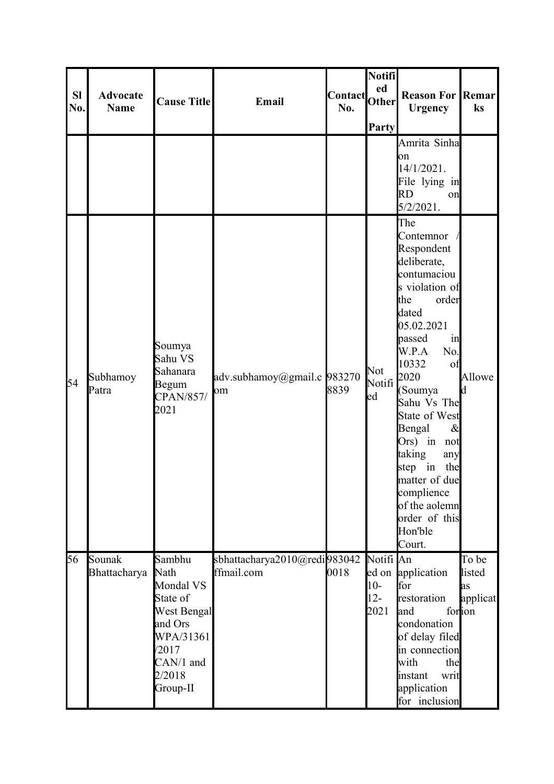| <b>SI</b><br>No. | <b>Advocate</b><br><b>Name</b> | <b>Cause Title</b>                                                                                                                | Email                                      | Contact Other<br>No. | Notifi<br>ed<br>Party                | <b>Reason For Remar</b><br><b>Urgency</b>                                                                                                                                                                                                                                                                                                                                 | ks                                           |
|------------------|--------------------------------|-----------------------------------------------------------------------------------------------------------------------------------|--------------------------------------------|----------------------|--------------------------------------|---------------------------------------------------------------------------------------------------------------------------------------------------------------------------------------------------------------------------------------------------------------------------------------------------------------------------------------------------------------------------|----------------------------------------------|
|                  |                                |                                                                                                                                   |                                            |                      |                                      | Amrita Sinha<br>on<br>14/1/2021.<br>File lying in<br><b>RD</b><br>on<br>$5/2/2021$ .                                                                                                                                                                                                                                                                                      |                                              |
| 54               | Subhamoy<br>Patra              | Soumya<br>Sahu VS<br>Sahanara<br>Begum<br>CPAN/857/<br>2021                                                                       | adv.subhamoy@gmail.c 983270<br>om          | 8839                 | Not<br>Notifi <sup>2020</sup><br>ed  | The<br>Contemnor<br>Respondent<br>deliberate,<br>contumaciou<br>s violation of<br>the<br>order<br>dated<br>05.02.2021<br>passed<br>in<br>W.P.A<br>No.<br>10332<br>of<br>(Soumya<br>Sahu Vs The<br>State of West<br>Bengal<br>$\&$<br>Ors) in not<br>taking<br>any<br>step in<br>the<br>matter of due<br>complience<br>of the aolemn<br>order of this<br>Hon'ble<br>Court. | Allowe<br>Id                                 |
| 56               | Sounak<br>Bhattacharya         | Sambhu<br>Nath<br>Mondal VS<br>State of<br><b>West Bengal</b><br>and Ors<br>WPA/31361<br>/2017<br>CAN/1 and<br>2/2018<br>Group-II | sbhattacharya2010@redi983042<br>ffmail.com | 0018                 | Notifi An<br>$10-$<br>$12 -$<br>2021 | ed on application<br>for<br>restoration<br>land<br>condonation<br>of delay filed<br>in connection<br>with<br>the<br>instant<br>writ<br>application<br>for inclusion                                                                                                                                                                                                       | To be<br>listed<br>as<br>applicat<br>fortion |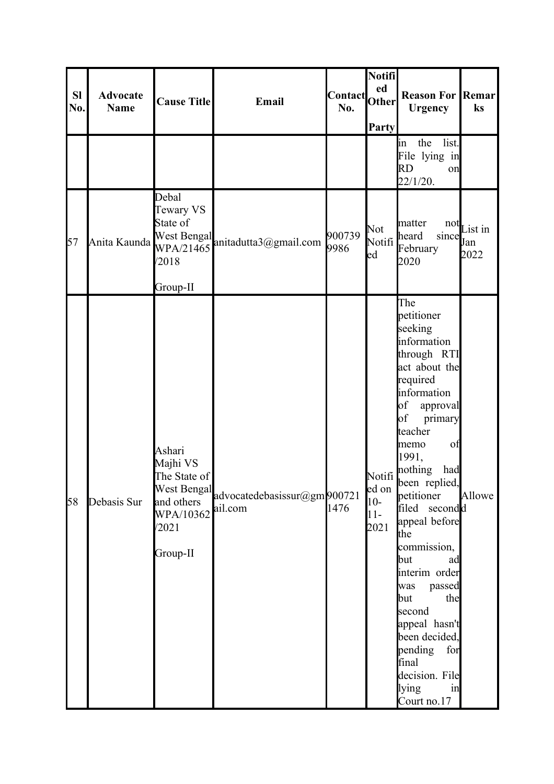| <b>SI</b><br>No. | <b>Advocate</b><br><b>Name</b> | <b>Cause Title</b>                                                                 | Email                                               | Contact<br>No. | Notifi<br>ed<br><b>Other</b><br>Party     | <b>Reason For Remar</b><br><b>Urgency</b>                                                                                                                                                                                                                                                                                                                                                                                                                                       | ks                           |
|------------------|--------------------------------|------------------------------------------------------------------------------------|-----------------------------------------------------|----------------|-------------------------------------------|---------------------------------------------------------------------------------------------------------------------------------------------------------------------------------------------------------------------------------------------------------------------------------------------------------------------------------------------------------------------------------------------------------------------------------------------------------------------------------|------------------------------|
|                  |                                |                                                                                    |                                                     |                |                                           | list.<br>the<br>$\lim$<br>File lying in<br>RD<br>on<br>22/1/20.                                                                                                                                                                                                                                                                                                                                                                                                                 |                              |
| 57               | Anita Kaunda                   | Debal<br>Tewary VS<br>State of<br><b>West Bengal</b><br>/2018<br>Group-II          | WPA/21465 anitadutta3@gmail.com                     | 900739<br>9986 | Not<br>Notifi<br>ed                       | matter<br>since<br>heard<br>February<br>2020                                                                                                                                                                                                                                                                                                                                                                                                                                    | $not$ List in<br>Jan<br>2022 |
| 58               | Debasis Sur                    | Ashari<br>Majhi VS<br>The State of<br>and others<br>WPA/10362<br>/2021<br>Group-II | West Bengal advocatedebasissur@gm 900721<br>ail.com | 1476           | Notifi<br>ed on<br>$10-$<br>$11-$<br>2021 | The<br>petitioner<br>seeking<br>information<br>through RTI<br>act about the<br>required<br>information<br>$\circ$ f<br>approval<br>of<br>primary<br>teacher<br>of<br>memo<br>1991,<br>nothing<br>had<br>been replied,<br>petitioner<br>filed secondd<br>appeal before<br>the<br>commission,<br>but<br>ad<br>interim order<br>passed<br>was<br>the<br>but<br>second<br>appeal hasn't<br>been decided,<br>pending<br>for<br>final<br>decision. File<br>lying<br>in<br>Court no.17 | Allowe                       |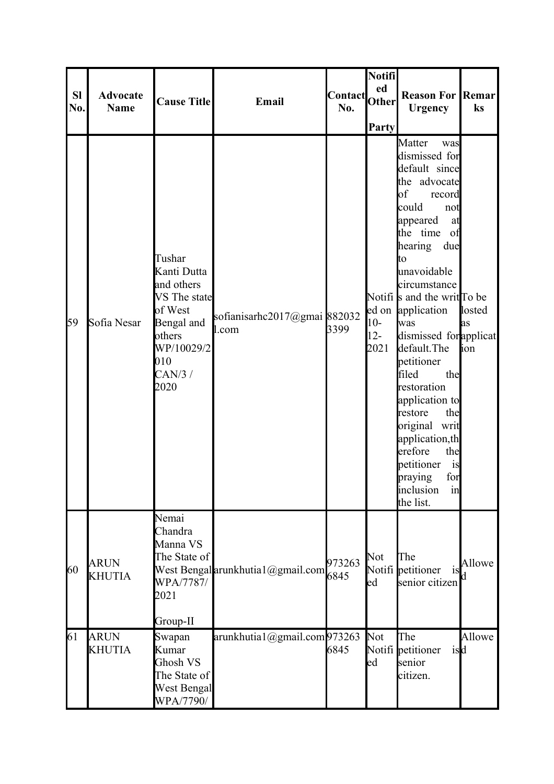| <b>Sl</b><br>No. | <b>Advocate</b><br>Name      | <b>Cause Title</b>                                                                                                            | Email                                 | Contact Other<br>No. | Notifi<br><b>Party</b>  | <b>Reason For Remar</b><br><b>Urgency</b>                                                                                                                                                                                                                                                                                                                                                                                                                                                                          | ks                   |
|------------------|------------------------------|-------------------------------------------------------------------------------------------------------------------------------|---------------------------------------|----------------------|-------------------------|--------------------------------------------------------------------------------------------------------------------------------------------------------------------------------------------------------------------------------------------------------------------------------------------------------------------------------------------------------------------------------------------------------------------------------------------------------------------------------------------------------------------|----------------------|
| 59               | Sofia Nesar                  | Tushar<br>Kanti Dutta<br>and others<br>VS The state<br>of West<br>Bengal and<br>others<br>WP/10029/2<br>010<br>CAN/3/<br>2020 | sofianisarhc2017@gmai 882032<br>l.com | 3399                 | $10-$<br>$12 -$<br>2021 | Matter<br>was<br>dismissed for<br>default since<br>the advocate<br>$\bf{b}$<br>record<br>could<br>not<br>appeared<br>at<br>the time<br>of<br>hearing<br>due<br>to<br>unavoidable<br>circumstance<br>Notifi s and the writ To be<br>ed on application<br>was<br>dismissed for applicat<br>default. The<br>petitioner<br>filed<br>the<br>restoration<br>application to<br>the<br>restore<br>original writ<br>application, th<br>erefore<br>the<br>petitioner<br>is<br>for<br>praying<br>inclusion<br>in<br>the list. | losted<br>as<br>lion |
| 60               | <b>ARUN</b><br><b>KHUTIA</b> | Nemai<br>Chandra<br>Manna VS<br>The State of<br>WPA/7787/<br>2021<br>Group-II                                                 | West Bengal arunkhutia1@gmail.com     | 973263<br>6845       | Not<br>ed               | The<br>Notifi petitioner<br><b>1S</b><br>senior citizen                                                                                                                                                                                                                                                                                                                                                                                                                                                            | Allowe               |
| 61               | <b>ARUN</b><br><b>KHUTIA</b> | Swapan<br>Kumar<br>Ghosh VS<br>The State of<br>West Bengal<br>WPA/7790/                                                       | arunkhutia1@gmail.com973263           | 6845                 | Not<br>ed               | The<br>Notifi petitioner<br>isd<br>senior<br>citizen.                                                                                                                                                                                                                                                                                                                                                                                                                                                              | Allowe               |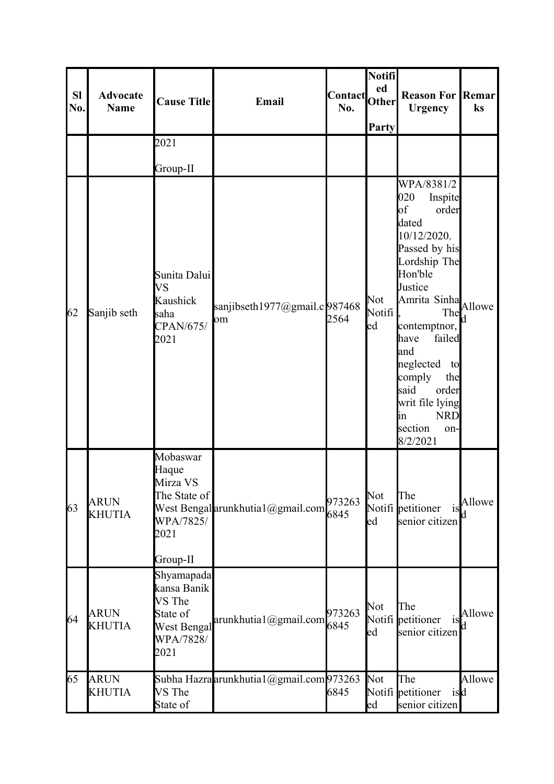| <b>Sl</b><br>No. | <b>Advocate</b><br><b>Name</b> | <b>Cause Title</b>                                                                  | Email                                    | <b>Contact</b><br>No. | Notifi<br>ed<br>Other<br>Party   | <b>Reason For Remar</b><br><b>Urgency</b>                                                                                                                                                                                                                                                                                          | ks           |
|------------------|--------------------------------|-------------------------------------------------------------------------------------|------------------------------------------|-----------------------|----------------------------------|------------------------------------------------------------------------------------------------------------------------------------------------------------------------------------------------------------------------------------------------------------------------------------------------------------------------------------|--------------|
|                  |                                | 2021                                                                                |                                          |                       |                                  |                                                                                                                                                                                                                                                                                                                                    |              |
|                  |                                | Group-II                                                                            |                                          |                       |                                  |                                                                                                                                                                                                                                                                                                                                    |              |
| 62               | Sanjib seth                    | Sunita Dalui<br><b>VS</b><br>Kaushick<br>saha<br>CPAN/675/<br>2021                  | sanjibseth1977@gmail.c987468<br>om       | 2564                  | Not<br>Notifi<br>$_{\text{led}}$ | WPA/8381/2<br>020<br>Inspite<br>$\bf{a}$<br>order<br>dated<br>10/12/2020.<br>Passed by his<br>Lordship The<br>Hon'ble<br>Justice<br>Amrita Sinha Allowe<br>The<br>contemptnor,<br>failed<br>have<br>and<br>neglected<br>to<br>comply<br>the<br>said<br>order<br>writ file lying<br><b>NRD</b><br>lin<br>section<br>on-<br>8/2/2021 | d            |
| 63               | <b>ARUN</b><br><b>KHUTIA</b>   | Mobaswar<br>Haque<br>Mirza VS<br>The State of<br>WPA/7825/<br>2021<br>Group-II      | West Bengal arunkhutia1@gmail.com        | 973263<br>6845        | Not<br>led                       | The<br>Notifi petitioner<br>1S<br>senior citizen                                                                                                                                                                                                                                                                                   | Allowe<br>d. |
| 64               | <b>ARUN</b><br><b>KHUTIA</b>   | Shyamapada<br>kansa Banik<br>VS The<br>State of<br>West Bengal<br>WPA/7828/<br>2021 | arunkhutia1@gmail.com                    | 973263<br>6845        | Not<br>led                       | The<br>Notifi petitioner<br>1S<br>senior citizen                                                                                                                                                                                                                                                                                   | Allowe<br>d. |
| 65               | <b>ARUN</b><br><b>KHUTIA</b>   | VS The<br>State of                                                                  | Subha Hazra arunkhutia1@gmail.com 973263 | 6845                  | Not<br>$_{\text{led}}$           | The<br>Notifi petitioner<br>isd<br>senior citizen                                                                                                                                                                                                                                                                                  | Allowe       |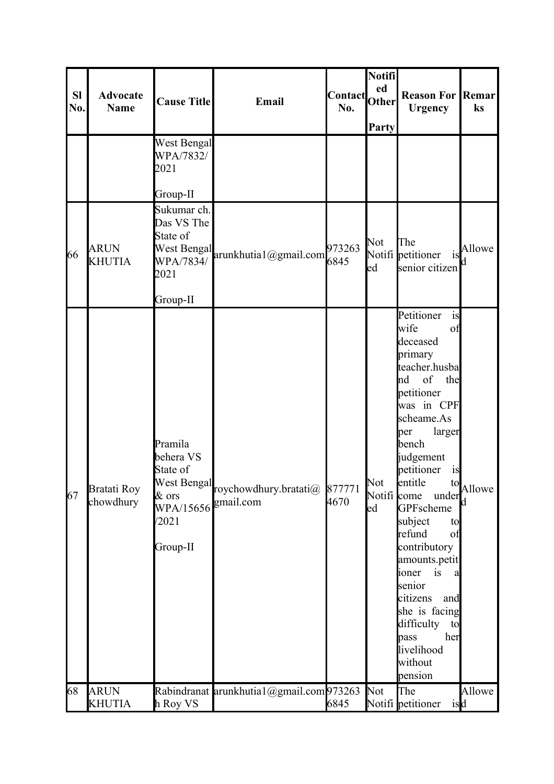| <b>SI</b><br>No. | <b>Advocate</b><br><b>Name</b> | <b>Cause Title</b>                                                                         | Email                                          | <b>Contact</b><br>No. | Notifi<br>ed<br><b>Other</b><br>Party | <b>Reason For Remar</b><br><b>Urgency</b>                                                                                                                                                                                                                                                                                                                                                                                                         | ks     |
|------------------|--------------------------------|--------------------------------------------------------------------------------------------|------------------------------------------------|-----------------------|---------------------------------------|---------------------------------------------------------------------------------------------------------------------------------------------------------------------------------------------------------------------------------------------------------------------------------------------------------------------------------------------------------------------------------------------------------------------------------------------------|--------|
|                  |                                | West Bengal<br>WPA/7832/<br>2021<br>Group-II                                               |                                                |                       |                                       |                                                                                                                                                                                                                                                                                                                                                                                                                                                   |        |
| 66               | <b>ARUN</b><br><b>KHUTIA</b>   | Sukumar ch.<br>Das VS The<br>State of<br>2021<br>Group-II                                  | West Bengal<br>West 3004/arunkhutia1@gmail.com | 973263<br>6845        | Not<br>ed                             | The<br>Notifi petitioner<br>is<br>senior citizen                                                                                                                                                                                                                                                                                                                                                                                                  | Allowe |
| 67               | Bratati Roy<br>chowdhury       | Pramila<br>behera VS<br>State of<br>West Bengal<br>& ors<br>WPA/15656<br>/2021<br>Group-II | roychowdhury.bratati@ 877771<br>gmail.com      | 4670                  | Not<br>Notifi come<br>ed              | Petitioner<br>is<br>wife<br>of<br>deceased<br>primary<br>teacher.husba<br>of<br>the<br>nd<br>petitioner<br>was in CPF<br>scheame.As<br>larger<br>per<br>bench<br>judgement<br>petitioner<br>1S<br>lentitle<br>to<br>under<br>GPFscheme<br>subject<br>to<br>refund<br>of<br>contributory<br>amounts.petit<br>ioner<br>is<br>a<br>senior<br>citizens<br>and<br>she is facing<br>difficulty<br>to<br>her<br>pass<br>livelihood<br>without<br>pension | Allowe |
| 68               | <b>ARUN</b><br><b>KHUTIA</b>   | h Roy VS                                                                                   | Rabindranat arunkhutia1@gmail.com973263        | 6845                  | Not                                   | The<br>Notifi petitioner<br>isd                                                                                                                                                                                                                                                                                                                                                                                                                   | Allowe |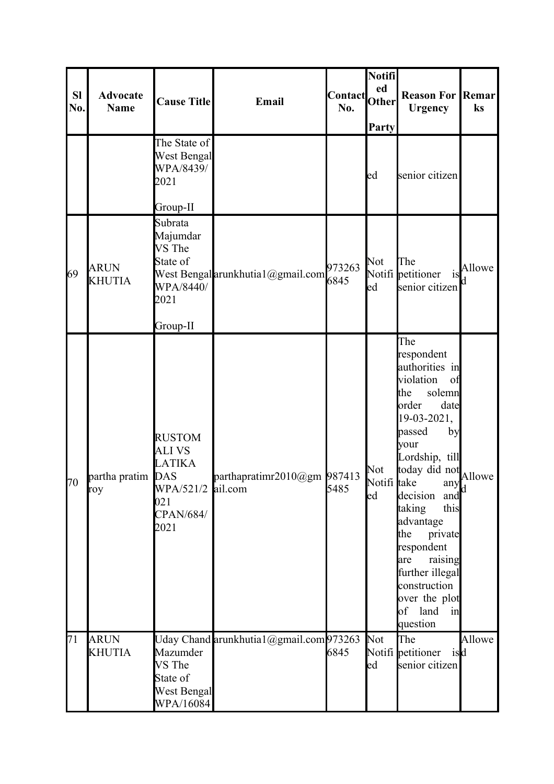| <b>SI</b><br>No. | <b>Advocate</b><br><b>Name</b> | <b>Cause Title</b>                                                                                     | Email                                  | Contact<br>No. | Notifi<br>ed<br><b>Other</b><br>Party | <b>Reason For Remar</b><br><b>Urgency</b>                                                                                                                                                                                                                                                                                                                                 | ks     |
|------------------|--------------------------------|--------------------------------------------------------------------------------------------------------|----------------------------------------|----------------|---------------------------------------|---------------------------------------------------------------------------------------------------------------------------------------------------------------------------------------------------------------------------------------------------------------------------------------------------------------------------------------------------------------------------|--------|
|                  |                                | The State of<br>West Bengal<br>WPA/8439/<br>2021<br>Group-II                                           |                                        |                | ed                                    | senior citizen                                                                                                                                                                                                                                                                                                                                                            |        |
| 69               | <b>ARUN</b><br><b>KHUTIA</b>   | Subrata<br>Majumdar<br>VS The<br>State of<br>WPA/8440/<br>2021<br>Group-II                             | West Bengal arunkhutia1@gmail.com      | 973263<br>6845 | Not<br>ed                             | The<br>Notifi petitioner<br>is<br>senior citizen                                                                                                                                                                                                                                                                                                                          | Allowe |
| 70               | partha pratim DAS<br>roy       | <b>RUSTOM</b><br><b>ALIVS</b><br><b>LATIKA</b><br>WPA/521/2 ail.com<br>021<br><b>CPAN/684/</b><br>2021 | parthapratimr2010@gm 987413            | 5485           | Not<br>Notifi take<br>ed              | The<br>respondent<br>authorities in<br>violation<br>of<br>the<br>solemn<br>order<br>date<br>$19-03-2021,$<br>passed<br>by<br>your<br>Lordship, till<br>today did not<br>take any Allowe<br>decision and<br>this<br>taking<br>advantage<br>the<br>private<br>respondent<br>raising<br>are<br>further illegal<br>construction<br>over the plot<br>of land<br>in<br>question |        |
| 71               | <b>ARUN</b><br><b>KHUTIA</b>   | Mazumder<br>VS The<br>State of<br>West Bengal<br>WPA/16084                                             | Uday Chand arunkhutia1@gmail.com973263 | 6845           | Not<br>ed                             | The<br>Notifi petitioner isd<br>senior citizen                                                                                                                                                                                                                                                                                                                            | Allowe |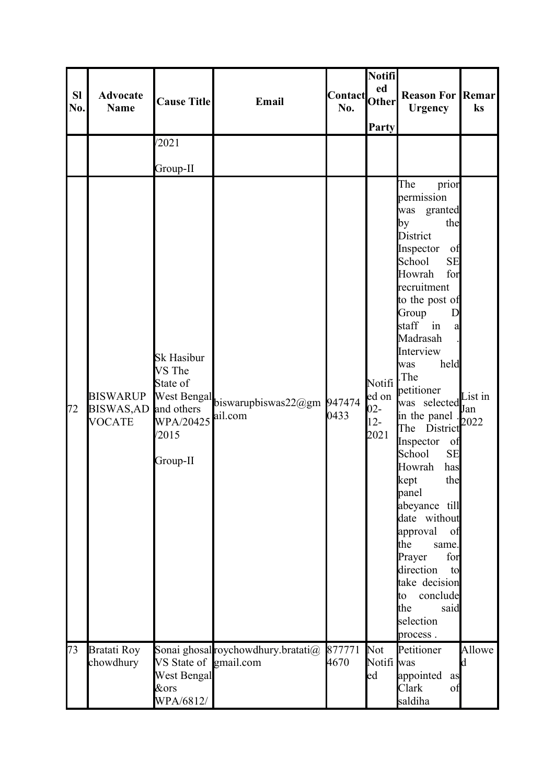| SI<br>No. | <b>Advocate</b><br><b>Name</b>                            | <b>Cause Title</b>                                                        | Email                                             | Contact Other<br>No. | Notifi<br>Party                                         | <b>Reason For Remar</b><br><b>Urgency</b>                                                                                                                                                                                                                                                                                                                                                                                                                                                                                                                                                | ks                     |
|-----------|-----------------------------------------------------------|---------------------------------------------------------------------------|---------------------------------------------------|----------------------|---------------------------------------------------------|------------------------------------------------------------------------------------------------------------------------------------------------------------------------------------------------------------------------------------------------------------------------------------------------------------------------------------------------------------------------------------------------------------------------------------------------------------------------------------------------------------------------------------------------------------------------------------------|------------------------|
|           |                                                           | /2021                                                                     |                                                   |                      |                                                         |                                                                                                                                                                                                                                                                                                                                                                                                                                                                                                                                                                                          |                        |
|           |                                                           | Group-II                                                                  |                                                   |                      |                                                         |                                                                                                                                                                                                                                                                                                                                                                                                                                                                                                                                                                                          |                        |
| 72        | <b>BISWARUP</b><br>BISWAS, AD and others<br><b>VOCATE</b> | <b>Sk Hasibur</b><br>VS The<br>State of<br>WPA/20425<br>/2015<br>Group-II | West Bengal biswarupbiswas22@gm 947474<br>ail.com | 0433                 | Notifi <sup> </sup><br>ed on<br>$02 -$<br>$12-$<br>2021 | The<br>prior<br>permission<br>was granted<br>by<br>the<br><b>District</b><br>Inspector<br>of<br><b>SE</b><br>School<br>for<br>Howrah<br>recruitment<br>to the post of<br>Group<br>D<br>staff in<br>a<br>Madrasah<br>Interview<br>held<br>was<br>.The<br>petitioner<br>was selected<br>in the panel<br>The District<br>Inspector<br>of<br>School<br><b>SE</b><br>Howrah<br>has<br>the<br>kept<br>panel<br>abeyance till<br>date without<br>approval<br>of<br>the<br>same.<br>Prayer<br>for<br>direction<br>to<br>take decision<br>conclude<br>to.<br>the<br>said<br>selection<br>process. | List in<br>Jan<br>2022 |
| 73        | <b>Bratati Roy</b><br>chowdhury                           | VS State of gmail.com<br><b>West Bengal</b><br>&ors<br>WPA/6812/          | Sonai ghosal roychowdhury.bratati@                | 877771<br>4670       | <b>Not</b><br>Notifi was<br>ed                          | Petitioner<br>appointed<br>as<br>Clark<br>of<br>saldiha                                                                                                                                                                                                                                                                                                                                                                                                                                                                                                                                  | Allowe<br>Id           |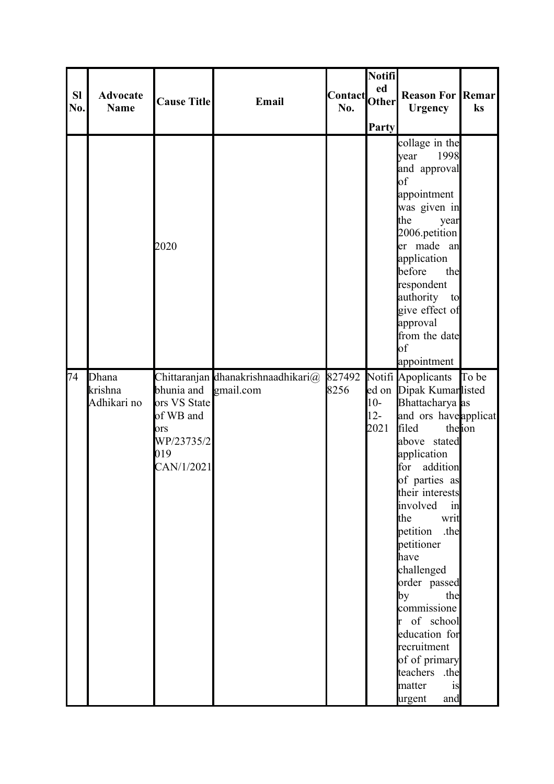| <b>SI</b><br>No. | <b>Advocate</b><br><b>Name</b>  | <b>Cause Title</b>                                                                | Email                                           | Contact Other<br>No. | <b>Notifi</b><br><b>Party</b> | <b>Reason For Remar</b><br><b>Urgency</b>                                                                                                                                                                                                                                                                                                                                                                                                      | $\mathbf{k}$ s  |
|------------------|---------------------------------|-----------------------------------------------------------------------------------|-------------------------------------------------|----------------------|-------------------------------|------------------------------------------------------------------------------------------------------------------------------------------------------------------------------------------------------------------------------------------------------------------------------------------------------------------------------------------------------------------------------------------------------------------------------------------------|-----------------|
|                  |                                 | 2020                                                                              |                                                 |                      |                               | collage in the<br>1998<br>year<br>and approval<br>$\bf{b}$<br>appointment<br>was given in<br>the<br>year<br>$2006$ . petition<br>er made an<br>application<br>before<br>the<br>respondent<br>authority to<br>give effect of<br>approval<br>from the date<br>of<br>appointment                                                                                                                                                                  |                 |
| 74               | Dhana<br>krishna<br>Adhikari no | bhunia and<br>ors VS State<br>of WB and<br>ors<br>WP/23735/2<br>019<br>CAN/1/2021 | Chittaranjan dhanakrishnaadhikari@<br>gmail.com | 827492<br>8256       | $10-$<br>$12 -$<br>2021       | Notifi Apoplicants<br>ed on Dipak Kumarlisted<br>Bhattacharya as<br>and ors haveapplicat<br>filed<br>above stated<br>application<br>addition<br>for<br>of parties as<br>their interests<br>involved<br>in<br>the<br>writ<br>petition<br>.the<br>petitioner<br>have<br>challenged<br>order passed<br>by<br>the<br>commissione<br>r of school<br>education for<br>recruitment<br>of of primary<br>teachers .the<br>matter<br>is<br>and<br>urgent | To be<br>theion |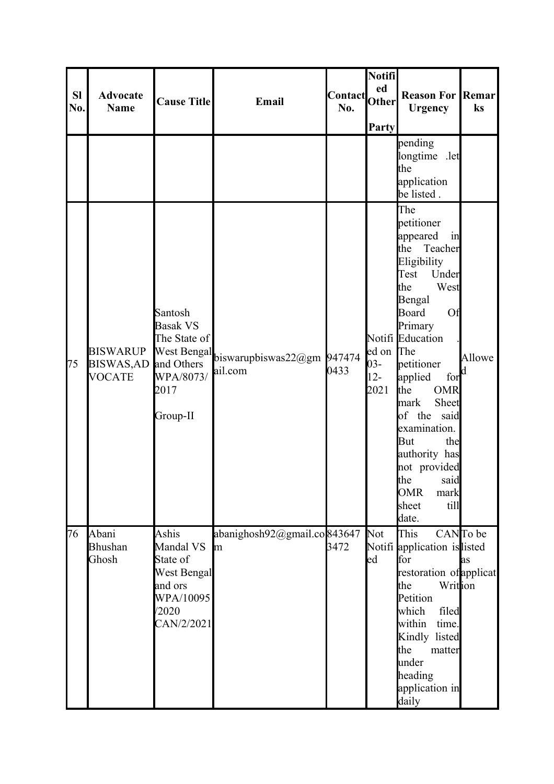| <b>SI</b><br>No. | <b>Advocate</b><br><b>Name</b>                       | <b>Cause Title</b>                                                                           | Email                                             | Contact <br> Other <br>No. | Notifi<br>ed<br>Party                 | <b>Reason For Remar</b><br><b>Urgency</b>                                                                                                                                                                                                                                                                                                                                                 | ks             |
|------------------|------------------------------------------------------|----------------------------------------------------------------------------------------------|---------------------------------------------------|----------------------------|---------------------------------------|-------------------------------------------------------------------------------------------------------------------------------------------------------------------------------------------------------------------------------------------------------------------------------------------------------------------------------------------------------------------------------------------|----------------|
|                  |                                                      |                                                                                              |                                                   |                            |                                       | pending<br>longtime .let<br>the<br>application<br>be listed.                                                                                                                                                                                                                                                                                                                              |                |
| 75               | <b>BISWARUP</b><br><b>BISWAS,AD</b><br><b>VOCATE</b> | Santosh<br><b>Basak VS</b><br>The State of<br>WPA/8073/<br>2017<br>Group-II                  | West Bengal biswarupbiswas22@gm 947474<br>ail.com | 0433                       | ed on The<br>$03 -$<br>$12 -$<br>2021 | The<br>petitioner<br>appeared<br>in<br>Teacher<br>the<br>Eligibility<br>Test<br>Under<br>the<br>West<br>Bengal<br><b>Board</b><br>Of<br>Primary<br>Notifi Education<br>petitioner<br>applied<br>for<br>the<br><b>OMR</b><br>Sheet<br>mark<br>of the<br>said<br>examination.<br>But<br>the<br>authority has<br>not provided<br>the<br>said<br><b>OMR</b><br>mark<br>sheet<br>till<br>date. | Allowe<br>Id   |
| 76               | Abani<br><b>Bhushan</b><br>Ghosh                     | Ashis<br>Mandal VS<br>State of<br>West Bengal<br>and ors<br>WPA/10095<br>/2020<br>CAN/2/2021 | abanighosh92@gmail.co843647<br>m                  | 3472                       | Not<br>ed                             | This<br>Notifi application islisted<br>for<br>restoration of applicat<br>Writtion<br>the<br>Petition<br>filed<br>which<br>within<br>time.<br>Kindly listed<br>the<br>matter<br>under<br>heading<br>application in<br>daily                                                                                                                                                                | CANTo be<br>as |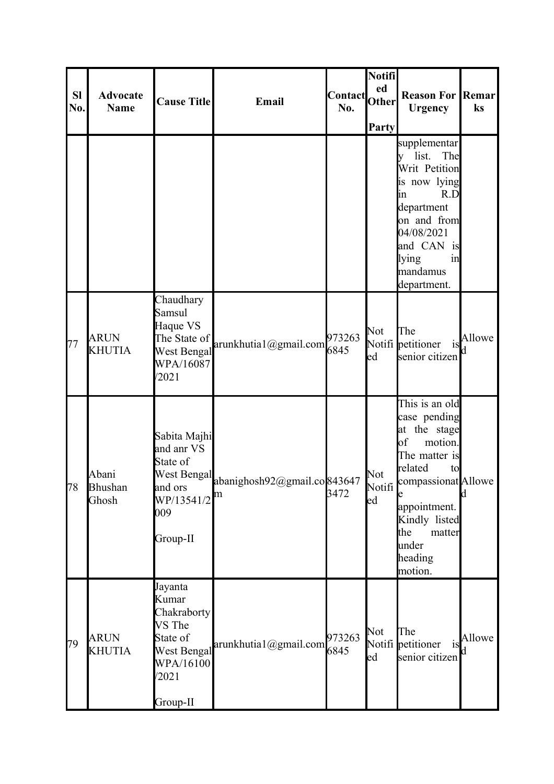| <b>Sl</b><br>No. | <b>Advocate</b><br><b>Name</b>   | <b>Cause Title</b>                                                                                     | Email                                    | <b>Contact</b><br>No. | Notifi<br>ed<br><b>Other</b><br>Party | <b>Reason For Remar</b><br><b>Urgency</b>                                                                                                                                                                    | $\mathbf{k}$ s |
|------------------|----------------------------------|--------------------------------------------------------------------------------------------------------|------------------------------------------|-----------------------|---------------------------------------|--------------------------------------------------------------------------------------------------------------------------------------------------------------------------------------------------------------|----------------|
|                  |                                  |                                                                                                        |                                          |                       |                                       | supplementar<br>The<br>list.<br>Writ Petition<br>is now lying<br>R.D<br>in<br>department<br>on and from<br>04/08/2021<br>and CAN is<br>lying<br>in<br>mandamus<br>department.                                |                |
| 77               | <b>ARUN</b><br><b>KHUTIA</b>     | Chaudhary<br>Samsul<br>Haque VS<br>The State of<br><b>West Bengal</b><br>WPA/16087<br>/2021            | arunkhutia1@gmail.com                    | 973263<br>6845        | Not<br>ed                             | The<br>Notifi petitioner<br>is<br>senior citizen                                                                                                                                                             | Allowe         |
| 178              | Abani<br><b>Bhushan</b><br>Ghosh | Sabita Majhi<br>and anr VS<br>State of<br>and ors<br>$WP/13541/2$ <sup>m</sup><br>009<br>Group-II      | West Bengal abanighosh92@gmail.co 843647 | 3472                  | Not<br>Notifi<br>led                  | This is an old<br>case pending<br>the stage<br>at<br>of<br>motion.<br>The matter is<br>related<br>to<br>compassionat Allowe<br>appointment.<br>Kindly listed<br>the<br>matter<br>under<br>heading<br>motion. | <b>d</b>       |
| 79               | <b>ARUN</b><br><b>KHUTIA</b>     | Jayanta<br>Kumar<br>Chakraborty<br>VS The<br>State of<br>West Bengal<br>WPA/16100<br>/2021<br>Group-II | arunkhutia1@gmail.com                    | 973263<br>6845        | Not<br>led                            | The<br>Notifi petitioner<br><b>1S</b><br>senior citizen                                                                                                                                                      | Allowe         |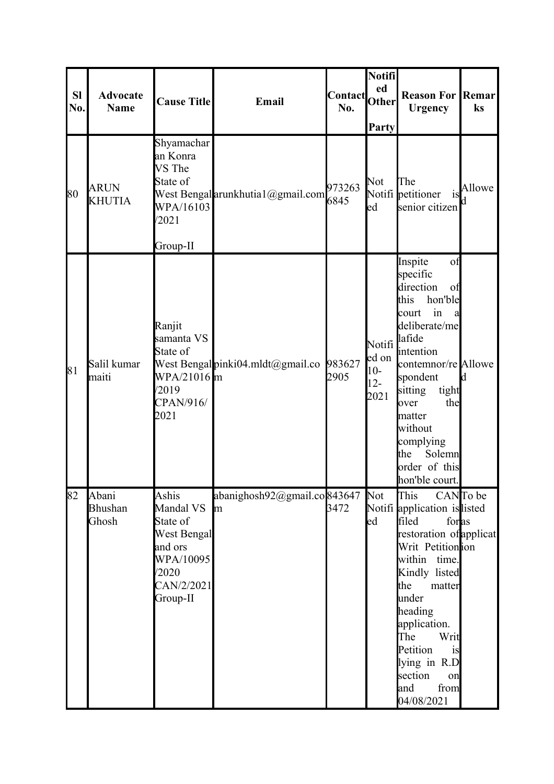| <b>SI</b><br>No. | <b>Advocate</b><br><b>Name</b> | <b>Cause Title</b>                                                                                              | Email                             | Contact Other<br>No. | Notifi<br>Party                                              | <b>Reason For Remar</b><br><b>Urgency</b>                                                                                                                                                                                                                                                  | ks       |
|------------------|--------------------------------|-----------------------------------------------------------------------------------------------------------------|-----------------------------------|----------------------|--------------------------------------------------------------|--------------------------------------------------------------------------------------------------------------------------------------------------------------------------------------------------------------------------------------------------------------------------------------------|----------|
| 80               | <b>ARUN</b><br><b>KHUTIA</b>   | Shyamachar<br>an Konra<br>VS The<br>State of<br>WPA/16103<br>/2021<br>Group-II                                  | West Bengal arunkhutia1@gmail.com | 973263<br>6845       | Not<br>ed                                                    | The<br>Notifi petitioner<br>is<br>senior citizen                                                                                                                                                                                                                                           | Allowe   |
| 81               | Salil kumar<br>maiti           | Ranjit<br>samanta VS<br>State of<br>WPA/21016 m<br>/2019<br>CPAN/916/<br>2021                                   | West Bengalpinki04.mldt@gmail.co  | 983627<br>2905       | Notifi <sup>lafide</sup><br>ed on<br>$10-$<br>$12 -$<br>2021 | Inspite<br>of<br>specific<br>direction<br>of<br>this<br>hon'ble<br>in<br>court<br>a<br>deliberate/me<br>intention<br>contemnor/re Allowe<br>spondent<br>sitting<br>tight<br>the<br>over<br>matter<br>without<br>complying<br>the<br>Solemn<br>order of this<br>hon'ble court.              | d        |
| 82               | Abani<br>Bhushan<br>Ghosh      | Ashis<br>Mandal VS<br>State of<br><b>West Bengal</b><br>and ors<br>WPA/10095<br>/2020<br>CAN/2/2021<br>Group-II | abanighosh92@gmail.co843647<br>m  | 3472                 | Not<br>ed                                                    | This<br>Notifi application is listed<br>filed<br>foras<br>restoration of applicat<br>Writ Petitionion<br>within time.<br>Kindly listed<br>the<br>matter<br>under<br>heading<br>application.<br>The<br>Writ<br>Petition<br>is<br>lying in R.D<br>section<br>on<br>and<br>from<br>04/08/2021 | CANTo be |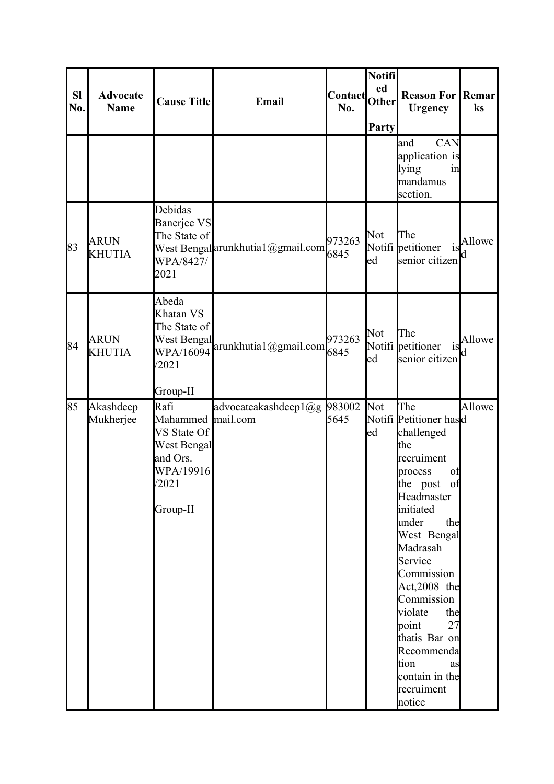| <b>Sl</b><br>No. | <b>Advocate</b><br><b>Name</b> | <b>Cause Title</b>                                                                                                       | Email                             | <b>Contact</b><br>No. | Notifi<br>ed<br><b>Other</b><br>Party | <b>Reason For Remar</b><br><b>Urgency</b>                                                                                                                                                                                                                                                                                                             | ks     |
|------------------|--------------------------------|--------------------------------------------------------------------------------------------------------------------------|-----------------------------------|-----------------------|---------------------------------------|-------------------------------------------------------------------------------------------------------------------------------------------------------------------------------------------------------------------------------------------------------------------------------------------------------------------------------------------------------|--------|
|                  |                                |                                                                                                                          |                                   |                       |                                       | CAN<br>and<br>application is<br>lying<br>in<br>mandamus<br>section.                                                                                                                                                                                                                                                                                   |        |
| 83               | <b>ARUN</b><br><b>KHUTIA</b>   | Debidas<br>Banerjee VS<br>The State of<br>WPA/8427/<br>2021                                                              | West Bengal arunkhutia1@gmail.com | 973263<br>6845        | Not<br>ed                             | The<br>Notifi petitioner<br><b>1S</b><br>senior citizen                                                                                                                                                                                                                                                                                               | Allowe |
| 84               | <b>ARUN</b><br><b>KHUTIA</b>   | Abeda<br>Khatan VS<br>The State of<br><b>West Bengal</b><br>/2021                                                        | WPA/16094 arunkhutia1@gmail.com   | 973263<br>6845        | Not<br>led                            | The<br>Notifi petitioner<br>1S<br>senior citizen                                                                                                                                                                                                                                                                                                      | Allowe |
| 85               | Akashdeep<br>Mukherjee         | Group-II<br>Rafi<br>Mahammed mail.com<br>VS State Of<br><b>West Bengal</b><br>and Ors.<br>WPA/19916<br>/2021<br>Group-II | advocateakashdeep1@g              | 983002<br>5645        | Not<br>ed                             | The<br>Notifi Petitioner hasd<br>challenged<br>the<br>recruiment<br>process<br>οt<br>the post of<br>Headmaster<br>initiated<br>under<br>the<br>West Bengal<br>Madrasah<br>Service<br>Commission<br>Act,2008 the<br>Commission<br>violate<br>the<br>point<br>27<br>thatis Bar on<br>Recommenda<br>tion<br>as<br>contain in the<br>recruiment<br>notice | Allowe |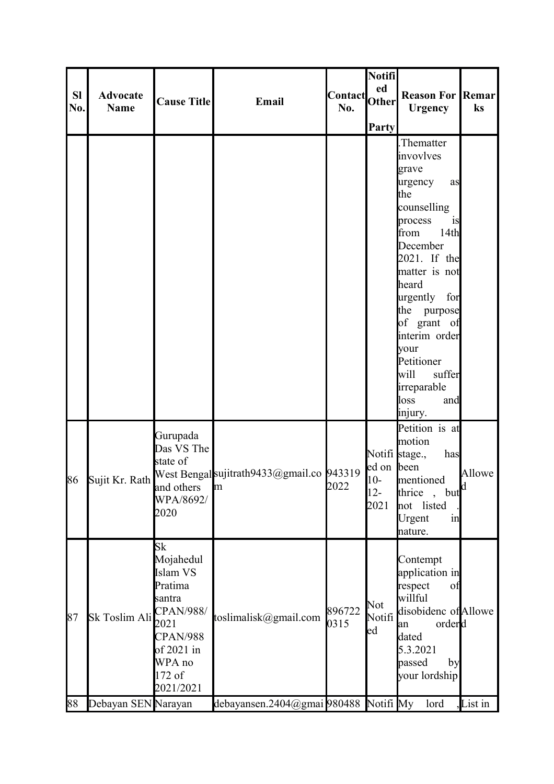| <b>SI</b><br>No. | <b>Advocate</b><br><b>Name</b> | <b>Cause Title</b>                                                                                                                                    | Email                                          | Contact<br>No. | Notifi<br>ed<br><b>Other</b><br>Party | <b>Reason For Remar</b><br><b>Urgency</b>                                                                                                                                                                                                                                                                      | ks      |
|------------------|--------------------------------|-------------------------------------------------------------------------------------------------------------------------------------------------------|------------------------------------------------|----------------|---------------------------------------|----------------------------------------------------------------------------------------------------------------------------------------------------------------------------------------------------------------------------------------------------------------------------------------------------------------|---------|
|                  |                                |                                                                                                                                                       |                                                |                |                                       | Thematter.<br>invovlves<br>grave<br>urgency<br>as<br>the<br>counselling<br>process<br>is<br>from<br>14th<br>December<br>2021. If the<br>matter is not<br>heard<br>urgently for<br>the purpose<br>of grant of<br>interim order<br>your<br>Petitioner<br>suffer<br>will<br>irreparable<br>loss<br>and<br>injury. |         |
| 86               | Sujit Kr. Rath                 | Gurupada<br>Das VS The<br>state of<br>and others<br>WPA/8692/<br>2020                                                                                 | West Bengal sujitrath9433@gmail.co 943319<br>m | 2022           | ed on been<br>$10-$<br>$12 -$<br>2021 | Petition is at<br>motion<br>Notifi stage.,<br>has<br>mentioned<br>but <sup>d</sup><br>thrice<br>not listed<br>Urgent<br>in<br>nature.                                                                                                                                                                          | Allowe  |
| 87               | Sk Toslim Ali                  | <b>Sk</b><br>Mojahedul<br>Islam VS<br>Pratima<br>santra<br><b>CPAN/988/</b><br>2021<br><b>CPAN/988</b><br>of 2021 in<br>WPA no<br>172 of<br>2021/2021 | toslimalisk@gmail.com                          | 896722<br>0315 | Not<br>Notifi<br>ed                   | Contempt<br>application in<br>respect<br>of<br>willful<br>disobidenc of Allowe<br>orderd<br>lan<br>dated<br>5.3.2021<br>passed<br>by<br>your lordship                                                                                                                                                          |         |
| 88               | Debayan SEN Narayan            |                                                                                                                                                       | debayansen.2404@gmai 980488                    |                | Notifi My                             | lord                                                                                                                                                                                                                                                                                                           | List in |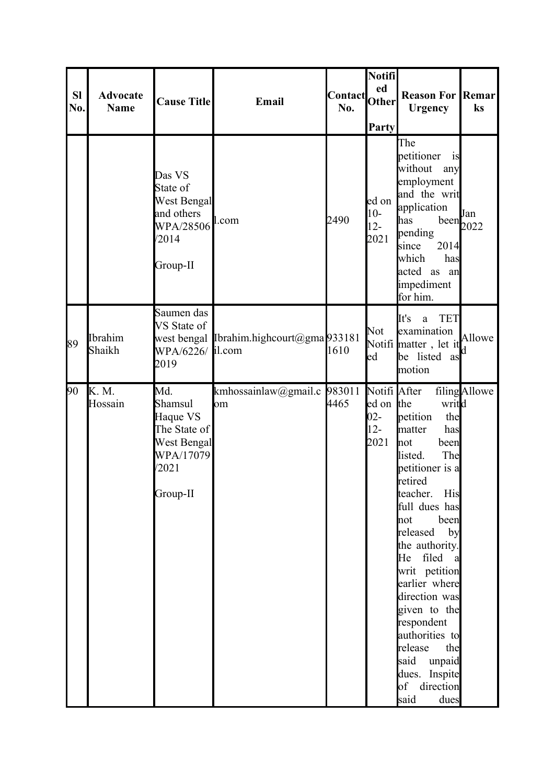| <b>SI</b><br>No. | <b>Advocate</b><br><b>Name</b> | <b>Cause Title</b>                                                                                          | Email                                    | Contact <br> Other <br>No. | Notifi<br>Party                                       | <b>Reason For Remar</b><br><b>Urgency</b>                                                                                                                                                                                                                                                                                                                                                                                | $\mathbf{k}$ s                                                      |
|------------------|--------------------------------|-------------------------------------------------------------------------------------------------------------|------------------------------------------|----------------------------|-------------------------------------------------------|--------------------------------------------------------------------------------------------------------------------------------------------------------------------------------------------------------------------------------------------------------------------------------------------------------------------------------------------------------------------------------------------------------------------------|---------------------------------------------------------------------|
|                  |                                | Das VS<br>State of<br><b>West Bengal</b><br>and others<br>$WPA/28506$ <sup>l.com</sup><br>/2014<br>Group-II |                                          | 2490                       | ed on<br>$10-$<br>$12 -$<br>2021                      | The<br>petitioner<br>1S<br>without<br>any<br>employment<br>and the writ<br>application<br>has<br>pending<br>2014<br>since<br>which<br>has<br>acted as an<br>impediment<br>for him.                                                                                                                                                                                                                                       | $\begin{bmatrix} 0 & \text{if} \\ \text{been} & 2022 \end{bmatrix}$ |
| 89               | Ibrahim<br>Shaikh              | Saumen das<br>VS State of<br>WPA/6226/ il.com<br>2019                                                       | west bengal Ibrahim.highcourt@gma 933181 | 1610                       | Not<br>ed                                             | It's<br><b>TET</b><br>a<br>examination<br>Notifi matter, let it<br>be listed as<br>motion                                                                                                                                                                                                                                                                                                                                | Allowe                                                              |
| 90               | K. M.<br>Hossain               | Md.<br>Shamsul<br>Haque VS<br>The State of<br><b>West Bengal</b><br>WPA/17079<br>/2021<br>Group-II          | kmhossainlaw@gmail.c<br>om               | 983011<br>4465             | Notifi After<br>ed on the<br>$02 -$<br>$12 -$<br>2021 | writd<br>petition<br>the<br>has<br>matter<br>been<br><b>n</b> ot<br>The<br>listed.<br>petitioner is a<br>retired<br>teacher. His<br>full dues has<br>been<br>not<br>released<br>by<br>the authority.<br>He filed<br><sub>a</sub><br>writ petition<br>earlier where<br>direction was<br>given to the<br>respondent<br>authorities to<br>release<br>the<br>said<br>unpaid<br>dues. Inspite<br>of direction<br>said<br>dues | filingAllowe                                                        |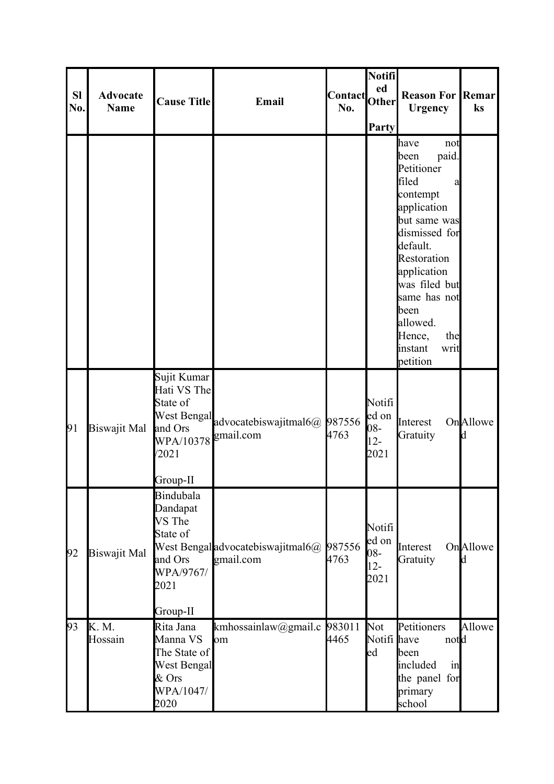| <b>SI</b><br>No. | <b>Advocate</b><br><b>Name</b> | <b>Cause Title</b>                                                                          | Email                                                 | <b>Contact</b><br>No. | Notifi<br>ed<br>Other<br>Party           | <b>Reason For Remar</b><br><b>Urgency</b>                                                                                                                                                                                                                           | ks            |
|------------------|--------------------------------|---------------------------------------------------------------------------------------------|-------------------------------------------------------|-----------------------|------------------------------------------|---------------------------------------------------------------------------------------------------------------------------------------------------------------------------------------------------------------------------------------------------------------------|---------------|
|                  |                                |                                                                                             |                                                       |                       |                                          | have<br>not<br>paid.<br>been<br>Petitioner<br>filed<br>a<br>contempt<br>application<br>but same was<br>dismissed for<br>default.<br>Restoration<br>application<br>was filed but<br>same has not<br>been<br>allowed.<br>Hence,<br>the<br>instant<br>writ<br>petition |               |
| 91               | Biswajit Mal                   | Sujit Kumar<br>Hati VS The<br>State of<br>and Ors<br>WPA/10378<br>/2021<br>Group-II         | West Bengal advocatebiswajitmal6@ 987556<br>gmail.com | 4763                  | Notifi<br>ed on<br>08-<br>$12 -$<br>2021 | Interest<br>Gratuity                                                                                                                                                                                                                                                | OnAllowe<br>d |
| 92               | Biswajit Mal                   | Bindubala<br>Dandapat<br>VS The<br>State of<br>and Ors<br>WPA/9767/<br>2021<br>Group-II     | West Bengal advocatebiswajitmal6@<br>gmail.com        | 987556<br>4763        | Notifi<br>ed on<br>08-<br>$12 -$<br>2021 | Interest<br>Gratuity                                                                                                                                                                                                                                                | OnAllowe<br>d |
| 93               | K. M.<br>Hossain               | Rita Jana<br>Manna VS<br>The State of<br><b>West Bengal</b><br>$&$ Ors<br>WPA/1047/<br>2020 | kmhossainlaw@gmail.c<br>om                            | 983011<br>4465        | Not<br>Notifi have<br>$_{\text{led}}$    | Petitioners<br>notd<br>been<br>included<br>in<br>the panel for<br>primary<br>school                                                                                                                                                                                 | Allowe        |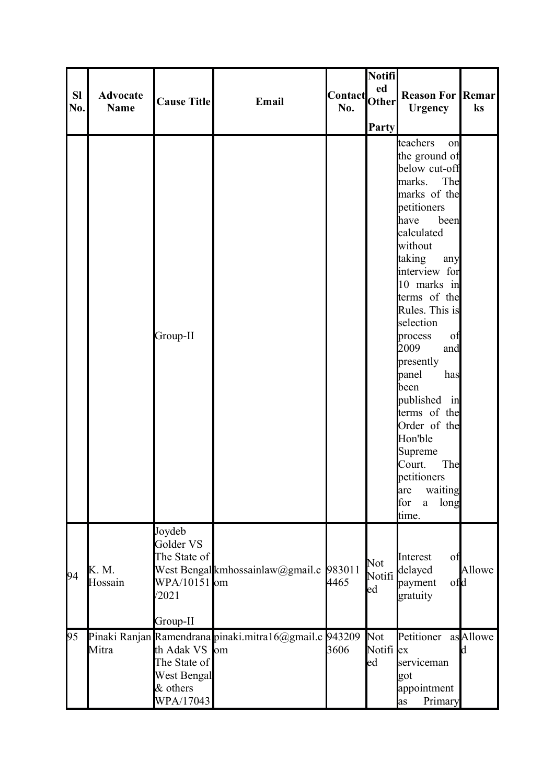| <b>SI</b><br>No. | <b>Advocate</b><br><b>Name</b> | <b>Cause Title</b>                                                       | Email                                                  | Contact Other<br>No. | Notifi<br>ed           | <b>Reason For Remar</b><br><b>Urgency</b>                                                                                                                                                                                                                                                                                                                                                                                                                        | ks             |
|------------------|--------------------------------|--------------------------------------------------------------------------|--------------------------------------------------------|----------------------|------------------------|------------------------------------------------------------------------------------------------------------------------------------------------------------------------------------------------------------------------------------------------------------------------------------------------------------------------------------------------------------------------------------------------------------------------------------------------------------------|----------------|
|                  |                                |                                                                          |                                                        |                      | <b>Party</b>           |                                                                                                                                                                                                                                                                                                                                                                                                                                                                  |                |
|                  |                                | Group-II                                                                 |                                                        |                      |                        | teachers<br>on<br>the ground of<br>below cut-off<br>marks. The<br>marks of the<br>petitioners<br>have<br>been<br>calculated<br>without<br>taking<br>any<br>interview for<br>10 marks in<br>terms of the<br>Rules. This is<br>selection<br>process<br>of<br>2009<br>and<br>presently<br>panel<br>has<br>been<br>published in<br>terms of the<br>Order of the<br>Hon'ble<br>Supreme<br>Court.<br>The<br>petitioners<br>are<br>waiting<br>for<br>long<br>a<br>time. |                |
| 94               | K. M.<br>Hossain               | Joydeb<br>Golder VS<br>The State of<br>WPA/10151 om<br>/2021<br>Group-II | West Bengal kmhossainlaw@gmail.c 983011                | 4465                 | Not<br>Notifi<br>ed    | Interest<br>of<br>delayed<br>ofd<br>payment<br>gratuity                                                                                                                                                                                                                                                                                                                                                                                                          | Allowe         |
| 95               | Mitra                          | th Adak VS om<br>The State of<br>West Bengal<br>& others<br>WPA/17043    | Pinaki Ranjan Ramendrana pinaki mitra16@gmail.c 943209 | 3606                 | Not<br>Notifi ex<br>ed | Petitioner<br>serviceman<br>got<br>appointment<br>Primary<br>as                                                                                                                                                                                                                                                                                                                                                                                                  | asAllowe<br>kl |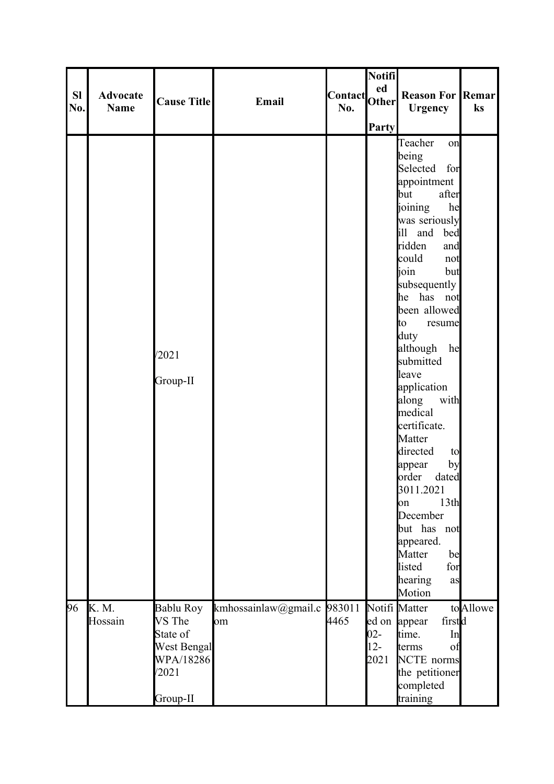|           |                                |                    |                             |               | Notifi       |                         |          |
|-----------|--------------------------------|--------------------|-----------------------------|---------------|--------------|-------------------------|----------|
| <b>SI</b> |                                |                    |                             |               | ed           |                         |          |
|           | <b>Advocate</b><br><b>Name</b> | <b>Cause Title</b> | Email                       | Contact Other |              | <b>Reason For Remar</b> |          |
| No.       |                                |                    |                             | No.           |              | <b>Urgency</b>          | ks       |
|           |                                |                    |                             |               | <b>Party</b> |                         |          |
|           |                                |                    |                             |               |              | Teacher<br>on           |          |
|           |                                |                    |                             |               |              | being                   |          |
|           |                                |                    |                             |               |              | Selected for            |          |
|           |                                |                    |                             |               |              | appointment             |          |
|           |                                |                    |                             |               |              | after<br>but            |          |
|           |                                |                    |                             |               |              | joining<br>he           |          |
|           |                                |                    |                             |               |              | was seriously           |          |
|           |                                |                    |                             |               |              | ill and bed             |          |
|           |                                |                    |                             |               |              | ridden<br>and           |          |
|           |                                |                    |                             |               |              | could<br>not            |          |
|           |                                |                    |                             |               |              | ioin<br>but             |          |
|           |                                |                    |                             |               |              | subsequently            |          |
|           |                                |                    |                             |               |              | he has not              |          |
|           |                                |                    |                             |               |              | been allowed            |          |
|           |                                |                    |                             |               |              | to.<br>resume           |          |
|           |                                |                    |                             |               |              | duty                    |          |
|           |                                | /2021              |                             |               |              | although<br>he          |          |
|           |                                |                    |                             |               |              | submitted               |          |
|           |                                | Group-II           |                             |               |              | leave                   |          |
|           |                                |                    |                             |               |              | application             |          |
|           |                                |                    |                             |               |              | along<br>with           |          |
|           |                                |                    |                             |               |              | medical                 |          |
|           |                                |                    |                             |               |              | certificate.            |          |
|           |                                |                    |                             |               |              | Matter                  |          |
|           |                                |                    |                             |               |              | directed<br>to          |          |
|           |                                |                    |                             |               |              | by<br>appear<br>order   |          |
|           |                                |                    |                             |               |              | dated<br>3011.2021      |          |
|           |                                |                    |                             |               |              | 13th<br>on              |          |
|           |                                |                    |                             |               |              | December                |          |
|           |                                |                    |                             |               |              | but has not             |          |
|           |                                |                    |                             |               |              | appeared.               |          |
|           |                                |                    |                             |               |              | Matter<br>be            |          |
|           |                                |                    |                             |               |              | listed<br>for           |          |
|           |                                |                    |                             |               |              | hearing<br>as           |          |
|           |                                |                    |                             |               |              | Motion                  |          |
| 96        | K. M.                          | Bablu Roy          | kmhossainlaw@gmail.c 983011 |               |              | Notifi Matter           | toAllowe |
|           | Hossain                        | VS The             | om                          | 4465          |              | firstd<br>ed on appear  |          |
|           |                                | State of           |                             |               | $02 -$       | time.<br>In             |          |
|           |                                | <b>West Bengal</b> |                             |               | $12 -$       | terms<br>of             |          |
|           |                                | WPA/18286          |                             |               | 2021         | <b>NCTE</b> norms       |          |
|           |                                | /2021              |                             |               |              | the petitioner          |          |
|           |                                |                    |                             |               |              | completed               |          |
|           |                                | Group-II           |                             |               |              | training                |          |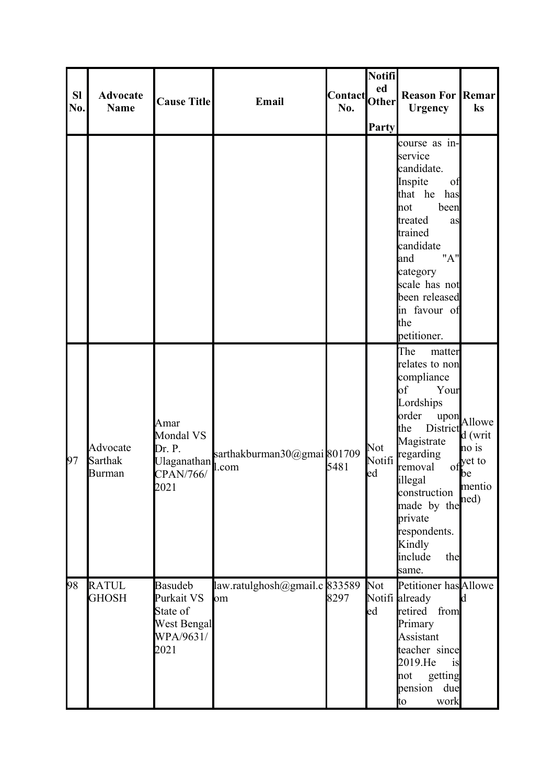| <b>SI</b><br>No. | <b>Advocate</b><br><b>Name</b> | <b>Cause Title</b>                                                           | Email                                | Contact<br>No. | <b>Notifi</b><br>ed<br><b>Other</b><br>Party | <b>Reason For Remar</b><br><b>Urgency</b>                                                                                                                                                                                                                                          | ks                                                                                  |
|------------------|--------------------------------|------------------------------------------------------------------------------|--------------------------------------|----------------|----------------------------------------------|------------------------------------------------------------------------------------------------------------------------------------------------------------------------------------------------------------------------------------------------------------------------------------|-------------------------------------------------------------------------------------|
|                  |                                |                                                                              |                                      |                |                                              | course as in-<br>service<br>candidate.<br>Inspite<br>of<br>that he has<br>been<br>not<br>treated<br>as<br>trained<br>candidate<br>"A"<br>and<br>category<br>scale has not<br>been released<br>in favour of<br>the<br>petitioner.                                                   |                                                                                     |
| 97               | Advocate<br>Sarthak<br>Burman  | Amar<br>Mondal VS<br>Dr. P.<br><b>Ulaganathan</b><br>CPAN/766/<br>2021       | sarthakburman30@gmai 801709<br>l.com | 5481           | Not<br>ed                                    | The<br>matter<br>relates to non<br>compliance<br>of<br>Your<br>Lordships<br>order<br>upon<br>the<br>District $\int d$ (writ<br>Magistrate<br>Notifi regarding<br>removal<br>illegal<br>construction<br>made by the<br>private<br>respondents.<br>Kindly<br>include<br>the<br>same. | Allowe <sup> </sup><br>no is<br>of yet to<br><b>l</b> be<br>mentio<br>$\text{ned})$ |
| 98               | <b>RATUL</b><br><b>GHOSH</b>   | <b>Basudeb</b><br>Purkait VS<br>State of<br>West Bengal<br>WPA/9631/<br>2021 | law.ratulghosh@gmail.c 833589<br>om  | 8297           | Not<br>ed                                    | Petitioner has Allowe<br>Notifi already<br>retired from<br>Primary<br>Assistant<br>teacher since<br>2019.He<br>is<br>getting<br>not<br>pension<br>due<br>to<br>work                                                                                                                | Id.                                                                                 |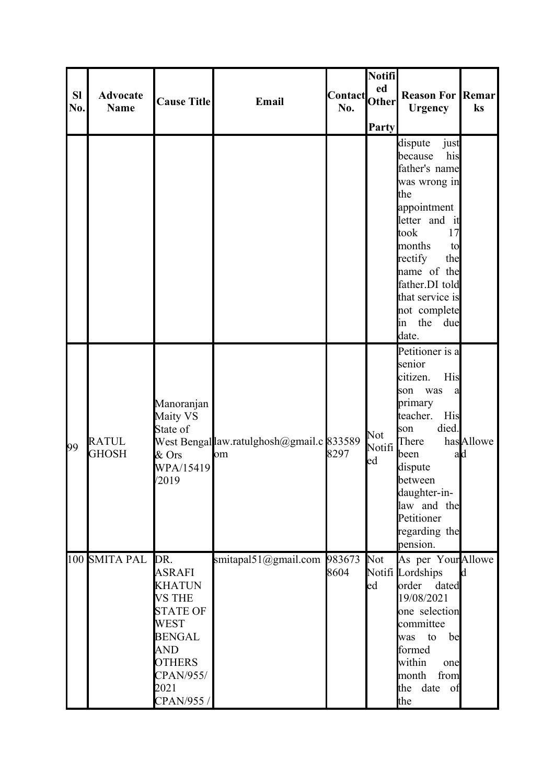| <b>SI</b> | <b>Advocate</b>              |                                                                                                                                                                             |                                                | Contact Other  | Notifi<br>ed        | <b>Reason For Remar</b>                                                                                                                                                                                                                            |              |
|-----------|------------------------------|-----------------------------------------------------------------------------------------------------------------------------------------------------------------------------|------------------------------------------------|----------------|---------------------|----------------------------------------------------------------------------------------------------------------------------------------------------------------------------------------------------------------------------------------------------|--------------|
| No.       | <b>Name</b>                  | <b>Cause Title</b>                                                                                                                                                          | Email                                          | No.            | <b>Party</b>        | <b>Urgency</b>                                                                                                                                                                                                                                     | ks           |
|           |                              |                                                                                                                                                                             |                                                |                |                     | dispute<br>just<br>his<br>because<br>father's name<br>was wrong in<br>the<br>appointment<br>letter and it<br>17<br>took<br>months<br>to<br>rectify<br>the<br>name of the<br>father.DI told<br>that service is<br>not complete<br>the<br>due<br>lin |              |
| 99        | <b>RATUL</b><br><b>GHOSH</b> | Manoranjan<br>Maity VS<br>State of<br>$&$ Ors<br>WPA/15419<br>/2019                                                                                                         | West Bengallaw.ratulghosh@gmail.c 833589<br>om | 8297           | Not<br>Notifi<br>ed | date.<br>Petitioner is a<br>senior<br>citizen.<br>His<br>was<br>son<br>a<br>primary<br>teacher.<br>His<br>died.<br>son<br>There<br>been<br>ad<br>dispute<br>between<br>daughter-in-<br>law and the<br>Petitioner<br>regarding the<br>pension.      | hasAllowe    |
|           | 100 SMITA PAL                | DR.<br><b>ASRAFI</b><br><b>KHATUN</b><br><b>VS THE</b><br><b>STATE OF</b><br><b>WEST</b><br><b>BENGAL</b><br><b>AND</b><br><b>OTHERS</b><br>CPAN/955/<br>2021<br>CPAN/955 / | smitapal51@gmail.com                           | 983673<br>8604 | Not<br>ed           | As per YourAllowe<br>Notifi Lordships<br>order dated<br>19/08/2021<br>one selection<br>committee<br>be<br>was to<br>formed<br>within<br>one<br>month<br>from<br>date<br>the<br>of<br>the                                                           | $\mathbf{d}$ |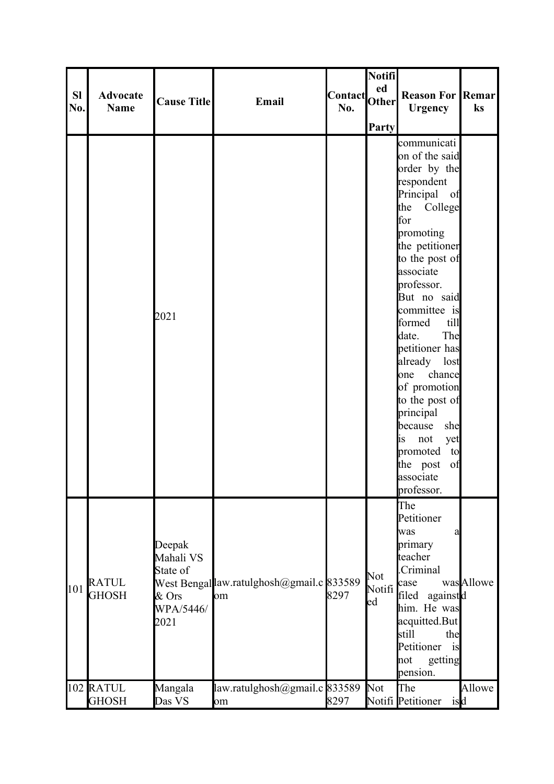|                  |                              |                                                               |                                                |                      | <b>Notifi</b>       |                                                                                                                                                                                                                                                                                                                                                                                                                                                          |           |
|------------------|------------------------------|---------------------------------------------------------------|------------------------------------------------|----------------------|---------------------|----------------------------------------------------------------------------------------------------------------------------------------------------------------------------------------------------------------------------------------------------------------------------------------------------------------------------------------------------------------------------------------------------------------------------------------------------------|-----------|
| <b>SI</b><br>No. | <b>Advocate</b><br>Name      | <b>Cause Title</b>                                            | Email                                          | Contact Other<br>No. |                     | <b>Reason For Remar</b><br><b>Urgency</b>                                                                                                                                                                                                                                                                                                                                                                                                                | ks        |
|                  |                              | 2021                                                          |                                                |                      | <b>Party</b>        | communicati<br>on of the said<br>order by the<br>respondent<br>Principal of<br>the<br>College<br>for<br>promoting<br>the petitioner<br>to the post of<br>associate<br>professor.<br>But no said<br>committee is<br>formed<br>till<br>The<br>date.<br>petitioner has<br>already lost<br>chance<br>one<br>of promotion<br>to the post of<br>principal<br>she<br>because<br>yet<br>is<br>not<br>promoted<br>to<br>the post<br>of<br>associate<br>professor. |           |
| 101              | <b>RATUL</b><br><b>GHOSH</b> | Deepak<br>Mahali VS<br>State of<br>& Ors<br>WPA/5446/<br>2021 | West Bengallaw.ratulghosh@gmail.c 833589<br>om | 8297                 | Not<br>Notifi<br>ed | The<br>Petitioner<br>was<br>a<br>primary<br>teacher<br>Criminal<br>case<br>filed<br>againstd<br>him. He was<br>acquitted.But<br>still<br>the<br>Petitioner<br>is<br>getting<br>not<br>pension.                                                                                                                                                                                                                                                           | wasAllowe |
|                  | 102 RATUL<br><b>GHOSH</b>    | Mangala<br>Das VS                                             | law.ratulghosh@gmail.c 833589<br>om            | 8297                 | <b>Not</b>          | The<br>Notifi Petitioner isd                                                                                                                                                                                                                                                                                                                                                                                                                             | Allowe    |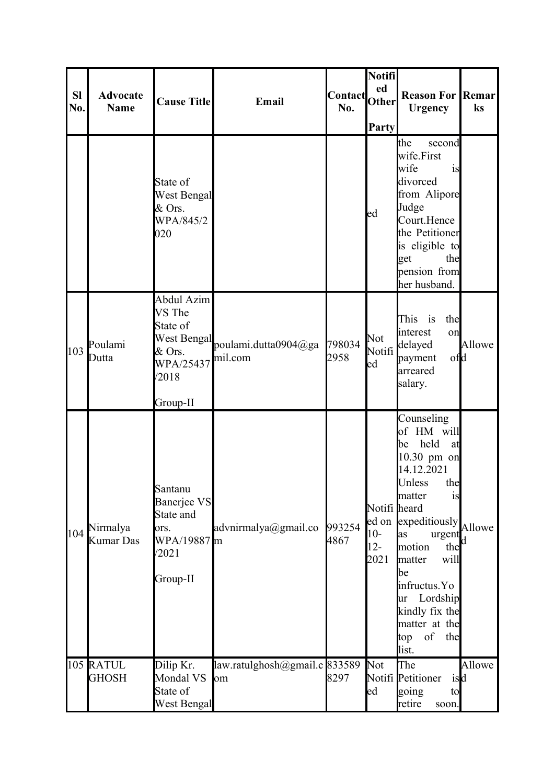| <b>SI</b><br>No. | <b>Advocate</b><br><b>Name</b> | <b>Cause Title</b>                                                              | Email                                       | Contact Other<br>No. | <b>Notifi</b><br>Party                  | <b>Reason For Remar</b><br><b>Urgency</b>                                                                                                                                                                                                                                                            | ks     |
|------------------|--------------------------------|---------------------------------------------------------------------------------|---------------------------------------------|----------------------|-----------------------------------------|------------------------------------------------------------------------------------------------------------------------------------------------------------------------------------------------------------------------------------------------------------------------------------------------------|--------|
|                  |                                | State of<br><b>West Bengal</b><br>& Ors.<br>WPA/845/2<br>020                    |                                             |                      | ed                                      | the<br>second<br>wife.First<br>wife<br>is<br>divorced<br>from Alipore<br>Judge<br>Court.Hence<br>the Petitioner<br>is eligible to<br>get<br>the<br>pension from<br>her husband.                                                                                                                      |        |
| 103              | Poulami<br>Dutta               | Abdul Azim<br>VS The<br>State of<br>WPA/25437<br>/2018<br>Group-II              | West Bengal poulami.dutta0904@ga<br>mil.com | 798034<br>2958       | Not<br>Notifi<br>ed                     | This is<br>the<br>interest<br>on<br>delayed<br>ofd<br>payment<br>arreared<br>salary.                                                                                                                                                                                                                 | Allowe |
| 104              | Nirmalya<br><b>Kumar Das</b>   | Santanu<br>Banerjee VS<br>State and<br>ors.<br>WPA/19887 m<br>/2021<br>Group-II | advnirmalya@gmail.co                        | 993254<br>4867       | Notifi heard<br>$10-$<br>$12 -$<br>2021 | Counseling<br>of HM will<br>held<br>lbe l<br>at<br>10.30 pm on<br>14.12.2021<br>Unless<br>the<br>matter<br>is<br>ed on expeditiously Allowe<br>as<br>urgent<br>motion<br>the<br>will<br>matter<br>be<br>infructus.Yo<br>Lordship<br>lur<br>kindly fix the<br>matter at the<br>of the<br>top<br>list. | Id.    |
|                  | 105 RATUL<br><b>GHOSH</b>      | Dilip Kr.<br>Mondal VS<br>State of<br>West Bengal                               | law.ratulghosh@gmail.c 833589<br>om         | 8297                 | <b>Not</b><br>ed                        | The<br>Notifi Petitioner<br>isd<br>going<br>to<br>retire<br>soon.                                                                                                                                                                                                                                    | Allowe |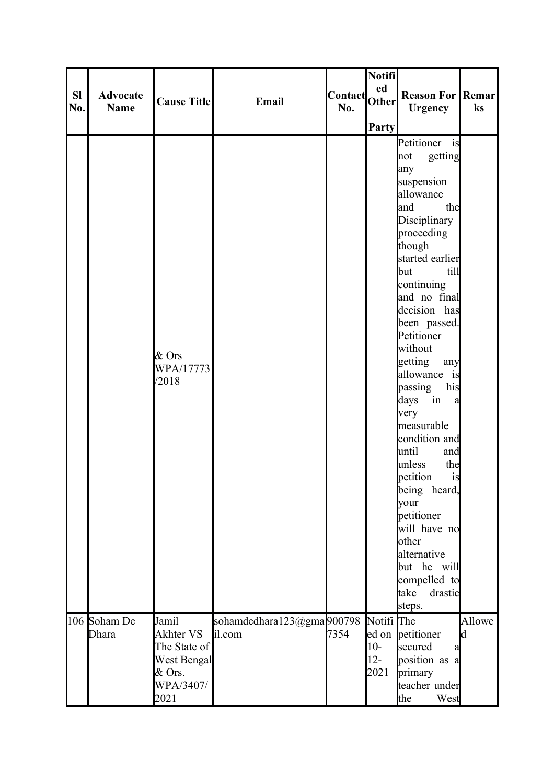|     |                 |                    |                           |                      | Notifi       |                         |        |
|-----|-----------------|--------------------|---------------------------|----------------------|--------------|-------------------------|--------|
| SI  | <b>Advocate</b> |                    |                           |                      | ed           | <b>Reason For Remar</b> |        |
| No. | <b>Name</b>     | <b>Cause Title</b> | Email                     | Contact Other<br>No. |              | <b>Urgency</b>          | ks     |
|     |                 |                    |                           |                      |              |                         |        |
|     |                 |                    |                           |                      | <b>Party</b> |                         |        |
|     |                 |                    |                           |                      |              | Petitioner is           |        |
|     |                 |                    |                           |                      |              | getting<br>not          |        |
|     |                 |                    |                           |                      |              | any                     |        |
|     |                 |                    |                           |                      |              | suspension              |        |
|     |                 |                    |                           |                      |              | allowance               |        |
|     |                 |                    |                           |                      |              | the<br>and              |        |
|     |                 |                    |                           |                      |              | Disciplinary            |        |
|     |                 |                    |                           |                      |              | proceeding              |        |
|     |                 |                    |                           |                      |              | though                  |        |
|     |                 |                    |                           |                      |              | started earlier         |        |
|     |                 |                    |                           |                      |              | till<br>but             |        |
|     |                 |                    |                           |                      |              | continuing              |        |
|     |                 |                    |                           |                      |              | and no final            |        |
|     |                 |                    |                           |                      |              | decision has            |        |
|     |                 |                    |                           |                      |              | been passed.            |        |
|     |                 |                    |                           |                      |              | Petitioner              |        |
|     |                 | $&$ Ors            |                           |                      |              | without                 |        |
|     |                 | WPA/17773          |                           |                      |              | getting<br>any          |        |
|     |                 | /2018              |                           |                      |              | allowance is            |        |
|     |                 |                    |                           |                      |              | passing<br>his          |        |
|     |                 |                    |                           |                      |              | days in<br>a            |        |
|     |                 |                    |                           |                      |              | very                    |        |
|     |                 |                    |                           |                      |              | measurable              |        |
|     |                 |                    |                           |                      |              | condition and<br>until  |        |
|     |                 |                    |                           |                      |              | and<br>unless<br>the    |        |
|     |                 |                    |                           |                      |              | petition<br>is          |        |
|     |                 |                    |                           |                      |              | being<br>heard,         |        |
|     |                 |                    |                           |                      |              | your                    |        |
|     |                 |                    |                           |                      |              | petitioner              |        |
|     |                 |                    |                           |                      |              | will have no            |        |
|     |                 |                    |                           |                      |              | other                   |        |
|     |                 |                    |                           |                      |              | alternative             |        |
|     |                 |                    |                           |                      |              | but he will             |        |
|     |                 |                    |                           |                      |              | compelled to            |        |
|     |                 |                    |                           |                      |              | take<br>drastic         |        |
|     |                 |                    |                           |                      |              | steps.                  |        |
|     | 106 Soham De    | Jamil              | sohamdedhara123@gma900798 |                      | Notifi The   |                         | Allowe |
|     | Dhara           | Akhter VS          | il.com                    | 7354                 |              | ed on petitioner        | d      |
|     |                 | The State of       |                           |                      | $10-$        | secured<br>a            |        |
|     |                 | <b>West Bengal</b> |                           |                      | $12 -$       | position as a           |        |
|     |                 | & Ors.             |                           |                      | 2021         | primary                 |        |
|     |                 | WPA/3407/          |                           |                      |              | teacher under           |        |
|     |                 | 2021               |                           |                      |              | the<br>West             |        |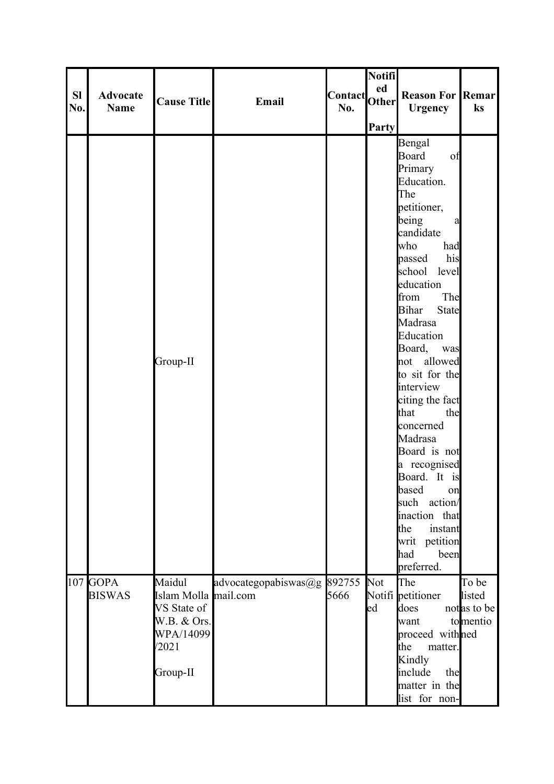|           |                 |                      |                             |                      | Notifi       |                               |             |
|-----------|-----------------|----------------------|-----------------------------|----------------------|--------------|-------------------------------|-------------|
| <b>SI</b> | <b>Advocate</b> |                      |                             |                      |              | <b>Reason For Remar</b>       |             |
| No.       | <b>Name</b>     | <b>Cause Title</b>   | Email                       | Contact Other<br>No. |              | <b>Urgency</b>                | ks          |
|           |                 |                      |                             |                      |              |                               |             |
|           |                 |                      |                             |                      | <b>Party</b> |                               |             |
|           |                 |                      |                             |                      |              | Bengal                        |             |
|           |                 |                      |                             |                      |              | Board<br>of                   |             |
|           |                 |                      |                             |                      |              | Primary                       |             |
|           |                 |                      |                             |                      |              | Education.<br>The             |             |
|           |                 |                      |                             |                      |              | petitioner,                   |             |
|           |                 |                      |                             |                      |              | being<br>a                    |             |
|           |                 |                      |                             |                      |              | candidate                     |             |
|           |                 |                      |                             |                      |              | who<br>had                    |             |
|           |                 |                      |                             |                      |              | his<br>passed                 |             |
|           |                 |                      |                             |                      |              | school level                  |             |
|           |                 |                      |                             |                      |              | education                     |             |
|           |                 |                      |                             |                      |              | from<br>The                   |             |
|           |                 |                      |                             |                      |              | <b>Bihar</b><br>State         |             |
|           |                 |                      |                             |                      |              | Madrasa                       |             |
|           |                 |                      |                             |                      |              | Education                     |             |
|           |                 |                      |                             |                      |              | Board,<br>was                 |             |
|           |                 | Group-II             |                             |                      |              | not allowed<br>to sit for the |             |
|           |                 |                      |                             |                      |              | interview                     |             |
|           |                 |                      |                             |                      |              | citing the fact               |             |
|           |                 |                      |                             |                      |              | that<br>the                   |             |
|           |                 |                      |                             |                      |              | concerned                     |             |
|           |                 |                      |                             |                      |              | Madrasa                       |             |
|           |                 |                      |                             |                      |              | Board is not                  |             |
|           |                 |                      |                             |                      |              | a recognised                  |             |
|           |                 |                      |                             |                      |              | Board. It is                  |             |
|           |                 |                      |                             |                      |              | based<br>on                   |             |
|           |                 |                      |                             |                      |              | action/<br>such               |             |
|           |                 |                      |                             |                      |              | inaction that                 |             |
|           |                 |                      |                             |                      |              | instant<br>the                |             |
|           |                 |                      |                             |                      |              | writ petition<br>had<br>been  |             |
|           |                 |                      |                             |                      |              | preferred.                    |             |
|           | $107$ GOPA      | Maidul               |                             |                      | Not          | The                           | To be       |
|           | <b>BISWAS</b>   | Islam Molla mail.com | advocategopabiswas@g 892755 | 5666                 |              | Notifi petitioner             | listed      |
|           |                 | VS State of          |                             |                      | ed           | does                          | notas to be |
|           |                 | W.B. & Ors.          |                             |                      |              | want                          | tomentio    |
|           |                 | WPA/14099            |                             |                      |              | proceed withned               |             |
|           |                 | /2021                |                             |                      |              | the<br>matter.                |             |
|           |                 |                      |                             |                      |              | Kindly                        |             |
|           |                 | Group-II             |                             |                      |              | include<br>the                |             |
|           |                 |                      |                             |                      |              | matter in the                 |             |
|           |                 |                      |                             |                      |              | list for non-                 |             |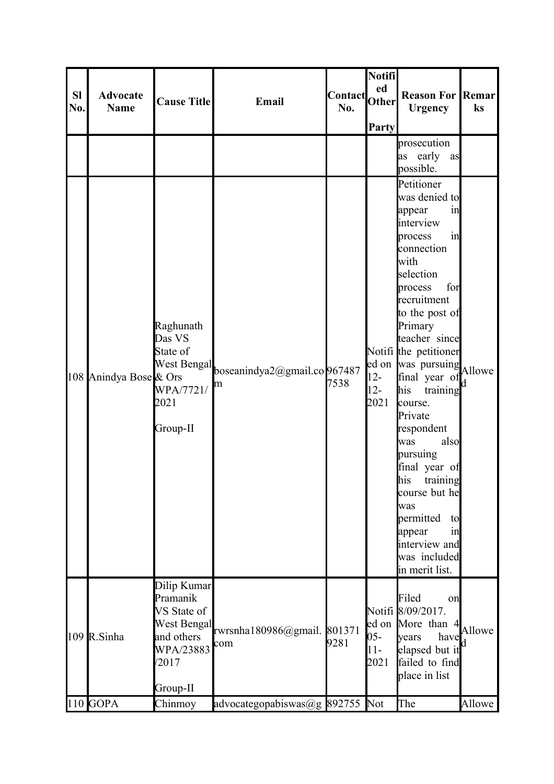| <b>SI</b><br>No. | <b>Advocate</b><br><b>Name</b> | <b>Cause Title</b>                                                                                    | Email                                         | Contact <br> Other <br>No. | Notifi<br>ed<br><b>Party</b> | <b>Reason For Remar</b><br><b>Urgency</b>                                                                                                                                                                                                                                                                                                                                                                                                                                                                        | ks     |
|------------------|--------------------------------|-------------------------------------------------------------------------------------------------------|-----------------------------------------------|----------------------------|------------------------------|------------------------------------------------------------------------------------------------------------------------------------------------------------------------------------------------------------------------------------------------------------------------------------------------------------------------------------------------------------------------------------------------------------------------------------------------------------------------------------------------------------------|--------|
|                  |                                |                                                                                                       |                                               |                            |                              | prosecution<br>as early as<br>possible.                                                                                                                                                                                                                                                                                                                                                                                                                                                                          |        |
|                  | 108 Anindya Bose & Ors         | Raghunath<br>Das VS<br>State of<br>WPA/7721/<br>2021<br>Group-II                                      | West Bengal boseanindya2@gmail.co 967487<br>m | 7538                       | $12 -$<br>$12 -$<br>2021     | Petitioner<br>was denied to<br>appear<br>in<br>interview<br>in<br>process<br>connection<br><b>with</b><br>selection<br>for<br>process<br>recruitment<br>to the post of<br>Primary<br>teacher since<br>Notifi the petitioner<br>ed on was pursuing<br>Allowe<br>final year of<br>his<br>training<br>course.<br>Private<br>respondent<br>also<br>was<br>pursuing<br>final year of<br>his<br>training<br>course but he<br>was<br>permitted<br>to<br>appear<br>in<br>interview and<br>was included<br>in merit list. |        |
|                  | 109 R.Sinha                    | Dilip Kumar<br>Pramanik<br>VS State of<br>West Bengal<br>and others<br>WPA/23883<br>/2017<br>Group-II | rwrsnha180986@gmail. 801371<br>com            | 9281                       | $05 -$<br>$11-$<br>2021      | Filed<br>on<br>Notifi 8/09/2017.<br>ed on More than 4<br>have<br>years<br>elapsed but it<br>failed to find<br>place in list                                                                                                                                                                                                                                                                                                                                                                                      | Allowe |
|                  | $110$ GOPA                     | Chinmoy                                                                                               | advocategopabiswas@g 892755                   |                            | Not                          | The                                                                                                                                                                                                                                                                                                                                                                                                                                                                                                              | Allowe |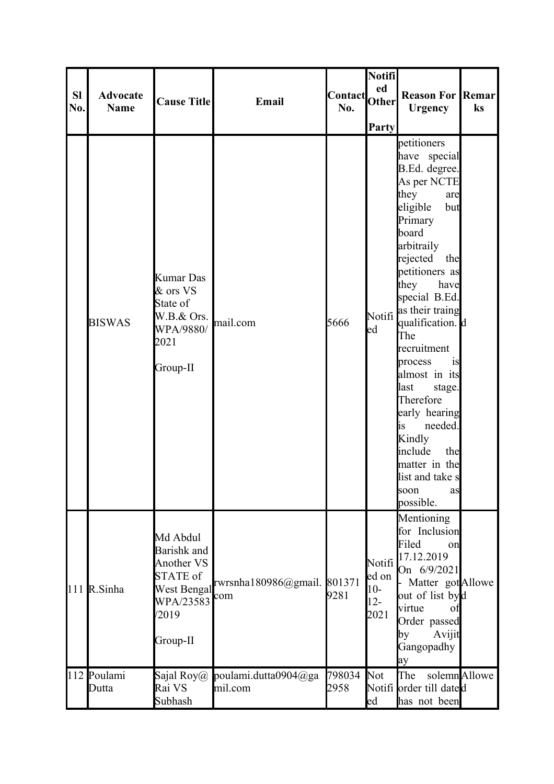| <b>SI</b><br>No. | <b>Advocate</b><br><b>Name</b> | <b>Cause Title</b>                                                                                 | Email                           | Contact Other<br>No. | Notifi<br>ed<br>Party                      | <b>Reason For Remar</b><br><b>Urgency</b>                                                                                                                                                                                                                                                                                                                                                                                                                                 | ks           |
|------------------|--------------------------------|----------------------------------------------------------------------------------------------------|---------------------------------|----------------------|--------------------------------------------|---------------------------------------------------------------------------------------------------------------------------------------------------------------------------------------------------------------------------------------------------------------------------------------------------------------------------------------------------------------------------------------------------------------------------------------------------------------------------|--------------|
|                  | <b>BISWAS</b>                  | <b>Kumar Das</b><br>& ors VS<br>State of<br>W.B.& Ors.<br>WPA/9880/<br>2021<br>Group-II            | mail.com                        | 5666                 | ed                                         | petitioners<br>have special<br>B.Ed. degree.<br>As per NCTE<br>they<br>are<br>eligible<br>but<br>Primary<br>board<br>arbitraily<br>rejected<br>the<br>petitioners as<br>they<br>have<br>special B.Ed.<br>Notifi as their traing<br>qualification. d<br>The<br>recruitment<br>is<br>process<br>almost in its<br>last<br>stage.<br>Therefore<br>early hearing<br>needed.<br>lis.<br>Kindly<br>include<br>the<br>matter in the<br>list and take s<br>soon<br>as<br>possible. |              |
|                  | 111 R.Sinha                    | Md Abdul<br>Barishk and<br>Another VS<br>STATE of<br>West Bengal<br>WPA/23583<br>/2019<br>Group-II | rwrsnha180986@gmail.<br>com     | 801371<br>9281       | Notifi<br>ed on<br>$10-$<br>$12 -$<br>2021 | Mentioning<br>for Inclusion<br>Filed<br>on<br>17.12.2019<br>On 6/9/2021<br>Matter got Allowe<br>out of list byd<br>virtue<br>of<br>Order passed<br>Avijit<br>by<br>Gangopadhy<br>ay                                                                                                                                                                                                                                                                                       |              |
|                  | 112 Poulami<br>Dutta           | Sajal Roy $@$<br>Rai VS<br>Subhash                                                                 | poulami.dutta0904@ga<br>mil.com | 798034<br>2958       | Not<br>ed                                  | The<br>Notifi order till dated<br>has not been                                                                                                                                                                                                                                                                                                                                                                                                                            | solemnAllowe |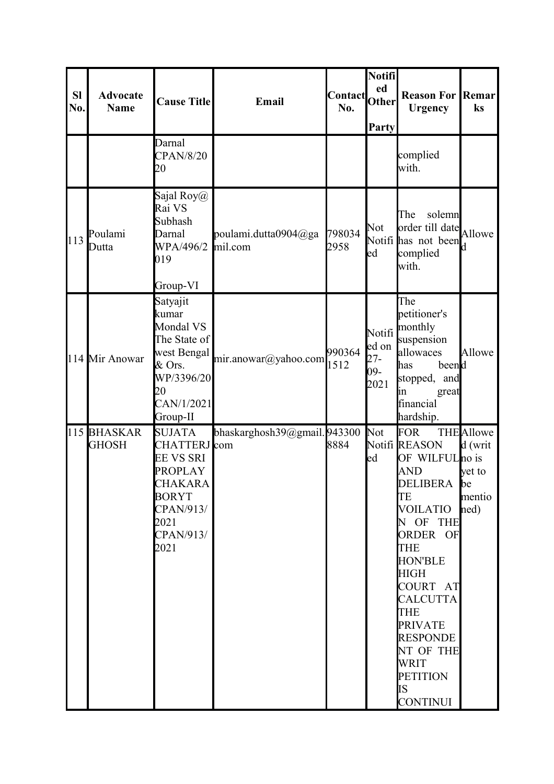| <b>SI</b><br>No. | <b>Advocate</b><br><b>Name</b> | <b>Cause Title</b>                                                                                                                              | Email                           | <b>Contact</b><br>No. | Notifi<br>ed<br>Other<br>Party | <b>Reason For Remar</b><br><b>Urgency</b>                                                                                                                                                                                                                                                                              | ks                                                               |
|------------------|--------------------------------|-------------------------------------------------------------------------------------------------------------------------------------------------|---------------------------------|-----------------------|--------------------------------|------------------------------------------------------------------------------------------------------------------------------------------------------------------------------------------------------------------------------------------------------------------------------------------------------------------------|------------------------------------------------------------------|
|                  |                                | Darnal<br><b>CPAN/8/20</b><br>20                                                                                                                |                                 |                       |                                | complied<br>with.                                                                                                                                                                                                                                                                                                      |                                                                  |
| 113              | Poulami<br>Dutta               | Sajal Roy $(a)$<br>Rai VS<br>Subhash<br>Darnal<br>WPA/496/2<br>019<br>Group-VI                                                                  | poulami.dutta0904@ga<br>mil.com | 798034<br>2958        | <b>Not</b><br>ed               | solemn<br>The<br>order till date Allowe<br>Notifi has not been<br>complied<br>with.                                                                                                                                                                                                                                    |                                                                  |
|                  | 114 Mir Anowar                 | Satyajit<br>kumar<br>Mondal VS<br>The State of<br>west Bengal<br>$&$ Ors.<br>WP/3396/20<br>20<br>CAN/1/2021<br>Group-II                         | $mir.$ anowar@yahoo.com         | 990364<br>1512        | ed on<br>$27 -$<br>09-<br>2021 | The<br>petitioner's<br>Notifi monthly<br>suspension<br>allowaces<br>beend<br>has<br>stopped, and<br>great<br>ın<br>financial<br>hardship.                                                                                                                                                                              | Allowe                                                           |
|                  | 115 BHASKAR<br><b>GHOSH</b>    | <b>SUJATA</b><br>CHATTERJ com<br><b>EE VS SRI</b><br><b>PROPLAY</b><br><b>CHAKARA</b><br><b>BORYT</b><br>CPAN/913/<br>2021<br>CPAN/913/<br>2021 | bhaskarghosh39@gmail.943300     | 8884                  | <b>Not</b><br>ed               | <b>FOR</b><br>Notifi REASON<br>OF WILFULno is<br>AND<br>DELIBERA be<br>TE<br><b>VOILATIO</b><br>N OF THE<br>ORDER OF<br><b>THE</b><br><b>HON'BLE</b><br><b>HIGH</b><br>COURT AT<br><b>CALCUTTA</b><br><b>THE</b><br><b>PRIVATE</b><br><b>RESPONDE</b><br>NT OF THE<br>WRIT<br><b>PETITION</b><br>IS<br><b>CONTINUI</b> | <b>THE</b> Allowe<br>d(writ)<br>yet to<br>mentio<br>$\text{ned}$ |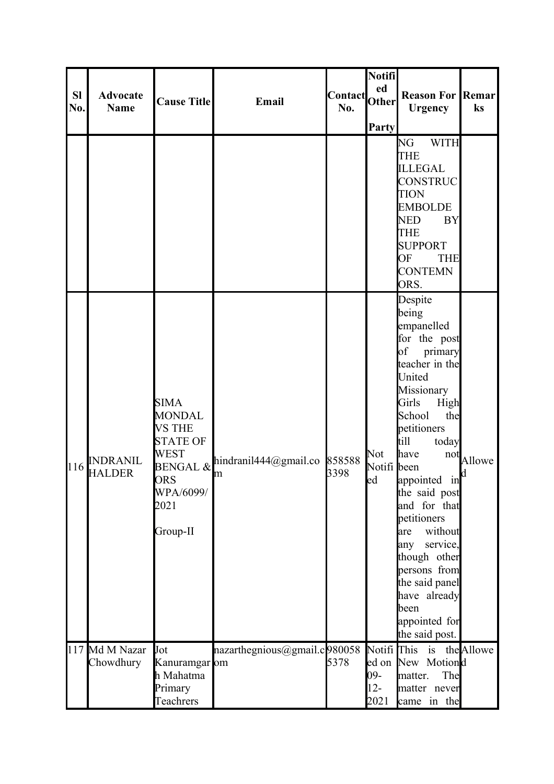| <b>SI</b><br>No. | <b>Advocate</b><br><b>Name</b>   | <b>Cause Title</b>                                                                                                      | Email                               | Contact Other<br>No. | Notifi<br>ed<br>Party                           | <b>Reason For Remar</b><br><b>Urgency</b>                                                                                                                                                                                                                                                                                                                                                                                                  | ks     |
|------------------|----------------------------------|-------------------------------------------------------------------------------------------------------------------------|-------------------------------------|----------------------|-------------------------------------------------|--------------------------------------------------------------------------------------------------------------------------------------------------------------------------------------------------------------------------------------------------------------------------------------------------------------------------------------------------------------------------------------------------------------------------------------------|--------|
|                  |                                  |                                                                                                                         |                                     |                      |                                                 | <b>WITH</b><br>NG<br><b>THE</b><br><b>ILLEGAL</b><br><b>CONSTRUC</b><br><b>TION</b><br><b>EMBOLDE</b><br><b>NED</b><br><b>BY</b><br><b>THE</b><br><b>SUPPORT</b><br>OF<br><b>THE</b><br><b>CONTEMN</b><br>ORS.                                                                                                                                                                                                                             |        |
| 116              | <b>INDRANIL</b><br><b>HALDER</b> | <b>SIMA</b><br><b>MONDAL</b><br><b>VS THE</b><br><b>STATE OF</b><br><b>WEST</b><br>ORS<br>WPA/6099/<br>2021<br>Group-II | BENGAL & hindranil444@gmail.co<br>m | 858588<br>3398       | Not<br>Notifi been<br>$\text{led}$              | Despite<br>being<br>empanelled<br>for the post<br>$\sigma$<br>primary<br>teacher in the<br>United<br>Missionary<br>Girls<br>High<br>School<br>the<br>petitioners<br>till<br>today<br>have<br>not<br>$\sin \left  d \right $<br>appointed<br>the said post<br>and for that<br>petitioners<br>without<br>are<br>service,<br>any<br>though other<br>persons from<br>the said panel<br>have already<br>been<br>appointed for<br>the said post. | Allowe |
|                  | 117 Md M Nazar<br>Chowdhury      | Jot<br>Kanuramgar om<br>h Mahatma<br>Primary<br>Teachrers                                                               | nazarthegnious@gmail.c980058        | 5378                 | Notifi <sup>This</sup><br>09-<br>$12 -$<br>2021 | is the Allowe<br>ed on New Motiond<br>The<br>matter.<br>matter never<br>came in the                                                                                                                                                                                                                                                                                                                                                        |        |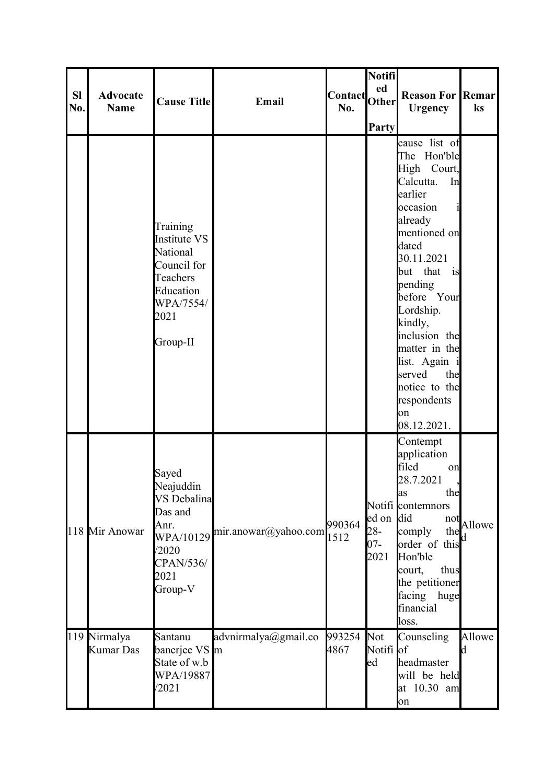| <b>SI</b><br>No. | <b>Advocate</b><br><b>Name</b>   | <b>Cause Title</b>                                                                                            | Email                | Contact Other<br>No. | <b>Notifi</b><br>ed<br>Party          | <b>Reason For Remar</b><br><b>Urgency</b>                                                                                                                                                                                                                                                                                         | ks          |
|------------------|----------------------------------|---------------------------------------------------------------------------------------------------------------|----------------------|----------------------|---------------------------------------|-----------------------------------------------------------------------------------------------------------------------------------------------------------------------------------------------------------------------------------------------------------------------------------------------------------------------------------|-------------|
|                  |                                  | Training<br>Institute VS<br>National<br>Council for<br>Teachers<br>Education<br>WPA/7554/<br>2021<br>Group-II |                      |                      |                                       | cause list of<br>The Hon'ble<br>High Court,<br>Calcutta.<br>In<br>earlier<br>occasion<br>already<br>mentioned on<br>dated<br>30.11.2021<br>but that is<br>pending<br>before Your<br>Lordship.<br>kindly,<br>inclusion the<br>matter in the<br>list. Again i<br>served<br>the<br>notice to the<br>respondents<br>on<br>08.12.2021. |             |
|                  | 118 Mir Anowar                   | Sayed<br>Neajuddin<br>VS Debalina<br>Das and<br>Anr.<br>WPA/10129<br>/2020<br>CPAN/536/<br>2021<br>Group-V    | mir.anowar@yahoo.com | 990364<br>1512       | ed on did<br>$28 -$<br>$07 -$<br>2021 | Contempt<br>application<br>filed<br>on<br>28.7.2021<br>the<br>las<br>Notifi contemnors<br>not<br>comply<br>the<br>order of this<br>Hon'ble<br>thus<br>court,<br>the petitioner<br>facing huge<br>financial<br>loss.                                                                                                               | Allowe      |
|                  | 119 Nirmalya<br><b>Kumar Das</b> | Santanu<br>banerjee VS m<br>State of w.b<br>WPA/19887<br>/2021                                                | advnirmalya@gmail.co | 993254<br>4867       | Not<br>Notifi of<br>ed                | Counseling<br>headmaster<br>will be held<br>at 10.30 am<br>on                                                                                                                                                                                                                                                                     | Allowe<br>k |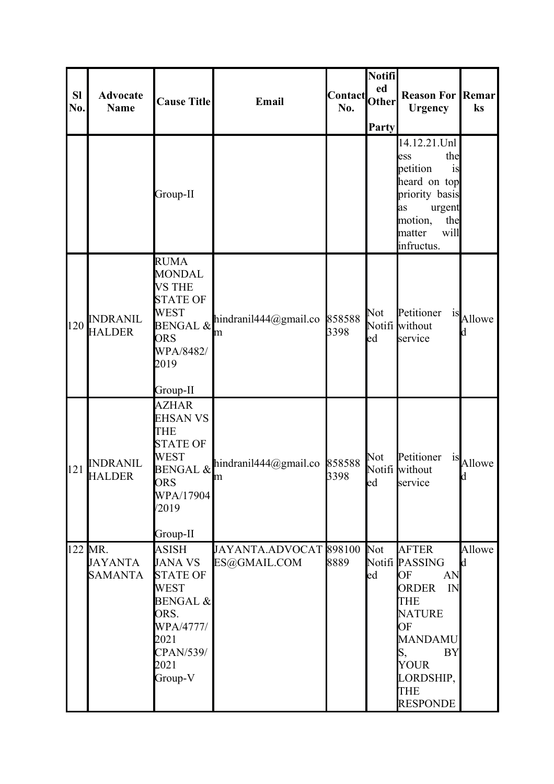| <b>Sl</b><br>No. | <b>Advocate</b><br><b>Name</b>              | <b>Cause Title</b>                                                                                                                                          | Email                                  | Contact Other<br>No. | Notifi<br>ed<br>Party | <b>Reason For Remar</b><br><b>Urgency</b>                                                                                                                                                        | ks                 |
|------------------|---------------------------------------------|-------------------------------------------------------------------------------------------------------------------------------------------------------------|----------------------------------------|----------------------|-----------------------|--------------------------------------------------------------------------------------------------------------------------------------------------------------------------------------------------|--------------------|
|                  |                                             | Group-II                                                                                                                                                    |                                        |                      |                       | 14.12.21.Unl<br>the<br>ess<br>petition<br>is<br>heard on top<br>priority basis<br>urgent<br>as<br>motion,<br>the<br>matter<br>will<br>infructus.                                                 |                    |
| 120              | <b>INDRANIL</b><br><b>HALDER</b>            | <b>RUMA</b><br><b>MONDAL</b><br><b>VS THE</b><br><b>STATE OF</b><br><b>WEST</b><br><b>ORS</b><br>WPA/8482/<br>2019<br>Group-II                              | BENGAL & hindranil444@gmail.co<br>m    | 858588<br>3398       | Not<br>ed             | Petitioner<br>1S<br>Notifi without<br>service                                                                                                                                                    | Allowe<br>d        |
| 121              | <b>INDRANIL</b><br><b>HALDER</b>            | <b>AZHAR</b><br><b>EHSAN VS</b><br><b>THE</b><br><b>STATE OF</b><br><b>WEST</b><br><b>ORS</b><br>WPA/17904<br>/2019<br>Group-II                             | BENGAL & hindranil444@gmail.co<br>m    | 858588<br>3398       | Not<br>led            | Petitioner<br>1S<br>Notifi without<br>service                                                                                                                                                    | Allowe<br>d        |
|                  | 122 MR.<br><b>JAYANTA</b><br><b>SAMANTA</b> | <b>ASISH</b><br><b>JANA VS</b><br><b>STATE OF</b><br><b>WEST</b><br><b>BENGAL &amp;</b><br>ORS.<br>WPA/4777/<br>2021<br><b>CPAN/539/</b><br>2021<br>Group-V | JAYANTA.ADVOCAT 898100<br>ES@GMAIL.COM | 8889                 | Not<br>ed             | <b>AFTER</b><br>Notifi PASSING<br>OF<br>AN<br><b>ORDER</b><br>IN<br><b>THE</b><br><b>NATURE</b><br>OF<br>MANDAMU<br><b>BY</b><br>S,<br><b>YOUR</b><br>LORDSHIP,<br><b>THE</b><br><b>RESPONDE</b> | Allowe<br><b>d</b> |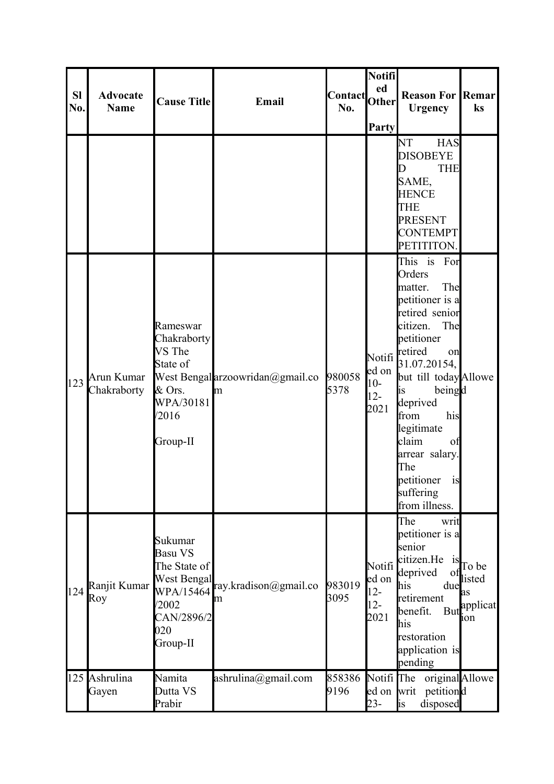| <b>SI</b><br>No. | <b>Advocate</b><br><b>Name</b> | <b>Cause Title</b>                                                                                       | Email                                 | Contact<br>No. | <b>Notifi</b><br>ed<br><b>Other</b><br>Party | <b>Reason For Remar</b><br><b>Urgency</b>                                                                                                                                                                                                                                                                                | ks                                                      |
|------------------|--------------------------------|----------------------------------------------------------------------------------------------------------|---------------------------------------|----------------|----------------------------------------------|--------------------------------------------------------------------------------------------------------------------------------------------------------------------------------------------------------------------------------------------------------------------------------------------------------------------------|---------------------------------------------------------|
|                  |                                |                                                                                                          |                                       |                |                                              | <b>NT</b><br><b>HAS</b><br><b>DISOBEYE</b><br><b>THE</b><br>D<br>SAME,<br><b>HENCE</b><br><b>THE</b><br><b>PRESENT</b><br><b>CONTEMPT</b><br>PETITITON.                                                                                                                                                                  |                                                         |
| 123              | Arun Kumar<br>Chakraborty      | Rameswar<br>Chakraborty<br>VS The<br>State of<br>$&$ Ors.<br>WPA/30181<br>/2016<br>Group-II              | West Bengal arzoowridan@gmail.co<br>m | 980058<br>5378 | Notifi<br>ed on<br>$10-$<br>$12-$<br>2021    | This is For<br>Orders<br>The<br>matter.<br>petitioner is a<br>retired senior<br>citizen.<br>The<br>petitioner<br>retired<br>on<br>31.07.20154,<br>but till today Allowe<br>beingd<br>lis<br>deprived<br>from<br>his<br>legitimate<br>claim<br>of<br>arrear salary.<br>The<br>petitioner is<br>suffering<br>from illness. |                                                         |
| 124              | Ranjit Kumar<br>Roy            | Sukumar<br>Basu VS<br>The State of<br>West Bengal<br>WPA/15464<br>/2002<br>CAN/2896/2<br>020<br>Group-II | ray.kradison@gmail.co<br>m            | 983019<br>3095 | Notifi<br>ed on<br>$12 -$<br>$12-$<br>2021   | The<br>writ<br>petitioner is a<br>senior<br>citizen.He<br>1S<br>deprived<br>Ωt<br>due<br>his<br>retirement<br>benefit.<br>his<br>restoration<br>application is<br>pending                                                                                                                                                | To be<br>listed<br>as<br>But <sup>applicat</sup><br>10n |
|                  | 125 Ashrulina<br>Gayen         | Namita<br>Dutta VS<br>Prabir                                                                             | ashrulina@gmail.com                   | 858386<br>9196 | Notifi The<br>ed on writ<br>$23 -$           | original Allowe<br>petitiond<br>disposed<br><i>is</i>                                                                                                                                                                                                                                                                    |                                                         |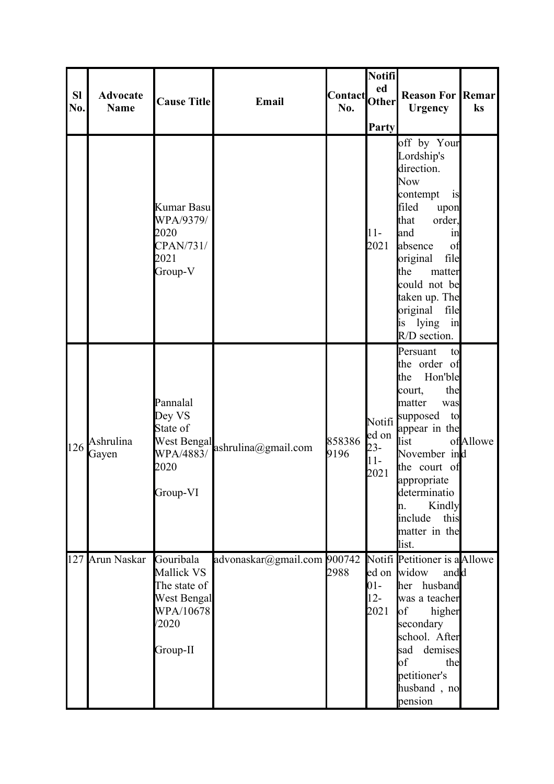|                  |                                |                                                                                                 |                                 |                      | <b>Notifi</b>                    |                                                                                                                                                                                                                                                                   |          |
|------------------|--------------------------------|-------------------------------------------------------------------------------------------------|---------------------------------|----------------------|----------------------------------|-------------------------------------------------------------------------------------------------------------------------------------------------------------------------------------------------------------------------------------------------------------------|----------|
| <b>SI</b><br>No. | <b>Advocate</b><br><b>Name</b> | <b>Cause Title</b>                                                                              | Email                           | Contact Other<br>No. | ed                               | <b>Reason For Remar</b><br><b>Urgency</b>                                                                                                                                                                                                                         | ks       |
|                  |                                | Kumar Basu<br>WPA/9379/<br>2020<br>CPAN/731/<br>2021<br>Group-V                                 |                                 |                      | Party<br>$11-$<br>2021           | off by Your<br>Lordship's<br>direction.<br><b>Now</b><br>contempt<br>is<br>filed<br>upon<br>that<br>order,<br>and<br>in<br>of<br>absence<br>file<br>original<br>the<br>matter<br>could not be<br>taken up. The<br>original file<br>is lying<br>in<br>R/D section. |          |
| 126              | Ashrulina<br>Gayen             | Pannalal<br>Dey VS<br>State of<br>2020<br>Group-VI                                              | West Bengal ashrulina@gmail.com | 858386<br>9196       | ed on<br>$23 -$<br>$11-$<br>2021 | Persuant<br>to<br>the order of<br>Hon'ble<br>the<br>the<br>court,<br>matter<br>was<br>Notifi supposed<br>to<br>appear in the<br>list<br>November ind<br>the court of<br>appropriate<br>determinatio<br>Kindly<br>h.<br>include<br>this<br>matter in the<br>list.  | ofAllowe |
|                  | 127 Arun Naskar                | Gouribala<br>Mallick VS<br>The state of<br><b>West Bengal</b><br>WPA/10678<br>/2020<br>Group-II | advonaskar@gmail.com 900742     | 2988                 | $01 -$<br>$12 -$<br>2021         | Notifi Petitioner is a Allowe<br>ed on widow<br>andd<br>her husband<br>was a teacher<br>$\circ$ f<br>higher<br>secondary<br>school. After<br>sad demises<br>$\bf{b}$<br>the<br>petitioner's<br>husband, no<br>pension                                             |          |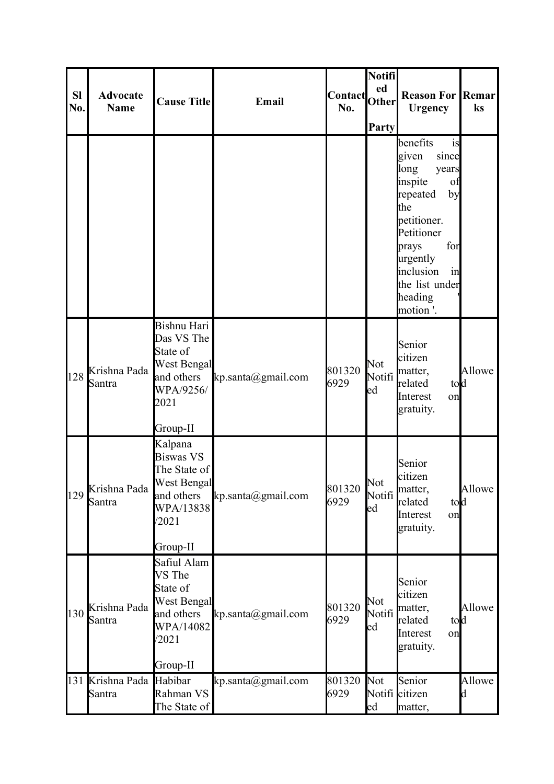| <b>SI</b><br>No. | <b>Advocate</b><br><b>Name</b> | <b>Cause Title</b>                                                                                         | Email                          | Contact Other<br>No. | <b>Notifi</b><br>ed<br>Party | <b>Reason For Remar</b><br><b>Urgency</b>                                                                                                                                                                        | ks          |
|------------------|--------------------------------|------------------------------------------------------------------------------------------------------------|--------------------------------|----------------------|------------------------------|------------------------------------------------------------------------------------------------------------------------------------------------------------------------------------------------------------------|-------------|
|                  |                                |                                                                                                            |                                |                      |                              | benefits<br>is<br>since<br>given<br>long<br>years<br>inspite<br>of<br>by<br>repeated<br>the<br>petitioner.<br>Petitioner<br>prays<br>for<br>urgently<br>inclusion<br>in<br>the list under<br>heading<br>motion'. |             |
| 128              | Krishna Pada<br>Santra         | Bishnu Hari<br>Das VS The<br>State of<br><b>West Bengal</b><br>and others<br>WPA/9256/<br>2021<br>Group-II | kp.santa(Qgmail.com)           | 801320<br>6929       | Not<br>Notifi<br>ed          | Senior<br>citizen<br>matter,<br>tod<br>related<br>Interest<br>on<br>gratuity.                                                                                                                                    | Allowe      |
| 129              | Krishna Pada<br>Santra         | Kalpana<br><b>Biswas VS</b><br>The State of<br>West Bengal<br>and others<br>WPA/13838<br>/2021<br>Group-II | kp.santa(Qgmail.com)           | 801320<br>6929       | Not<br>Notifi<br>ed          | Senior<br>citizen<br>matter,<br>related<br>tod<br>Interest<br>on<br>gratuity.                                                                                                                                    | Allowe      |
| 130              | Krishna Pada<br>Santra         | Safiul Alam<br>VS The<br>State of<br><b>West Bengal</b><br>and others<br>WPA/14082<br>/2021<br>Group-II    | kp.santa(Qgmail.com)           | 801320<br>6929       | Not<br>Notifi<br>ed          | Senior<br>citizen<br>matter,<br>related<br>told<br>Interest<br>on<br>gratuity.                                                                                                                                   | Allowe      |
| 131              | Krishna Pada<br>Santra         | Habibar<br>Rahman VS<br>The State of                                                                       | $kp.\text{santa}(a)$ gmail.com | 801320<br>6929       | Not<br>$_{\text{ed}}$        | Senior<br>Notifi citizen<br>matter,                                                                                                                                                                              | Allowe<br>d |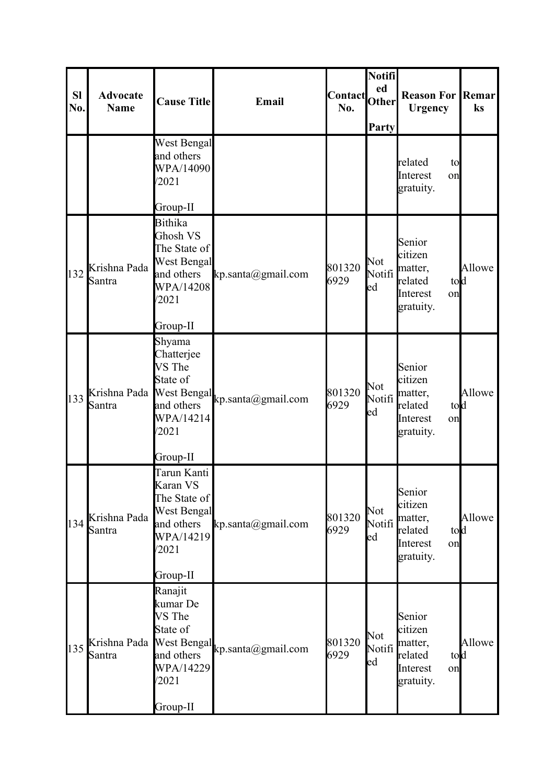| <b>Sl</b><br>No. | <b>Advocate</b><br><b>Name</b> | <b>Cause Title</b>                                                                                               | Email                | Contact Other<br>No. | Notifi<br>Party            | <b>Reason For Remar</b><br><b>Urgency</b>                                      | ks     |
|------------------|--------------------------------|------------------------------------------------------------------------------------------------------------------|----------------------|----------------------|----------------------------|--------------------------------------------------------------------------------|--------|
|                  |                                | <b>West Bengal</b><br>and others<br>WPA/14090<br>/2021<br>Group-II                                               |                      |                      |                            | related<br>to<br>Interest<br>on<br>gratuity.                                   |        |
| 132              | Krishna Pada<br>Santra         | <b>Bithika</b><br>Ghosh VS<br>The State of<br><b>West Bengal</b><br>and others<br>WPA/14208<br>/2021<br>Group-II | kp.santa(Qgmail.com) | 801320<br>6929       | Not<br>Notifi<br>ed        | Senior<br>citizen<br>matter,<br>told<br>related<br>Interest<br>on<br>gratuity. | Allowe |
| 133              | Krishna Pada<br>Santra         | Shyama<br>Chatterjee<br>VS The<br>State of<br>West Bengal<br>and others<br>WPA/14214<br>/2021<br>Group-II        | kp.santa@gmail.com   | 801320<br>6929       | <b>Not</b><br>Notifi<br>ed | Senior<br>citizen<br>matter,<br>tod<br>related<br>Interest<br>on<br>gratuity.  | Allowe |
| 134              | Krishna Pada<br>Santra         | Tarun Kanti<br>Karan VS<br>The State of<br>West Bengal<br>and others<br>WPA/14219<br>/2021<br>Group-II           | kp.santa(Qgmail.com) | 801320<br>6929       | <b>Not</b><br>Notifi<br>ed | Senior<br>citizen<br>matter,<br>related<br>tod<br>Interest<br>on<br>gratuity.  | Allowe |
| 135              | Krishna Pada<br>Santra         | Ranajit<br>kumar De<br>VS The<br>State of<br>West Bengal<br>and others<br>WPA/14229<br>/2021<br>Group-II         | kp.santa@gmail.com   | 801320<br>6929       | Not<br>Notifi<br>ed        | Senior<br>citizen<br>matter,<br>tod<br>related<br>Interest<br>on<br>gratuity.  | Allowe |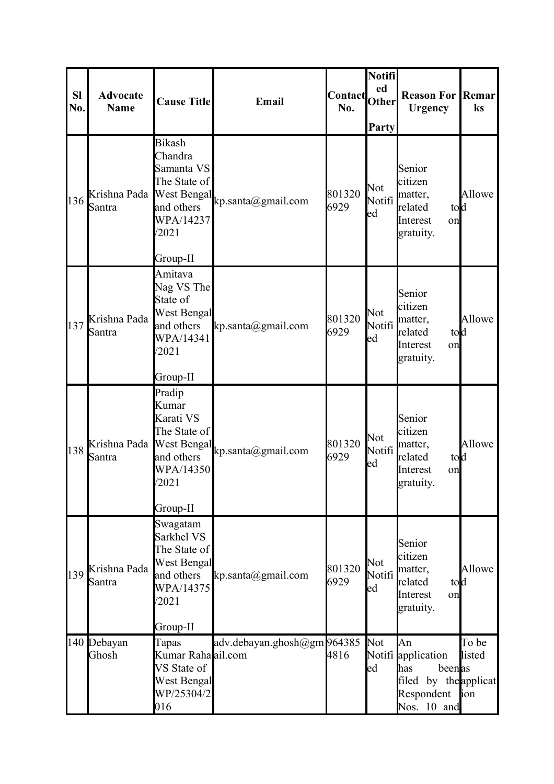| <b>Sl</b><br>No. | <b>Advocate</b><br><b>Name</b> | <b>Cause Title</b>                                                                                                    | Email                          | <b>Contact</b><br>No. | Notifi<br>ed<br><b>Other</b><br>Party | <b>Reason For Remar</b><br><b>Urgency</b>                                                       | ks                     |
|------------------|--------------------------------|-----------------------------------------------------------------------------------------------------------------------|--------------------------------|-----------------------|---------------------------------------|-------------------------------------------------------------------------------------------------|------------------------|
| 136              | Krishna Pada<br>Santra         | <b>Bikash</b><br>Chandra<br>Samanta VS<br>The State of<br>West Bengal<br>and others<br>WPA/14237<br>/2021<br>Group-II | $kp.\text{santa}(a)$ gmail.com | 801320<br>6929        | Not<br>Notifi<br>ed                   | Senior<br>citizen<br>matter,<br>related<br>told<br>Interest<br>on<br>gratuity.                  | Allowe                 |
| 137              | Krishna Pada<br>Santra         | Amitava<br>Nag VS The<br>State of<br>West Bengal<br>and others<br>WPA/14341<br>/2021<br>Group-II                      | kp.santa@gmail.com             | 801320<br>6929        | Not<br>Notifi<br>ed                   | Senior<br>citizen<br>matter,<br>tod<br>related<br>Interest<br>on<br>gratuity.                   | Allowe                 |
| 138              | Krishna Pada<br>Santra         | Pradip<br>Kumar<br>Karati VS<br>The State of<br><b>West Bengal</b><br>and others<br>WPA/14350<br>/2021<br>Group-II    | $kp.\text{santa}(a)$ gmail.com | 801320<br>6929        | Not<br>ed                             | Senior<br>citizen<br>Notifi matter,<br>related<br>tod<br>Interest<br>on<br>gratuity.            | Allowe                 |
| 139              | Krishna Pada<br>Santra         | Swagatam<br>Sarkhel VS<br>The State of<br>West Bengal<br>and others<br>WPA/14375<br>/2021<br>Group-II                 | kp.santa(Qgmail.com)           | 801320<br>6929        | Not<br>Notifi<br>ed                   | Senior<br>citizen<br>matter,<br>related<br>told<br>Interest<br>on<br>gratuity.                  | Allowe                 |
|                  | 140 Debayan<br>Ghosh           | Tapas<br>Kumar Raha ail.com<br>VS State of<br>West Bengal<br>WP/25304/2<br>016                                        | adv.debayan.ghosh@gm964385     | 4816                  | <b>Not</b><br>ed                      | An<br>Notifi application<br>beenas<br>has<br>filed by the applicat<br>Respondent<br>Nos. 10 and | To be<br>listed<br>ion |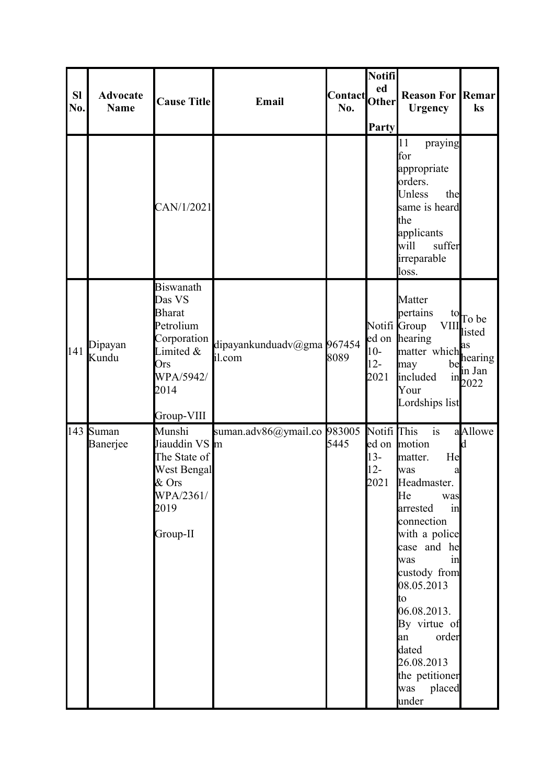| <b>SI</b><br>No. | <b>Advocate</b><br><b>Name</b> | <b>Cause Title</b>                                                                                                             | Email                                | Contact Other<br>No. | Notifi<br><b>Party</b>                             | <b>Reason For Remar</b><br><b>Urgency</b>                                                                                                                                                                                                                                                                  | ks                                                                                                                       |
|------------------|--------------------------------|--------------------------------------------------------------------------------------------------------------------------------|--------------------------------------|----------------------|----------------------------------------------------|------------------------------------------------------------------------------------------------------------------------------------------------------------------------------------------------------------------------------------------------------------------------------------------------------------|--------------------------------------------------------------------------------------------------------------------------|
|                  |                                | CAN/1/2021                                                                                                                     |                                      |                      |                                                    | 11<br>praying<br>for<br>appropriate<br>orders.<br>Unless<br>the<br>same is heard<br>the<br>applicants<br>suffer<br>will<br>irreparable<br>loss.                                                                                                                                                            |                                                                                                                          |
| 141              | Dipayan<br>Kundu               | <b>Biswanath</b><br>Das VS<br><b>Bharat</b><br>Petrolium<br>Corporation<br>Limited &<br>Ors<br>WPA/5942/<br>2014<br>Group-VIII | dipayankunduadv@gma 967454<br>il.com | 8089                 | $10-$<br>$12 -$<br>2021                            | Matter<br>pertains<br><b>VIII</b><br>Notifi Group<br>ed on hearing<br>matter which <sup>as</sup><br>may<br>included<br>1n<br>Your<br>Lordships list                                                                                                                                                        | $\frac{10}{10}$ To be<br>listed<br>$\begin{bmatrix} \text{hearing} \\ \text{heq} \\ \text{in Jan} \end{bmatrix}$<br>2022 |
| 143              | Suman<br>Banerjee              | Munshi<br>Jiauddin VS m<br>The State of<br>West Bengal<br>& Ors<br>WPA/2361/<br>2019<br>Group-II                               | suman.adv86@ymail.co 983005          | 5445                 | Notifi <sup>This</sup><br>$13 -$<br>$12 -$<br>2021 | is<br>ed on motion<br>He<br>matter.<br>was<br>a<br>Headmaster.<br>He<br>was<br>arrested<br>in<br>connection<br>with a police<br>case and he<br>in<br>was<br>custody from<br>08.05.2013<br>to<br>06.08.2013.<br>By virtue of<br>order<br>an<br>dated<br>26.08.2013<br>the petitioner<br>was placed<br>under | aAllowe<br><b>d</b>                                                                                                      |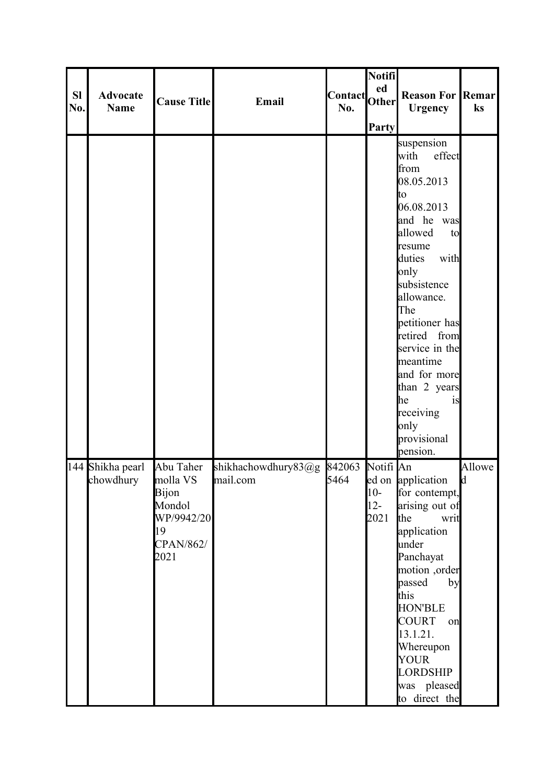| <b>SI</b><br>No. | <b>Advocate</b><br><b>Name</b> | <b>Cause Title</b>                                                                | Email                           | <b>Contact</b><br>No. | Notifi<br>ed<br><b>Other</b><br><b>Party</b> | <b>Reason For Remar</b><br><b>Urgency</b>                                                                                                                                                                                                                                                                                                  | ks          |
|------------------|--------------------------------|-----------------------------------------------------------------------------------|---------------------------------|-----------------------|----------------------------------------------|--------------------------------------------------------------------------------------------------------------------------------------------------------------------------------------------------------------------------------------------------------------------------------------------------------------------------------------------|-------------|
|                  |                                |                                                                                   |                                 |                       |                                              | suspension<br>with<br>effect<br>from<br>08.05.2013<br>Ito<br>06.08.2013<br>and he was<br>allowed<br>to<br>resume<br>with<br>duties<br>only<br>subsistence<br>allowance.<br>The<br>petitioner has<br>retired from<br>service in the<br>meantime<br>and for more<br>than 2 years<br>he<br>1S<br>receiving<br>only<br>provisional<br>pension. |             |
|                  | 144 Shikha pearl<br>chowdhury  | Abu Taher<br>molla VS<br>Bijon<br>Mondol<br>WP/9942/20<br>19<br>CPAN/862/<br>2021 | shikhachowdhury83@g<br>mail.com | 842063<br>5464        | Notifi An<br>$10-$<br>$12 -$<br>2021         | ed on application<br>for contempt,<br>arising out of<br>the<br>writ<br>application<br>under<br>Panchayat<br>motion ,order<br>passed<br>by<br>this<br><b>HON'BLE</b><br><b>COURT</b><br>on<br>13.1.21.<br>Whereupon<br><b>YOUR</b><br><b>LORDSHIP</b><br>was pleased<br>to direct the                                                       | Allowe<br>d |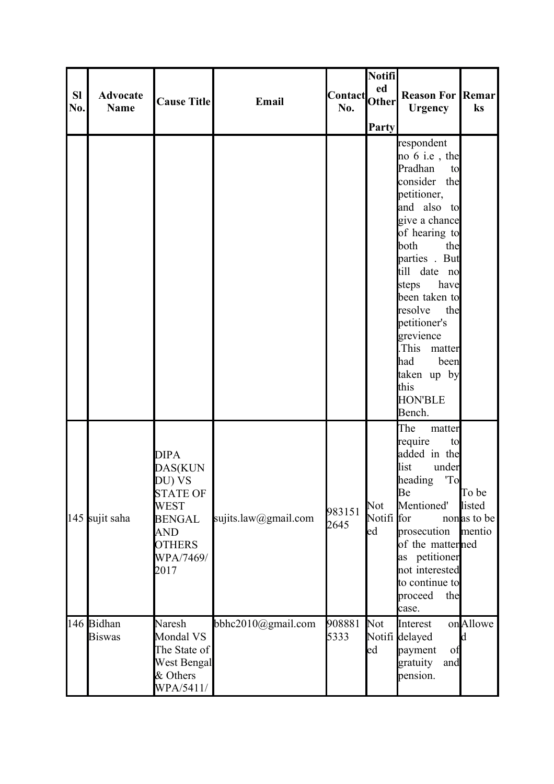| <b>SI</b><br>No. | <b>Advocate</b><br><b>Name</b> | <b>Cause Title</b>                                                                                                               | Email                  | Contact Other<br>No. | <b>Notifi</b><br>Party  | <b>Reason For Remar</b><br><b>Urgency</b>                                                                                                                                                                                                                                                                                                     | $\mathbf{k}$ s                           |
|------------------|--------------------------------|----------------------------------------------------------------------------------------------------------------------------------|------------------------|----------------------|-------------------------|-----------------------------------------------------------------------------------------------------------------------------------------------------------------------------------------------------------------------------------------------------------------------------------------------------------------------------------------------|------------------------------------------|
|                  |                                |                                                                                                                                  |                        |                      |                         | respondent<br>no $6$ i.e, the<br>Pradhan<br>to<br>consider the<br>petitioner,<br>and also to<br>give a chance<br>of hearing to<br>the<br>both<br>parties . But<br>till date no<br>have<br>steps<br>been taken to<br>resolve<br>the<br>petitioner's<br>grevience<br>This matter<br>had been<br>taken up by<br>this<br><b>HON'BLE</b><br>Bench. |                                          |
|                  | 145 sujit saha                 | <b>DIPA</b><br>DAS(KUN<br>DU) VS<br><b>STATE OF</b><br>WEST<br><b>BENGAL</b><br><b>AND</b><br><b>OTHERS</b><br>WPA/7469/<br>2017 | sujits.law@gmail.com   | 983151<br>2645       | Not<br>Notifi for<br>ed | The<br>matter<br>require<br>to<br>added in the<br>list<br>under<br>'To<br>heading<br>Be<br>Mentioned'<br>prosecution<br>of the matterned<br>as petitioner<br>not interested<br>to continue to<br>proceed<br>the<br>case.                                                                                                                      | To be<br>listed<br>nonas to be<br>mentio |
|                  | 146 Bidhan<br><b>Biswas</b>    | Naresh<br>Mondal VS<br>The State of<br><b>West Bengal</b><br>& Others<br>WPA/5411/                                               | bbhc2010 $@g$ mail.com | 908881<br>5333       | <b>Not</b><br>ed        | Interest<br>Notifi delayed<br>payment<br>of<br>gratuity<br>and<br>pension.                                                                                                                                                                                                                                                                    | onAllowe<br>Id.                          |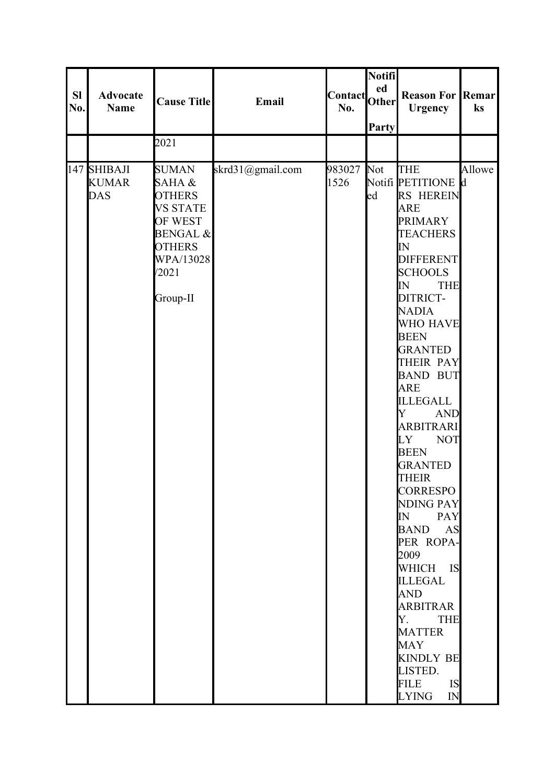|                  |                                           |                                                                                                                                                 |                  |                       | Notifi                 |                                                                                                                                                                                                                                                                                                                                                                                                                                                                                                                                                                                                                                                                                                  |        |
|------------------|-------------------------------------------|-------------------------------------------------------------------------------------------------------------------------------------------------|------------------|-----------------------|------------------------|--------------------------------------------------------------------------------------------------------------------------------------------------------------------------------------------------------------------------------------------------------------------------------------------------------------------------------------------------------------------------------------------------------------------------------------------------------------------------------------------------------------------------------------------------------------------------------------------------------------------------------------------------------------------------------------------------|--------|
| <b>SI</b><br>No. | <b>Advocate</b><br><b>Name</b>            | <b>Cause Title</b>                                                                                                                              | Email            | <b>Contact</b><br>No. | ed<br><b>Other</b>     | <b>Reason For Remar</b><br><b>Urgency</b>                                                                                                                                                                                                                                                                                                                                                                                                                                                                                                                                                                                                                                                        | ks     |
|                  |                                           |                                                                                                                                                 |                  |                       | Party                  |                                                                                                                                                                                                                                                                                                                                                                                                                                                                                                                                                                                                                                                                                                  |        |
|                  |                                           | 2021                                                                                                                                            |                  |                       |                        |                                                                                                                                                                                                                                                                                                                                                                                                                                                                                                                                                                                                                                                                                                  |        |
|                  | 147 SHIBAJI<br><b>KUMAR</b><br><b>DAS</b> | <b>SUMAN</b><br>SAHA &<br><b>OTHERS</b><br><b>VS STATE</b><br>OF WEST<br><b>BENGAL &amp;</b><br><b>OTHERS</b><br>WPA/13028<br>/2021<br>Group-II | skrd31@gmail.com | 983027<br>1526        | Not<br>$_{\text{led}}$ | <b>THE</b><br>Notifi PETITIONE d<br>RS HEREIN<br><b>ARE</b><br><b>PRIMARY</b><br><b>TEACHERS</b><br>IN<br><b>DIFFERENT</b><br><b>SCHOOLS</b><br>IN<br><b>THE</b><br>DITRICT-<br><b>NADIA</b><br><b>WHO HAVE</b><br><b>BEEN</b><br><b>GRANTED</b><br><b>THEIR PAY</b><br><b>BAND BUT</b><br><b>ARE</b><br><b>ILLEGALL</b><br>Y<br><b>AND</b><br><b>ARBITRARI</b><br>LY<br><b>NOT</b><br><b>BEEN</b><br><b>GRANTED</b><br><b>THEIR</b><br><b>CORRESPO</b><br>NDING PAY<br>IN PAY<br><b>BAND AS</b><br>PER ROPA-<br>2009<br>WHICH IS<br><b>ILLEGAL</b><br><b>AND</b><br>ARBITRAR<br>Y. THE<br><b>MATTER</b><br><b>MAY</b><br><b>KINDLY BE</b><br>LISTED.<br>IS<br><b>FILE</b><br><b>LYING</b><br>IN | Allowe |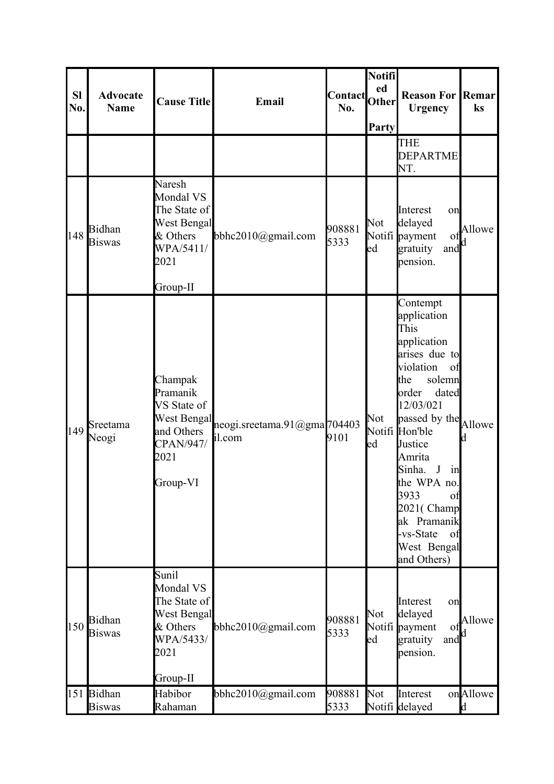| <b>Sl</b><br>No. | <b>Advocate</b><br><b>Name</b> | <b>Cause Title</b>                                                                                      | Email                                 | <b>Contact</b><br>No. | Notifi<br>ed<br><b>Other</b><br>Party | <b>Reason For Remar</b><br><b>Urgency</b>                                                                                                                                                                                                                                                                             | ks                   |
|------------------|--------------------------------|---------------------------------------------------------------------------------------------------------|---------------------------------------|-----------------------|---------------------------------------|-----------------------------------------------------------------------------------------------------------------------------------------------------------------------------------------------------------------------------------------------------------------------------------------------------------------------|----------------------|
|                  |                                |                                                                                                         |                                       |                       |                                       | <b>THE</b><br><b>DEPARTME</b><br>NT.                                                                                                                                                                                                                                                                                  |                      |
| 148              | Bidhan<br><b>Biswas</b>        | Naresh<br>Mondal VS<br>The State of<br>West Bengal<br>& Others<br>WPA/5411/<br>2021<br>Group-II         | bbhc2010 $@g$ mail.com                | 908881<br>5333        | Not<br>ed                             | Interest<br>on<br>delayed<br>Notifi payment<br>of<br>gratuity<br>and<br>pension.                                                                                                                                                                                                                                      | Allowe               |
| 149              | Sreetama<br>Neogi              | Champak<br>Pramanik<br>VS State of<br><b>West Bengal</b><br>and Others<br>CPAN/947/<br>2021<br>Group-VI | neogi.sreetama.91@gma704403<br>il.com | 9101                  | Not<br>ed                             | Contempt<br>application<br>This<br>application<br>arises due to<br>violation<br>of<br>solemn<br>the<br>order<br>dated<br>12/03/021<br>passed by the<br>Notifi Hon'ble<br>Justice<br>Amrita<br>Sinha.<br>in<br>the WPA no.<br>3933<br>of<br>2021(Champ<br>ak Pramanik<br>-vs-State<br>of<br>West Bengal<br>and Others) | Allowe<br>d          |
| 150              | Bidhan<br><b>Biswas</b>        | Sunil<br>Mondal VS<br>The State of<br>West Bengal<br>& Others<br>WPA/5433/<br>2021<br>Group-II          | bbhc2010@gmail.com                    | 908881<br>5333        | Not<br>ed                             | Interest<br>on<br>delayed<br>Notifi payment<br>οf<br>gratuity<br>and<br>pension.                                                                                                                                                                                                                                      | Allowe               |
| 151              | Bidhan<br><b>Biswas</b>        | Habibor<br>Rahaman                                                                                      | bbhc2010@gmail.com                    | 908881<br>5333        | <b>Not</b>                            | Interest<br>Notifi delayed                                                                                                                                                                                                                                                                                            | onAllowe<br><b>d</b> |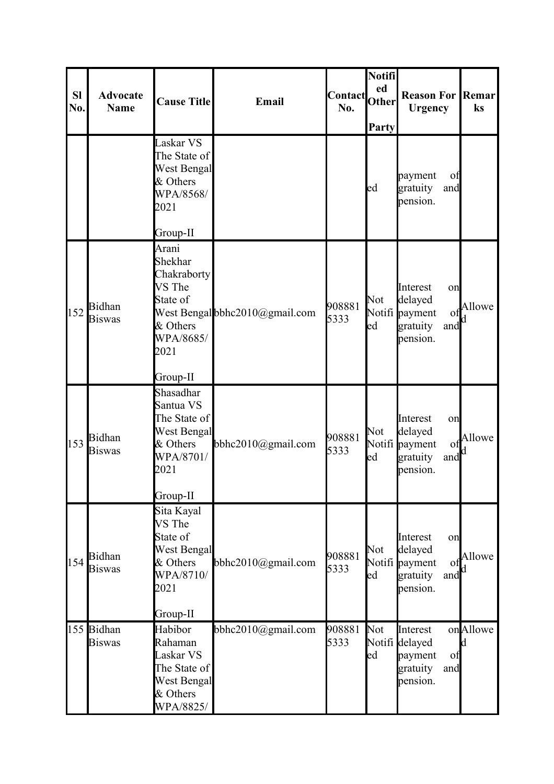| <b>Sl</b><br>No. | <b>Advocate</b><br><b>Name</b> | <b>Cause Title</b>                                                                                             | Email                          | Contact Other<br>No. | Notifi<br>Party | <b>Reason For Remar</b><br><b>Urgency</b>                                                    | ks             |
|------------------|--------------------------------|----------------------------------------------------------------------------------------------------------------|--------------------------------|----------------------|-----------------|----------------------------------------------------------------------------------------------|----------------|
|                  |                                | Laskar VS<br>The State of<br>West Bengal<br>& Others<br>WPA/8568/<br>2021                                      |                                |                      | ed              | payment<br>οf<br>gratuity<br>and<br>pension.                                                 |                |
| 152              | <b>Bidhan</b><br><b>Biswas</b> | Group-II<br>Arani<br>Shekhar<br>Chakraborty<br>VS The<br>State of<br>& Others<br>WPA/8685/<br>2021<br>Group-II | West Bengal bbhc2010@gmail.com | 908881<br>5333       | Not<br>led      | Interest<br>on<br>delayed<br>Notifi payment<br>of<br>gratuity<br>and<br>pension.             | Allowe         |
| 153              | Bidhan<br><b>Biswas</b>        | Shasadhar<br>Santua VS<br>The State of<br>West Bengal<br>& Others<br>WPA/8701/<br>2021<br>Group-II             | bbhc2010@gmail.com             | 908881<br>5333       | Not<br>ed       | Interest<br>on<br>delayed<br>Notifi payment<br>of<br>gratuity<br>and<br>pension.             | Allowe         |
| 154              | Bidhan<br><b>Biswas</b>        | Sita Kayal<br>VS The<br>State of<br>West Bengal<br>& Others<br>WPA/8710/<br>2021<br>Group-II                   | bbhc2010@gmail.com             | 908881<br>5333       | Not<br>ed       | Interest<br>on<br>delayed<br>Notifi payment<br>0 <sup>t</sup><br>gratuity<br>and<br>pension. | Allowe         |
|                  | 155 Bidhan<br><b>Biswas</b>    | Habibor<br>Rahaman<br>Laskar VS<br>The State of<br><b>West Bengal</b><br>& Others<br>WPA/8825/                 | bbhc2010@gmail.com             | 908881<br>5333       | Not<br>ed       | Interest<br>Notifi delayed<br>payment<br>of<br>gratuity<br>and<br>pension.                   | onAllowe<br>Id |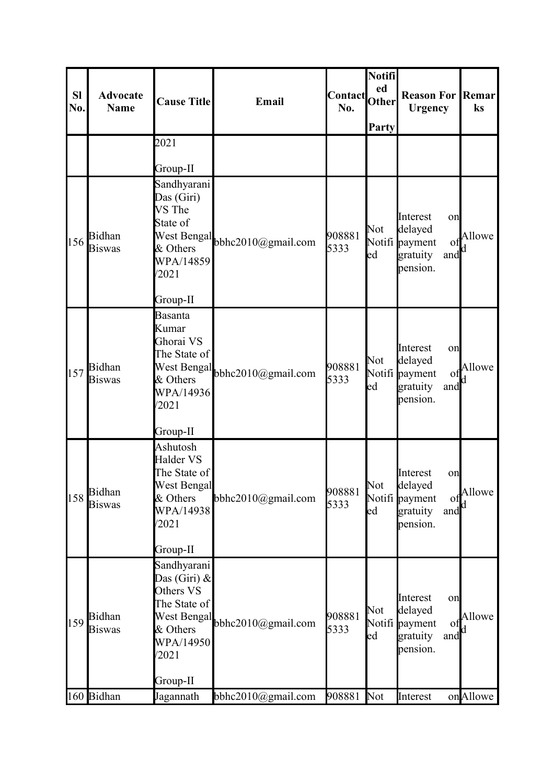| <b>Sl</b><br>No. | <b>Advocate</b><br><b>Name</b> | <b>Cause Title</b>                                                                                                       | Email                  | <b>Contact</b><br>No. | Notifi<br>ed<br>Other<br>Party | <b>Reason For</b><br><b>Urgency</b>                                                          | <b>Remar</b><br>$\mathbf{k}$ s |
|------------------|--------------------------------|--------------------------------------------------------------------------------------------------------------------------|------------------------|-----------------------|--------------------------------|----------------------------------------------------------------------------------------------|--------------------------------|
|                  |                                | 2021                                                                                                                     |                        |                       |                                |                                                                                              |                                |
|                  |                                | Group-II                                                                                                                 |                        |                       |                                |                                                                                              |                                |
| 156              | Bidhan<br><b>Biswas</b>        | Sandhyarani<br>Das (Giri)<br>VS The<br>State of<br><b>West Bengal</b><br>& Others<br>WPA/14859<br>/2021                  | bbhc2010@gmail.com     | 908881<br>5333        | <b>Not</b><br>$_{\text{led}}$  | Interest<br>on<br>delayed<br>Notifi payment<br>of<br>gratuity<br>and<br>pension.             | Allowe                         |
|                  |                                | Group-II                                                                                                                 |                        |                       |                                |                                                                                              |                                |
| 157              | Bidhan<br><b>Biswas</b>        | Basanta<br>Kumar<br>Ghorai VS<br>The State of<br>West Bengal<br>& Others<br>WPA/14936<br>/2021                           | bbhc2010 $@g$ mail.com | 908881<br>5333        | Not<br>ed                      | Interest<br>on<br>delayed<br>Notifi payment<br>of<br>and<br>gratuity<br>pension.             | Allowe<br>d                    |
|                  |                                | Group-II                                                                                                                 |                        |                       |                                |                                                                                              |                                |
| 158              | <b>Bidhan</b><br><b>Biswas</b> | Ashutosh<br>Halder VS<br>The State of<br>West Bengal<br>& Others<br>WPA/14938<br>/2021<br>Group-II                       | bbhc2010@gmail.com     | 908881<br>5333        | Not<br>$_{\text{led}}$         | Interest<br>on<br>delayed<br>Notifi payment<br>of<br>gratuity<br>and<br>pension.             | Allowe                         |
| 159              | <b>Bidhan</b><br><b>Biswas</b> | Sandhyarani<br>Das (Giri) $\&$<br>Others VS<br>The State of<br>West Bengal<br>& Others<br>WPA/14950<br>/2021<br>Group-II | bbhc2010@gmail.com     | 908881<br>5333        | Not<br>ed                      | Interest<br>on<br>delayed<br>Notifi payment<br>O <sub>1</sub><br>gratuity<br>and<br>pension. | Allowe                         |
|                  | 160 Bidhan                     | Jagannath                                                                                                                | bbhc2010@gmail.com     | 908881                | Not                            | Interest                                                                                     | onAllowe                       |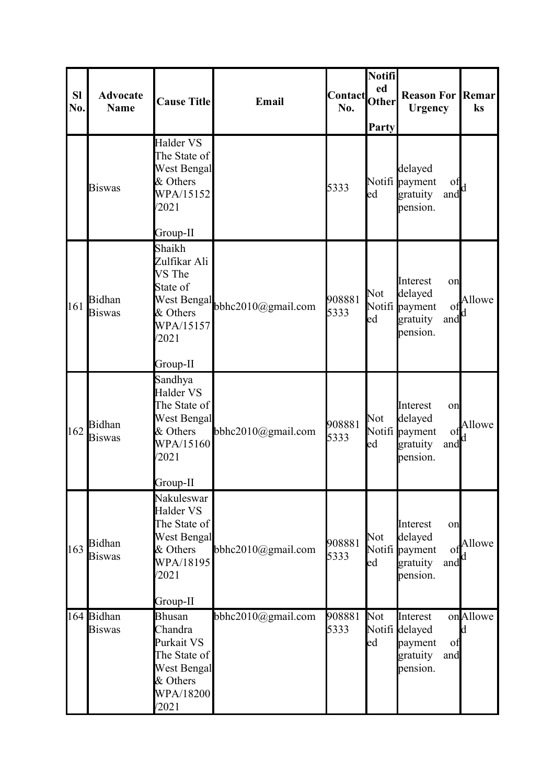| <b>Sl</b><br>No. | <b>Advocate</b><br><b>Name</b> | <b>Cause Title</b>                                                                                             | Email                          | Contact Other<br>No. | Notifi<br>Party | <b>Reason For Remar</b><br><b>Urgency</b>                                        | ks             |
|------------------|--------------------------------|----------------------------------------------------------------------------------------------------------------|--------------------------------|----------------------|-----------------|----------------------------------------------------------------------------------|----------------|
|                  | <b>Biswas</b>                  | Halder VS<br>The State of<br>West Bengal<br>& Others<br>WPA/15152<br>/2021<br>Group-II                         |                                | 5333                 | ed              | delayed<br>Notifi payment<br>οf<br>and <sup>d</sup><br>gratuity<br>pension.      |                |
| 161              | Bidhan<br><b>Biswas</b>        | Shaikh<br>Zulfikar Ali<br>VS The<br>State of<br>& Others<br>WPA/15157<br>/2021<br>Group-II                     | West Bengal bbhc2010@gmail.com | 908881<br>5333       | Not<br>ed       | Interest<br>on<br>delayed<br>Notifi payment<br>of<br>gratuity<br>and<br>pension. | Allowe<br>Ιd   |
| 162              | Bidhan<br><b>Biswas</b>        | Sandhya<br>Halder VS<br>The State of<br>West Bengal<br>& Others<br>WPA/15160<br>/2021<br>Group-II              | bbhc2010@gmail.com             | 908881<br>5333       | Not<br>ed       | Interest<br>on<br>delayed<br>Notifi payment<br>of<br>gratuity<br>and<br>pension. | Allowe         |
| 163              | <b>Bidhan</b><br><b>Biswas</b> | Nakuleswar<br>Halder VS<br>The State of<br><b>West Bengal</b><br>& Others<br>WPA/18195<br>/2021<br>Group-II    | bbhc2010@gmail.com             | 908881<br>5333       | Not<br>ed       | Interest<br>on<br>delayed<br>Notifi payment<br>Ω<br>gratuity<br>and<br>pension.  | Allowe         |
|                  | 164 Bidhan<br><b>Biswas</b>    | <b>Bhusan</b><br>Chandra<br>Purkait VS<br>The State of<br><b>West Bengal</b><br>& Others<br>WPA/18200<br>/2021 | bbhc2010@gmail.com             | 908881<br>5333       | Not<br>ed       | Interest<br>Notifi delayed<br>payment<br>of<br>gratuity<br>and<br>pension.       | onAllowe<br>Id |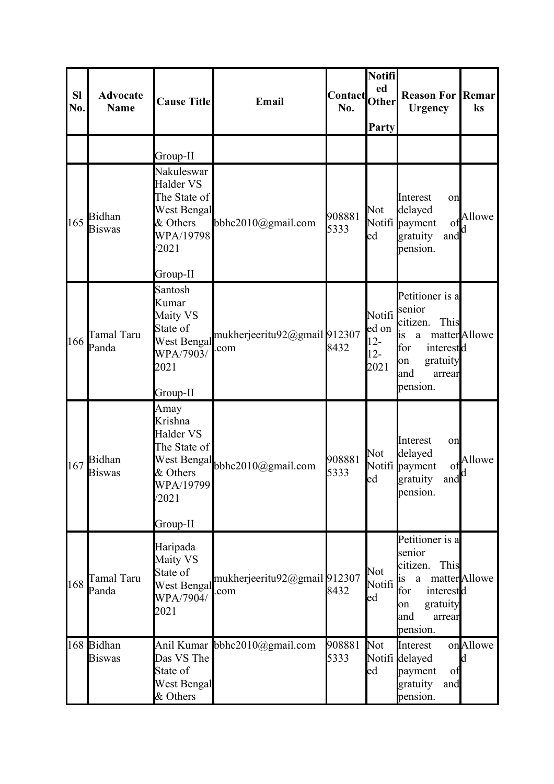| <b>Sl</b><br>No. | <b>Advocate</b><br><b>Name</b> | <b>Cause Title</b>                                                                                                      | Email                                | <b>Contact</b><br>No. | Notifi<br>ed<br>Other<br>Party             | <b>Reason For</b><br><b>Urgency</b>                                                                                                    | Remar<br>ks          |
|------------------|--------------------------------|-------------------------------------------------------------------------------------------------------------------------|--------------------------------------|-----------------------|--------------------------------------------|----------------------------------------------------------------------------------------------------------------------------------------|----------------------|
|                  |                                | Group-II                                                                                                                |                                      |                       |                                            |                                                                                                                                        |                      |
| 165              | Bidhan<br><b>Biswas</b>        | Nakuleswar<br>Halder VS<br>The State of<br>West Bengal<br>& Others<br>WPA/19798<br>/2021                                | bbhc2010 $@g$ mail.com               | 908881<br>5333        | Not<br>led                                 | Interest<br>on<br>delayed<br>Notifi payment<br>of<br>and<br>gratuity<br>pension.                                                       | Allowe<br>d          |
| 166              | Tamal Taru<br>Panda            | Group-II<br>Santosh<br>Kumar<br>Maity VS<br>State of<br>West Bengal<br>WPA/7903/<br>2021<br>Group-II                    | mukherjeeritu92@gmail 912307<br>.com | 8432                  | Notifi<br>ed on<br>$12 -$<br>$12-$<br>2021 | Petitioner is a<br>senior<br>citizen.<br>This<br>a<br><sub>is</sub><br>for<br>interestd<br>gratuity<br>on<br>and<br>arrear<br>pension. | matter Allowe        |
| 167              | Bidhan<br><b>Biswas</b>        | Amay<br>Krishna<br><b>Halder VS</b><br>The State of<br><b>West Bengal</b><br>& Others<br>WPA/19799<br>/2021<br>Group-II | bbhc2010@gmail.com                   | 908881<br>5333        | Not<br>$_{\text{led}}$                     | Interest<br>on<br>delayed<br>Notifi payment<br><sub>O1</sub><br>$and$ <sup>d</sup><br>gratuity<br>pension.                             | Allowe               |
| 168              | Tamal Taru<br>Panda            | Haripada<br>Maity VS<br>State of<br><b>West Bengal</b><br>WPA/7904/<br>2021                                             | mukherjeeritu92@gmail912307<br>com   | 8432                  | Not<br>Notifi<br>$_{\text{ed}}$            | Petitioner is a<br>senior<br>citizen.<br>This<br>is<br>a<br>for<br>interestd<br>gratuity<br>on<br>and<br>arrear<br>pension.            | matter <b>Allowe</b> |
|                  | 168 Bidhan<br><b>Biswas</b>    | Das VS The<br>State of<br><b>West Bengal</b><br>& Others                                                                | Anil Kumar bbhc2010@gmail.com        | 908881<br>5333        | Not<br>ed                                  | Interest<br>Notifi delayed<br>payment<br>of<br>gratuity<br>and<br>pension.                                                             | onAllowe<br>d        |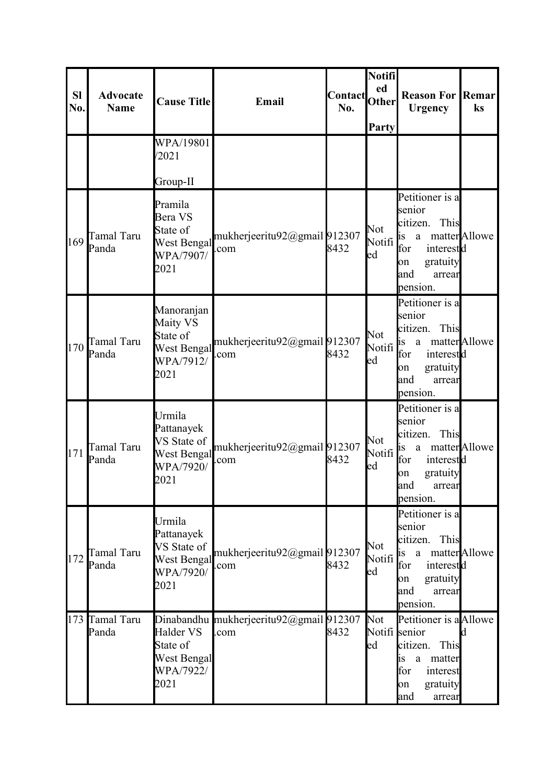| <b>Sl</b><br>No. | <b>Advocate</b><br><b>Name</b> | <b>Cause Title</b>                                                             | Email                                           | <b>Contact</b><br>No. | Notifi<br>ed<br><b>Other</b><br>Party | <b>Reason For Remar</b><br><b>Urgency</b>                                                                                                               | ks                   |
|------------------|--------------------------------|--------------------------------------------------------------------------------|-------------------------------------------------|-----------------------|---------------------------------------|---------------------------------------------------------------------------------------------------------------------------------------------------------|----------------------|
|                  |                                | WPA/19801<br>/2021                                                             |                                                 |                       |                                       |                                                                                                                                                         |                      |
|                  |                                | Group-II                                                                       |                                                 |                       |                                       |                                                                                                                                                         |                      |
| 169              | Tamal Taru<br>Panda            | Pramila<br>Bera VS<br>State of<br>West Bengal<br>WPA/7907/<br>2021             | mukherjeeritu92@gmail912307<br>.com             | 8432                  | Not<br>Notifi <sup>is</sup><br>ed     | Petitioner is a<br>senior<br>citizen.<br>This<br>a matter<br>Allowe<br>for<br>interestd<br>gratuity<br>on<br>and<br>arrear<br>pension.                  |                      |
| 170              | Tamal Taru<br>Panda            | Manoranjan<br>Maity VS<br>State of<br>West Bengal<br>WPA/7912/<br>2021         | mukherjeeritu92@gmail 912307<br>.com            | 8432                  | Not<br>Notifi<br>ed                   | Petitioner is a<br>senior<br>This<br>citizen.<br>hs<br>a<br>for<br>interestd<br>gratuity<br><b>l</b> on<br>and<br>arrear<br>pension.                    | matter <b>Allowe</b> |
| 171              | Tamal Taru<br>Panda            | Urmila<br>Pattanayek<br>VS State of<br>West Bengal<br>WPA/7920/<br>2021        | mukherjeeritu92@gmail 912307<br>.com            | 8432                  | Not<br>Notifi<br>ed                   | Petitioner is a<br>senior<br>citizen.<br>This<br>1S<br>a<br>for<br>interestd<br>gratuity<br>on<br>and<br>arrear<br>pension.                             | matter Allowe        |
| 172              | Tamal Taru<br>Panda            | Urmila<br>Pattanayek<br>VS State of<br><b>West Bengal</b><br>WPA/7920/<br>2021 | mukherjeeritu92@gmail912307<br>.com             | 8432                  | Not<br>Notifi<br>ed                   | Petitioner is a<br>senior<br>citizen.<br>This<br>a matter<br>Allowe<br><sub>is</sub><br>interestd<br>for<br>gratuity<br>on<br>and<br>arrear<br>pension. |                      |
|                  | 173 Tamal Taru<br>Panda        | Halder VS<br>State of<br>West Bengal<br>WPA/7922/<br>2021                      | Dinabandhu mukherjeeritu92@gmail 912307<br>.com | 8432                  | Not<br>Notifi senior<br>ed            | Petitioner is a<br>Allowe<br>citizen.<br>This<br>lis<br>matter<br>a<br>for<br>interest<br>gratuity<br>lon<br>and<br>arrear                              | kl.                  |